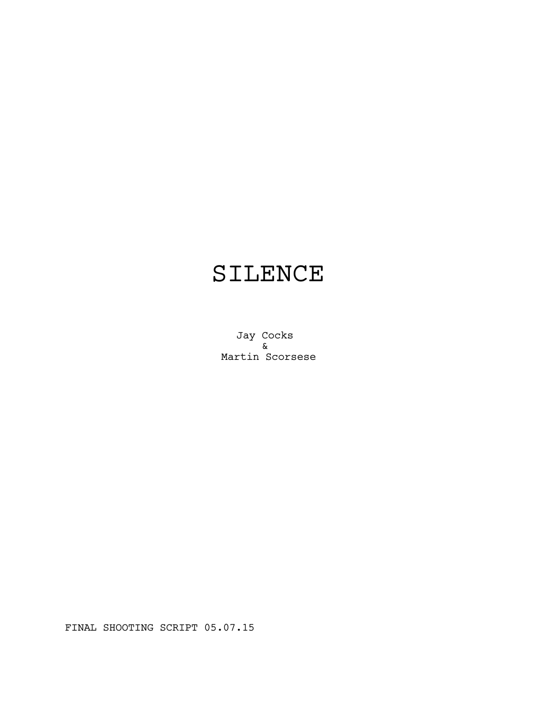# SILENCE

Jay Cocks & Martin Scorsese

FINAL SHOOTING SCRIPT 05.07.15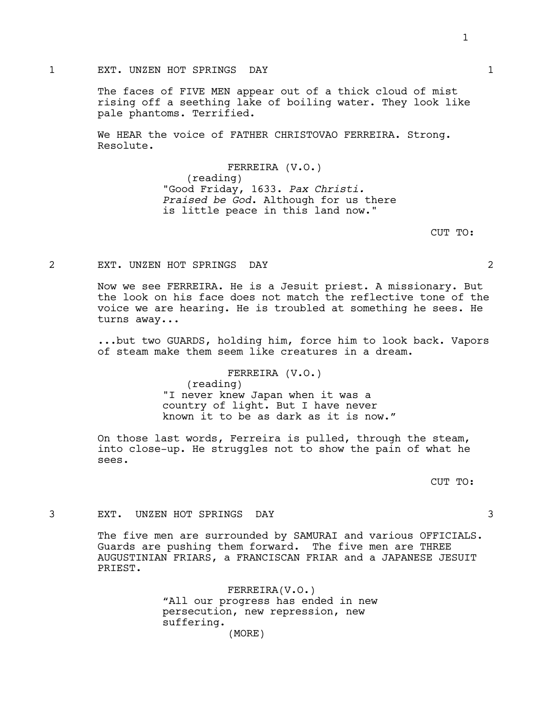# 1 EXT. UNZEN HOT SPRINGS DAY 1

The faces of FIVE MEN appear out of a thick cloud of mist rising off a seething lake of boiling water. They look like pale phantoms. Terrified.

We HEAR the voice of FATHER CHRISTOVAO FERREIRA. Strong. Resolute.

> FERREIRA (V.O.) (reading) "Good Friday, 1633. *Pax Christi. Praised be God*. Although for us there is little peace in this land now."

> > CUT TO:

### 2 EXT. UNZEN HOT SPRINGS DAY 2

Now we see FERREIRA. He is a Jesuit priest. A missionary. But the look on his face does not match the reflective tone of the voice we are hearing. He is troubled at something he sees. He turns away...

...but two GUARDS, holding him, force him to look back. Vapors of steam make them seem like creatures in a dream.

FERREIRA (V.O.)

(reading) "I never knew Japan when it was a country of light. But I have never known it to be as dark as it is now."

On those last words, Ferreira is pulled, through the steam, into close-up. He struggles not to show the pain of what he sees.

CUT TO:

# 3 EXT. UNZEN HOT SPRINGS DAY 3

The five men are surrounded by SAMURAI and various OFFICIALS. Guards are pushing them forward. The five men are THREE AUGUSTINIAN FRIARS, a FRANCISCAN FRIAR and a JAPANESE JESUIT PRIEST.

> FERREIRA(V.O.) "All our progress has ended in new persecution, new repression, new suffering. (MORE)

1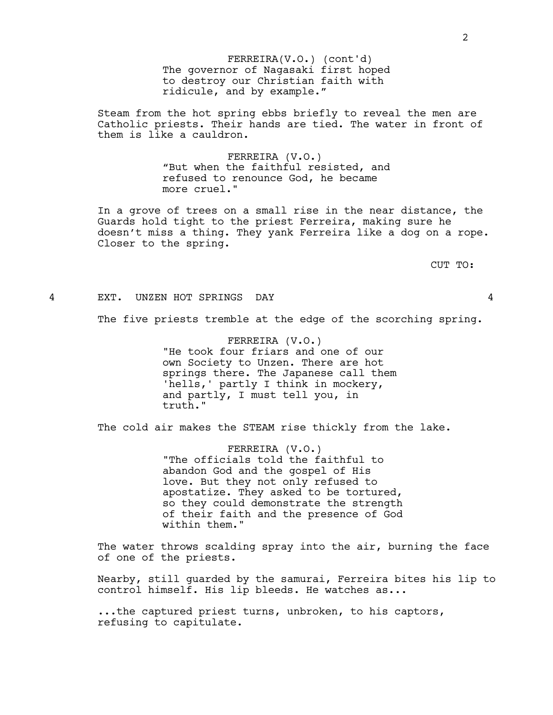The governor of Nagasaki first hoped to destroy our Christian faith with ridicule, and by example." FERREIRA(V.O.) (cont'd)

Steam from the hot spring ebbs briefly to reveal the men are Catholic priests. Their hands are tied. The water in front of them is like a cauldron.

> FERREIRA (V.O.) "But when the faithful resisted, and refused to renounce God, he became more cruel."

In a grove of trees on a small rise in the near distance, the Guards hold tight to the priest Ferreira, making sure he doesn't miss a thing. They yank Ferreira like a dog on a rope. Closer to the spring.

CUT TO:

#### 4 EXT. UNZEN HOT SPRINGS DAY 4

The five priests tremble at the edge of the scorching spring.

FERREIRA (V.O.) "He took four friars and one of our own Society to Unzen. There are hot springs there. The Japanese call them 'hells,' partly I think in mockery, and partly, I must tell you, in truth."

The cold air makes the STEAM rise thickly from the lake.

FERREIRA (V.O.) "The officials told the faithful to abandon God and the gospel of His love. But they not only refused to apostatize. They asked to be tortured, so they could demonstrate the strength of their faith and the presence of God within them."

The water throws scalding spray into the air, burning the face of one of the priests.

Nearby, still guarded by the samurai, Ferreira bites his lip to control himself. His lip bleeds. He watches as...

...the captured priest turns, unbroken, to his captors, refusing to capitulate.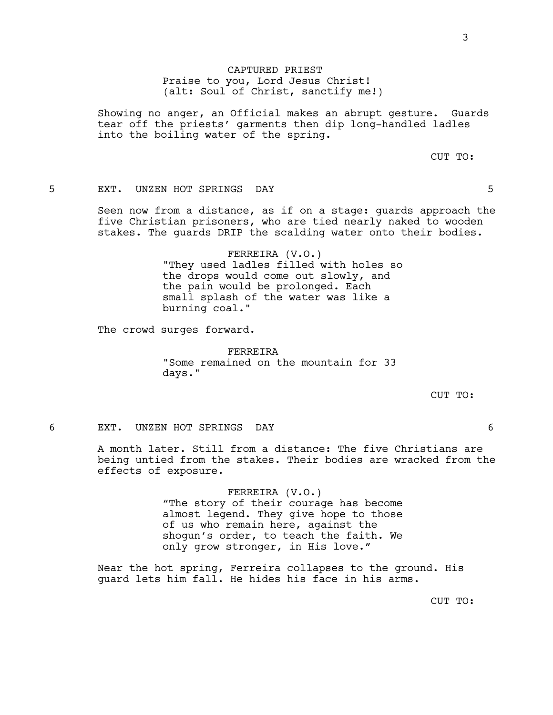3

CAPTURED PRIEST Praise to you, Lord Jesus Christ! (alt: Soul of Christ, sanctify me!)

Showing no anger, an Official makes an abrupt gesture. Guards tear off the priests' garments then dip long-handled ladles into the boiling water of the spring.

CUT TO:

# 5 EXT. UNZEN HOT SPRINGS DAY 5

Seen now from a distance, as if on a stage: guards approach the five Christian prisoners, who are tied nearly naked to wooden stakes. The guards DRIP the scalding water onto their bodies.

> FERREIRA (V.O.) "They used ladles filled with holes so the drops would come out slowly, and the pain would be prolonged. Each small splash of the water was like a burning coal."

The crowd surges forward.

FERREIRA "Some remained on the mountain for 33 days."

CUT TO:

# 6 EXT. UNZEN HOT SPRINGS DAY 6

A month later. Still from a distance: The five Christians are being untied from the stakes. Their bodies are wracked from the effects of exposure.

> FERREIRA (V.O.) "The story of their courage has become almost legend. They give hope to those of us who remain here, against the shogun's order, to teach the faith. We only grow stronger, in His love."

Near the hot spring, Ferreira collapses to the ground. His guard lets him fall. He hides his face in his arms.

CUT TO: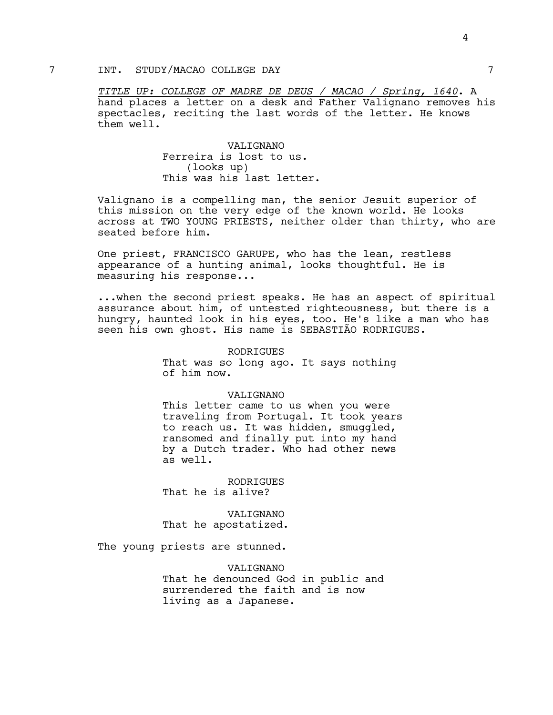# 7 INT. STUDY/MACAO COLLEGE DAY 7

*TITLE UP: COLLEGE OF MADRE DE DEUS / MACAO / Spring, 1640*. A hand places a letter on a desk and Father Valignano removes his spectacles, reciting the last words of the letter. He knows them well.

> VALIGNANO Ferreira is lost to us. (looks up) This was his last letter.

Valignano is a compelling man, the senior Jesuit superior of this mission on the very edge of the known world. He looks across at TWO YOUNG PRIESTS, neither older than thirty, who are seated before him.

One priest, FRANCISCO GARUPE, who has the lean, restless appearance of a hunting animal, looks thoughtful. He is measuring his response...

...when the second priest speaks. He has an aspect of spiritual assurance about him, of untested righteousness, but there is a hungry, haunted look in his eyes, too. He's like a man who has seen his own ghost. His name is SEBASTIÃO RODRIGUES.

> RODRIGUES That was so long ago. It says nothing of him now.

#### VALIGNANO

This letter came to us when you were traveling from Portugal. It took years to reach us. It was hidden, smuggled, ransomed and finally put into my hand by a Dutch trader. Who had other news as well.

RODRIGUES That he is alive?

VALIGNANO That he apostatized.

The young priests are stunned.

VALIGNANO That he denounced God in public and surrendered the faith and is now living as a Japanese.

4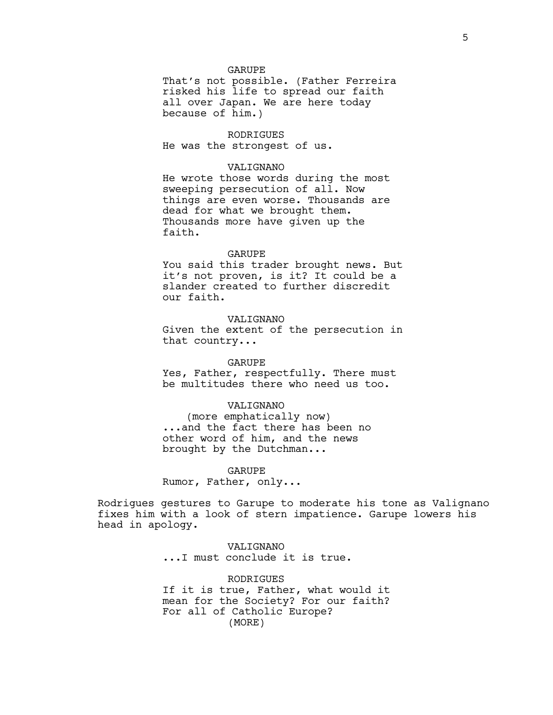#### GARUPE

That's not possible. (Father Ferreira risked his life to spread our faith all over Japan. We are here today because of him.)

RODRIGUES He was the strongest of us.

# VALIGNANO

He wrote those words during the most sweeping persecution of all. Now things are even worse. Thousands are dead for what we brought them. Thousands more have given up the faith.

#### GARUPE

You said this trader brought news. But it's not proven, is it? It could be a slander created to further discredit our faith.

#### VALIGNANO

Given the extent of the persecution in that country...

#### GARUPE

Yes, Father, respectfully. There must be multitudes there who need us too.

#### VALIGNANO

(more emphatically now) ...and the fact there has been no other word of him, and the news brought by the Dutchman...

#### GARUPE

Rumor, Father, only...

Rodrigues gestures to Garupe to moderate his tone as Valignano fixes him with a look of stern impatience. Garupe lowers his head in apology.

> VALIGNANO ...I must conclude it is true.

RODRIGUES If it is true, Father, what would it mean for the Society? For our faith? For all of Catholic Europe? (MORE)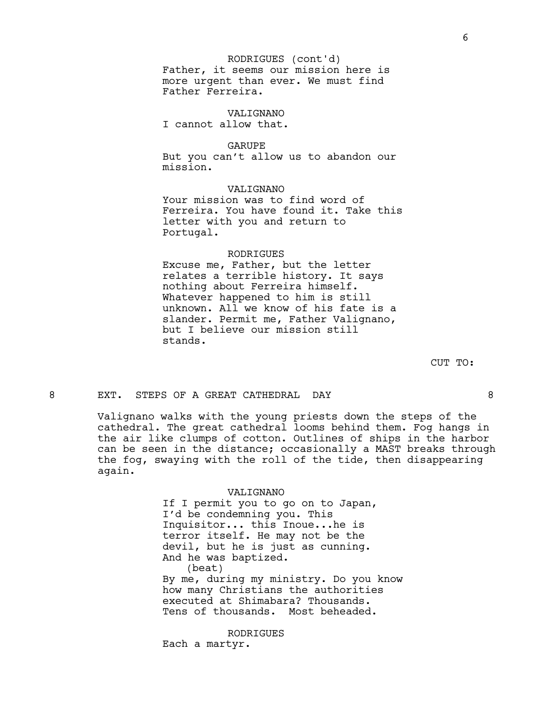# Father, it seems our mission here is more urgent than ever. We must find Father Ferreira. RODRIGUES (cont'd)

VALIGNANO I cannot allow that.

GARUPE But you can't allow us to abandon our mission.

# VALIGNANO

Your mission was to find word of Ferreira. You have found it. Take this letter with you and return to Portugal.

#### RODRIGUES

Excuse me, Father, but the letter relates a terrible history. It says nothing about Ferreira himself. Whatever happened to him is still unknown. All we know of his fate is a slander. Permit me, Father Valignano, but I believe our mission still stands.

CUT TO:

#### 8 EXT. STEPS OF A GREAT CATHEDRAL DAY 68

Valignano walks with the young priests down the steps of the cathedral. The great cathedral looms behind them. Fog hangs in the air like clumps of cotton. Outlines of ships in the harbor can be seen in the distance; occasionally a MAST breaks through the fog, swaying with the roll of the tide, then disappearing again.

#### VALIGNANO

If I permit you to go on to Japan, I'd be condemning you. This Inquisitor... this Inoue...he is terror itself. He may not be the devil, but he is just as cunning. And he was baptized. (beat) By me, during my ministry. Do you know how many Christians the authorities executed at Shimabara? Thousands. Tens of thousands. Most beheaded.

RODRIGUES

Each a martyr.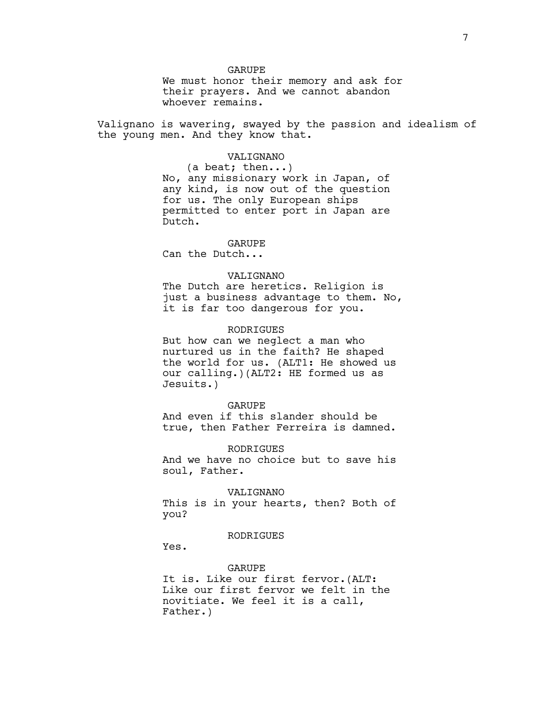#### GARUPE

We must honor their memory and ask for their prayers. And we cannot abandon whoever remains.

Valignano is wavering, swayed by the passion and idealism of the young men. And they know that.

#### VALIGNANO

(a beat; then...) No, any missionary work in Japan, of any kind, is now out of the question for us. The only European ships permitted to enter port in Japan are Dutch.

#### GARUPE

Can the Dutch...

# VALIGNANO

The Dutch are heretics. Religion is just a business advantage to them. No, it is far too dangerous for you.

# **RODRIGUES**

But how can we neglect a man who nurtured us in the faith? He shaped the world for us. (ALT1: He showed us our calling.)(ALT2: HE formed us as Jesuits.)

#### GARUPE

And even if this slander should be true, then Father Ferreira is damned.

#### RODRIGUES

And we have no choice but to save his soul, Father.

# VALIGNANO

This is in your hearts, then? Both of you?

# RODRIGUES

Yes.

#### GARUPE

It is. Like our first fervor.(ALT: Like our first fervor we felt in the novitiate. We feel it is a call, Father.)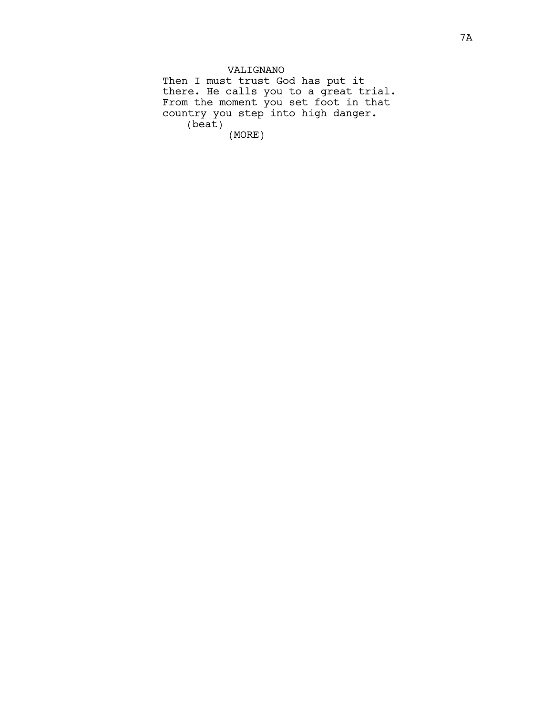VALIGNANO Then I must trust God has put it there. He calls you to a great trial. From the moment you set foot in that country you step into high danger. (beat) (MORE)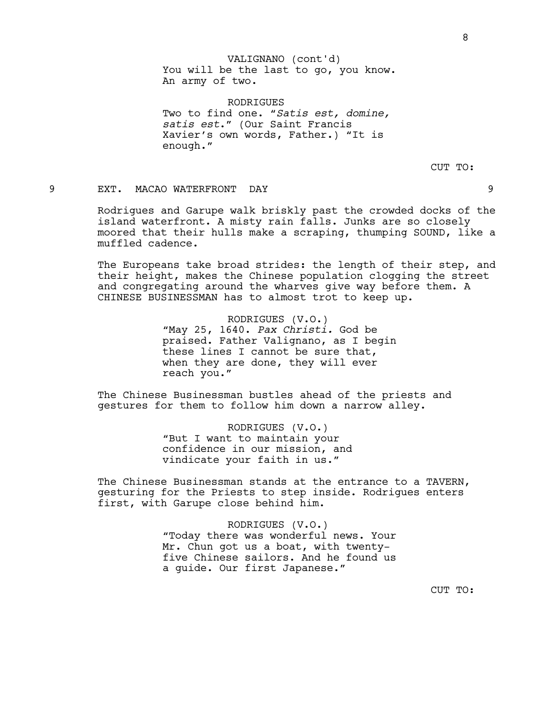RODRIGUES Two to find one. "*Satis est, domine, satis est*." (Our Saint Francis Xavier's own words, Father.) "It is enough."

CUT TO:

# 9 EXT. MACAO WATERFRONT DAY 9

Rodrigues and Garupe walk briskly past the crowded docks of the island waterfront. A misty rain falls. Junks are so closely moored that their hulls make a scraping, thumping SOUND, like a muffled cadence.

The Europeans take broad strides: the length of their step, and their height, makes the Chinese population clogging the street and congregating around the wharves give way before them. A CHINESE BUSINESSMAN has to almost trot to keep up.

> RODRIGUES (V.O.) "May 25, 1640. *Pax Christi.* God be praised. Father Valignano, as I begin these lines I cannot be sure that, when they are done, they will ever reach you."

The Chinese Businessman bustles ahead of the priests and gestures for them to follow him down a narrow alley.

> RODRIGUES (V.O.) "But I want to maintain your confidence in our mission, and vindicate your faith in us."

The Chinese Businessman stands at the entrance to a TAVERN, gesturing for the Priests to step inside. Rodrigues enters first, with Garupe close behind him.

> RODRIGUES (V.O.) "Today there was wonderful news. Your Mr. Chun got us a boat, with twentyfive Chinese sailors. And he found us a guide. Our first Japanese."

> > CUT TO: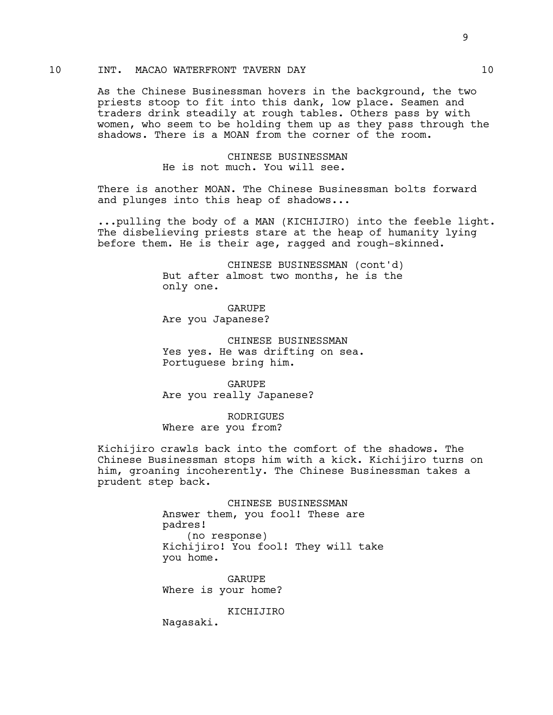# 10 INT. MACAO WATERFRONT TAVERN DAY 10

As the Chinese Businessman hovers in the background, the two priests stoop to fit into this dank, low place. Seamen and traders drink steadily at rough tables. Others pass by with women, who seem to be holding them up as they pass through the shadows. There is a MOAN from the corner of the room.

> CHINESE BUSINESSMAN He is not much. You will see.

There is another MOAN. The Chinese Businessman bolts forward and plunges into this heap of shadows...

...pulling the body of a MAN (KICHIJIRO) into the feeble light. The disbelieving priests stare at the heap of humanity lying before them. He is their age, ragged and rough-skinned.

> CHINESE BUSINESSMAN (cont'd) But after almost two months, he is the only one.

GARUPE Are you Japanese?

CHINESE BUSINESSMAN Yes yes. He was drifting on sea. Portuguese bring him.

GARUPE Are you really Japanese?

RODRIGUES Where are you from?

Kichijiro crawls back into the comfort of the shadows. The Chinese Businessman stops him with a kick. Kichijiro turns on him, groaning incoherently. The Chinese Businessman takes a prudent step back.

> CHINESE BUSINESSMAN Answer them, you fool! These are padres! (no response) Kichijiro! You fool! They will take you home.

GARUPE Where is your home?

KICHIJIRO

Nagasaki.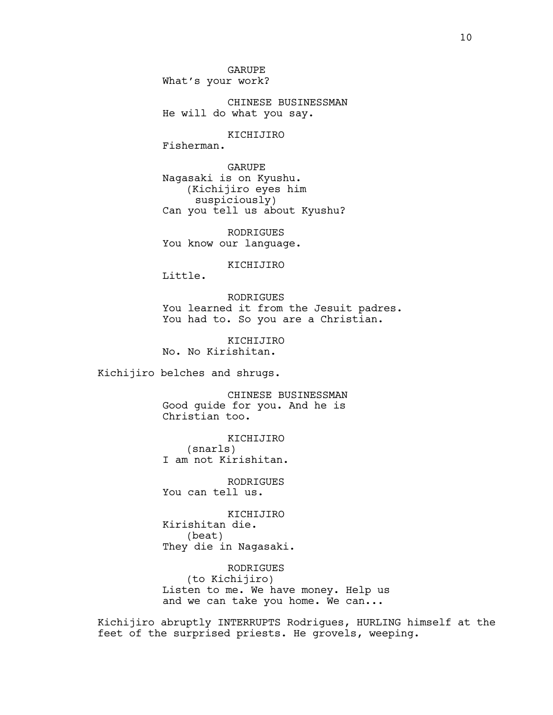GARUPE What's your work?

CHINESE BUSINESSMAN He will do what you say.

KICHIJIRO

Fisherman.

GARUPE Nagasaki is on Kyushu. (Kichijiro eyes him suspiciously) Can you tell us about Kyushu?

RODRIGUES You know our language.

KICHIJIRO

Little.

RODRIGUES You learned it from the Jesuit padres. You had to. So you are a Christian.

KICHIJIRO No. No Kirishitan.

Kichijiro belches and shrugs.

CHINESE BUSINESSMAN Good guide for you. And he is Christian too.

KICHIJIRO (snarls) I am not Kirishitan.

RODRIGUES You can tell us.

KICHIJIRO Kirishitan die. (beat) They die in Nagasaki.

RODRIGUES (to Kichijiro) Listen to me. We have money. Help us and we can take you home. We can...

Kichijiro abruptly INTERRUPTS Rodrigues, HURLING himself at the feet of the surprised priests. He grovels, weeping.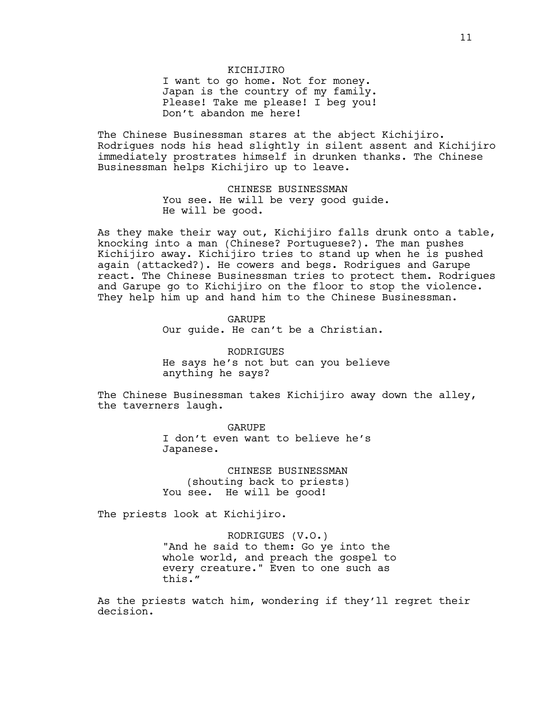#### KICHIJIRO

I want to go home. Not for money. Japan is the country of my family. Please! Take me please! I beg you! Don't abandon me here!

The Chinese Businessman stares at the abject Kichijiro. Rodrigues nods his head slightly in silent assent and Kichijiro immediately prostrates himself in drunken thanks. The Chinese Businessman helps Kichijiro up to leave.

> CHINESE BUSINESSMAN You see. He will be very good guide. He will be good.

As they make their way out, Kichijiro falls drunk onto a table, knocking into a man (Chinese? Portuguese?). The man pushes Kichijiro away. Kichijiro tries to stand up when he is pushed again (attacked?). He cowers and begs. Rodrigues and Garupe react. The Chinese Businessman tries to protect them. Rodrigues and Garupe go to Kichijiro on the floor to stop the violence. They help him up and hand him to the Chinese Businessman.

> GARUPE Our guide. He can't be a Christian.

RODRIGUES He says he's not but can you believe anything he says?

The Chinese Businessman takes Kichijiro away down the alley, the taverners laugh.

> GARUPE I don't even want to believe he's Japanese.

CHINESE BUSINESSMAN (shouting back to priests) You see. He will be good!

The priests look at Kichijiro.

RODRIGUES (V.O.) "And he said to them: Go ye into the whole world, and preach the gospel to every creature." Even to one such as this."

As the priests watch him, wondering if they'll regret their decision.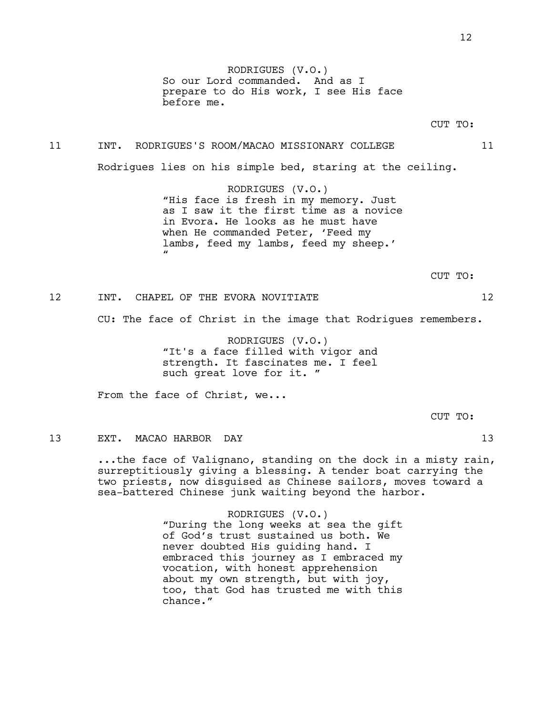RODRIGUES (V.O.) So our Lord commanded. And as I prepare to do His work, I see His face before me.

# 11 INT. RODRIGUES'S ROOM/MACAO MISSIONARY COLLEGE 11

Rodrigues lies on his simple bed, staring at the ceiling.

RODRIGUES (V.O.) "His face is fresh in my memory. Just as I saw it the first time as a novice in Evora. He looks as he must have when He commanded Peter, 'Feed my lambs, feed my lambs, feed my sheep.'  $\mathbf{u}$ 

CUT TO:

# 12 INT. CHAPEL OF THE EVORA NOVITIATE 12

CU: The face of Christ in the image that Rodrigues remembers.

RODRIGUES (V.O.) "It's a face filled with vigor and strength. It fascinates me. I feel such great love for it. "

From the face of Christ, we...

CUT TO:

#### 13 EXT. MACAO HARBOR DAY 13

...the face of Valignano, standing on the dock in a misty rain, surreptitiously giving a blessing. A tender boat carrying the two priests, now disguised as Chinese sailors, moves toward a sea-battered Chinese junk waiting beyond the harbor.

> RODRIGUES (V.O.) "During the long weeks at sea the gift of God's trust sustained us both. We never doubted His guiding hand. I embraced this journey as I embraced my vocation, with honest apprehension about my own strength, but with joy, too, that God has trusted me with this chance."

12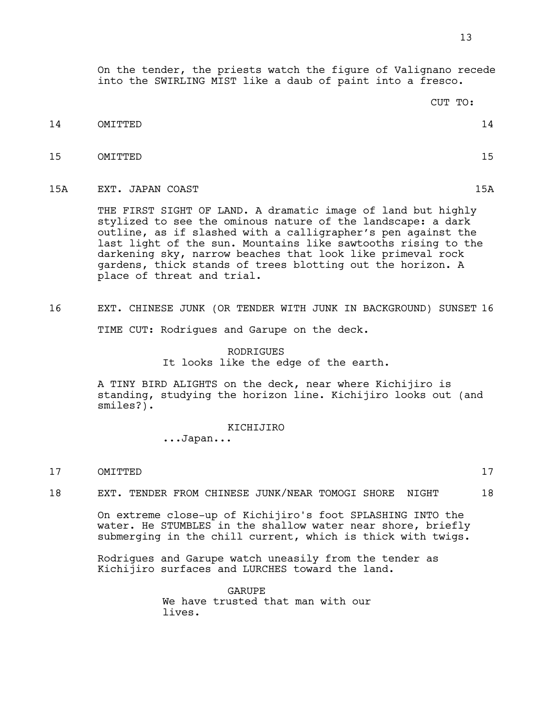On the tender, the priests watch the figure of Valignano recede into the SWIRLING MIST like a daub of paint into a fresco.

|     |                  | CUT TO: |     |
|-----|------------------|---------|-----|
| 14  | OMITTED          |         | 14  |
| 15  | OMITTED          |         | 15  |
| 15A | EXT. JAPAN COAST |         | 15A |

THE FIRST SIGHT OF LAND. A dramatic image of land but highly stylized to see the ominous nature of the landscape: a dark outline, as if slashed with a calligrapher's pen against the last light of the sun. Mountains like sawtooths rising to the darkening sky, narrow beaches that look like primeval rock gardens, thick stands of trees blotting out the horizon. A place of threat and trial.

16 EXT. CHINESE JUNK (OR TENDER WITH JUNK IN BACKGROUND) SUNSET 16

TIME CUT: Rodrigues and Garupe on the deck.

# RODRIGUES It looks like the edge of the earth.

A TINY BIRD ALIGHTS on the deck, near where Kichijiro is standing, studying the horizon line. Kichijiro looks out (and smiles?).

KICHIJIRO

...Japan...

# 17 OMITTED 17

18 EXT. TENDER FROM CHINESE JUNK/NEAR TOMOGI SHORE NIGHT 18

On extreme close-up of Kichijiro's foot SPLASHING INTO the water. He STUMBLES in the shallow water near shore, briefly submerging in the chill current, which is thick with twigs.

Rodrigues and Garupe watch uneasily from the tender as Kichijiro surfaces and LURCHES toward the land.

> GARUPE We have trusted that man with our lives.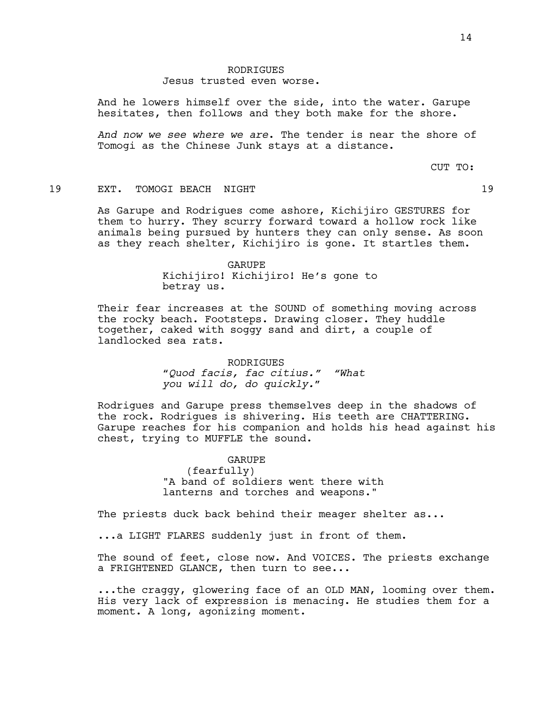#### Jesus trusted even worse.

And he lowers himself over the side, into the water. Garupe hesitates, then follows and they both make for the shore.

*And now we see where we are*. The tender is near the shore of Tomogi as the Chinese Junk stays at a distance.

CUT TO:

# 19 EXT. TOMOGI BEACH NIGHT 19

As Garupe and Rodrigues come ashore, Kichijiro GESTURES for them to hurry. They scurry forward toward a hollow rock like animals being pursued by hunters they can only sense. As soon as they reach shelter, Kichijiro is gone. It startles them.

> GARUPE Kichijiro! Kichijiro! He's gone to betray us.

Their fear increases at the SOUND of something moving across the rocky beach. Footsteps. Drawing closer. They huddle together, caked with soggy sand and dirt, a couple of landlocked sea rats.

> RODRIGUES "*Quod facis, fac citius." "What you will do, do quickly.*"

Rodrigues and Garupe press themselves deep in the shadows of the rock. Rodrigues is shivering. His teeth are CHATTERING. Garupe reaches for his companion and holds his head against his chest, trying to MUFFLE the sound.

> GARUPE (fearfully) "A band of soldiers went there with lanterns and torches and weapons."

The priests duck back behind their meager shelter as...

...a LIGHT FLARES suddenly just in front of them.

The sound of feet, close now. And VOICES. The priests exchange a FRIGHTENED GLANCE, then turn to see...

...the craggy, glowering face of an OLD MAN, looming over them. His very lack of expression is menacing. He studies them for a moment. A long, agonizing moment.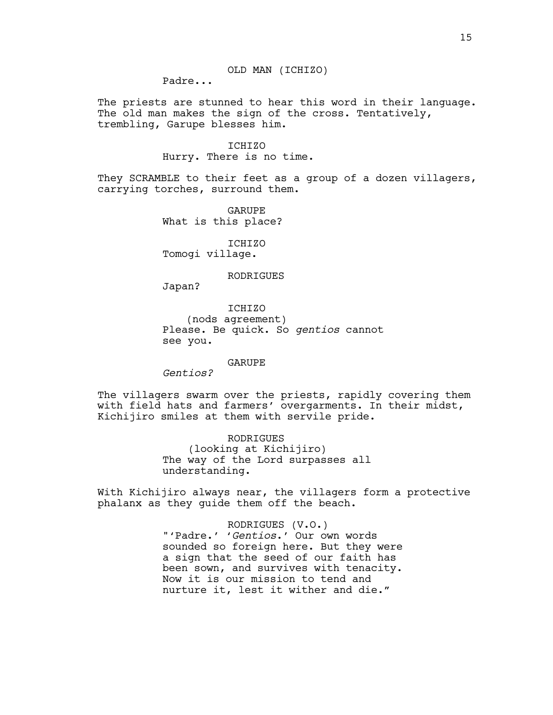Padre...

The priests are stunned to hear this word in their language. The old man makes the sign of the cross. Tentatively, trembling, Garupe blesses him.

> ICHIZO Hurry. There is no time.

They SCRAMBLE to their feet as a group of a dozen villagers, carrying torches, surround them.

> GARUPE What is this place?

ICHIZO Tomogi village.

RODRIGUES

Japan?

ICHIZO (nods agreement) Please. Be quick. So *gentios* cannot see you.

GARUPE

*Gentios?*

The villagers swarm over the priests, rapidly covering them with field hats and farmers' overgarments. In their midst, Kichijiro smiles at them with servile pride.

> RODRIGUES (looking at Kichijiro) The way of the Lord surpasses all understanding.

With Kichijiro always near, the villagers form a protective phalanx as they guide them off the beach.

> RODRIGUES (V.O.) "'Padre.' '*Gentios*.' Our own words sounded so foreign here. But they were a sign that the seed of our faith has been sown, and survives with tenacity. Now it is our mission to tend and nurture it, lest it wither and die."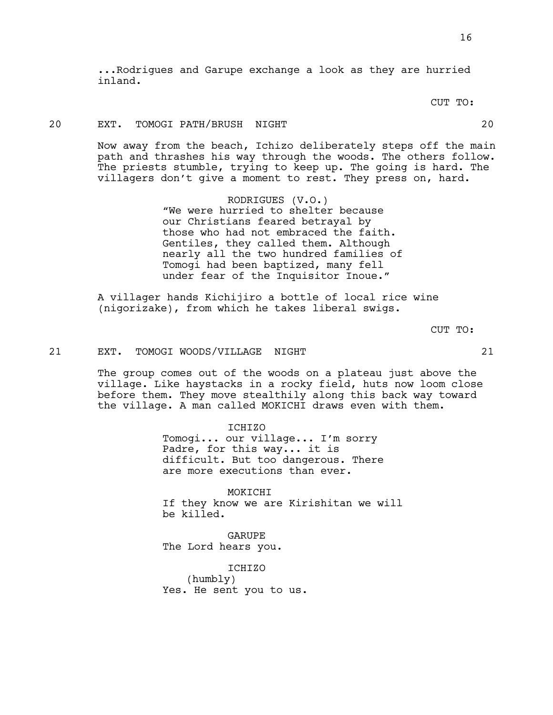...Rodrigues and Garupe exchange a look as they are hurried inland.

CUT TO:

# 20 EXT. TOMOGI PATH/BRUSH NIGHT 20

Now away from the beach, Ichizo deliberately steps off the main path and thrashes his way through the woods. The others follow. The priests stumble, trying to keep up. The going is hard. The villagers don't give a moment to rest. They press on, hard.

> RODRIGUES (V.O.) "We were hurried to shelter because our Christians feared betrayal by those who had not embraced the faith. Gentiles, they called them. Although nearly all the two hundred families of Tomogi had been baptized, many fell under fear of the Inquisitor Inoue."

A villager hands Kichijiro a bottle of local rice wine (nigorizake), from which he takes liberal swigs.

CUT TO:

### 21 EXT. TOMOGI WOODS/VILLAGE NIGHT 21

The group comes out of the woods on a plateau just above the village. Like haystacks in a rocky field, huts now loom close before them. They move stealthily along this back way toward the village. A man called MOKICHI draws even with them.

> ICHIZO Tomogi... our village... I'm sorry Padre, for this way... it is difficult. But too dangerous. There are more executions than ever.

MOKICHI If they know we are Kirishitan we will be killed.

GARUPE The Lord hears you.

ICHIZO (humbly) Yes. He sent you to us.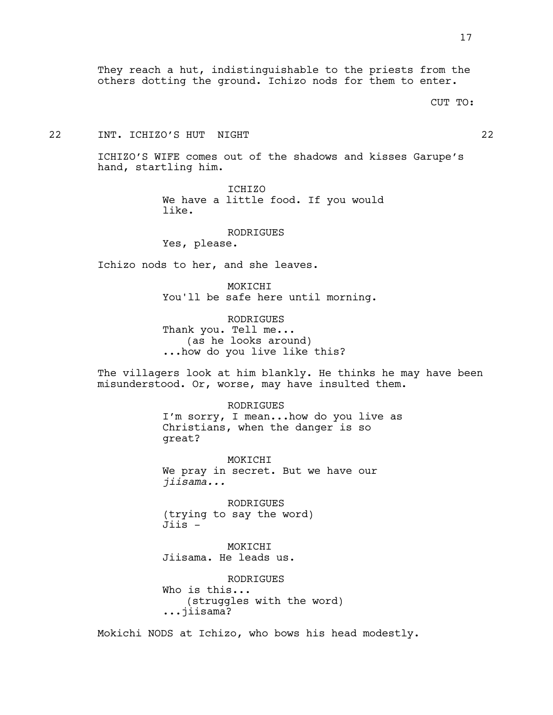They reach a hut, indistinguishable to the priests from the others dotting the ground. Ichizo nods for them to enter.

CUT TO:

# 22 INT. ICHIZO'S HUT NIGHT 22

ICHIZO'S WIFE comes out of the shadows and kisses Garupe's hand, startling him.

> ICHIZO We have a little food. If you would like.

> > RODRIGUES

Yes, please.

Ichizo nods to her, and she leaves.

MOKICHI You'll be safe here until morning.

RODRIGUES Thank you. Tell me... (as he looks around) ...how do you live like this?

The villagers look at him blankly. He thinks he may have been misunderstood. Or, worse, may have insulted them.

> RODRIGUES I'm sorry, I mean...how do you live as Christians, when the danger is so great?

MOKICHI We pray in secret. But we have our *jiisama...*

RODRIGUES (trying to say the word)  $Jijs -$ 

MOKICHI Jiisama. He leads us.

RODRIGUES Who is this... (struggles with the word) ...jiisama?

Mokichi NODS at Ichizo, who bows his head modestly.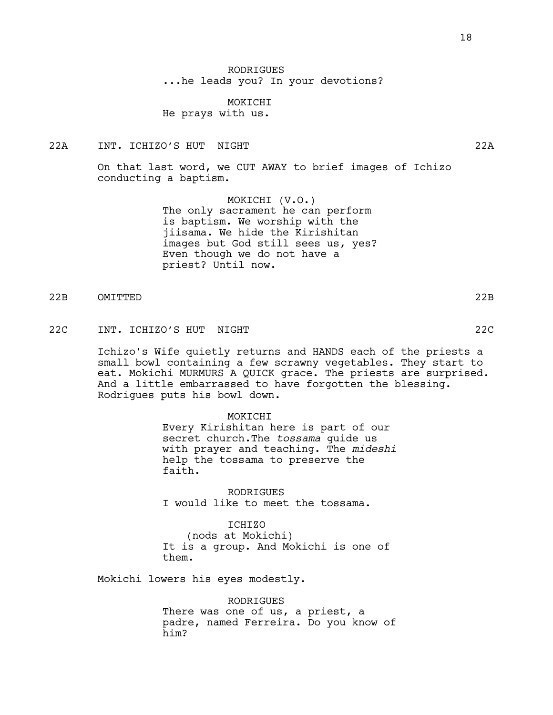RODRIGUES ...he leads you? In your devotions?

MOKICHI He prays with us.

22A INT. ICHIZO'S HUT NIGHT 22A

On that last word, we CUT AWAY to brief images of Ichizo conducting a baptism.

> MOKICHI (V.O.) The only sacrament he can perform is baptism. We worship with the jiisama. We hide the Kirishitan images but God still sees us, yes? Even though we do not have a priest? Until now.

- 22B OMITTED 22B
- 22C INT. ICHIZO'S HUT NIGHT 22C

Ichizo's Wife quietly returns and HANDS each of the priests a small bowl containing a few scrawny vegetables. They start to eat. Mokichi MURMURS A QUICK grace. The priests are surprised. And a little embarrassed to have forgotten the blessing. Rodrigues puts his bowl down.

MOKICHI

Every Kirishitan here is part of our secret church.The *tossama* guide us with prayer and teaching. The *mideshi* help the tossama to preserve the faith.

RODRIGUES I would like to meet the tossama.

TCHTZO (nods at Mokichi) It is a group. And Mokichi is one of them.

Mokichi lowers his eyes modestly.

RODRIGUES There was one of us, a priest, a padre, named Ferreira. Do you know of him?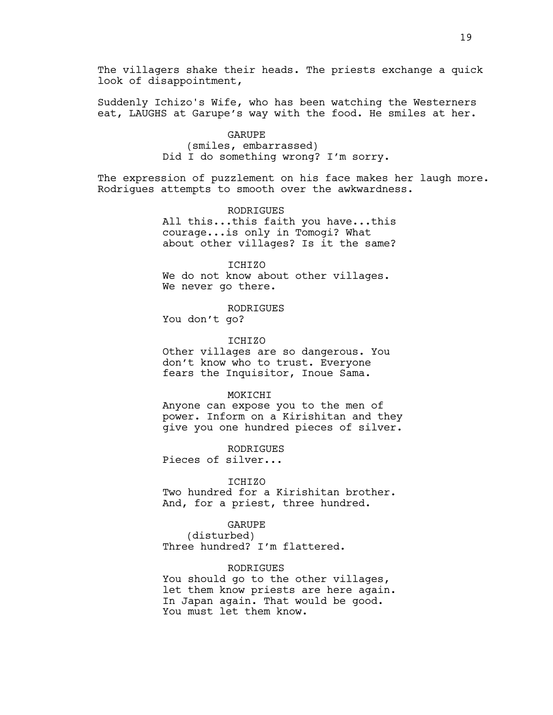The villagers shake their heads. The priests exchange a quick look of disappointment,

Suddenly Ichizo's Wife, who has been watching the Westerners eat, LAUGHS at Garupe's way with the food. He smiles at her.

#### GARUPE

(smiles, embarrassed) Did I do something wrong? I'm sorry.

The expression of puzzlement on his face makes her laugh more. Rodrigues attempts to smooth over the awkwardness.

> RODRIGUES All this...this faith you have...this courage...is only in Tomogi? What about other villages? Is it the same?

ICHIZO We do not know about other villages. We never go there.

RODRIGUES

You don't go?

#### ICHIZO

Other villages are so dangerous. You don't know who to trust. Everyone fears the Inquisitor, Inoue Sama.

#### MOKICHI

Anyone can expose you to the men of power. Inform on a Kirishitan and they give you one hundred pieces of silver.

RODRIGUES

Pieces of silver...

#### ICHIZO

Two hundred for a Kirishitan brother. And, for a priest, three hundred.

#### GARUPE

(disturbed) Three hundred? I'm flattered.

#### RODRIGUES

You should go to the other villages, let them know priests are here again. In Japan again. That would be good. You must let them know.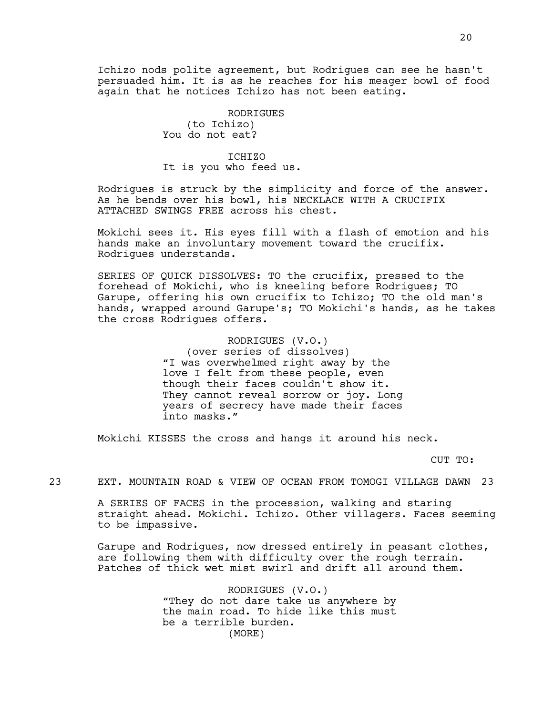Ichizo nods polite agreement, but Rodrigues can see he hasn't persuaded him. It is as he reaches for his meager bowl of food again that he notices Ichizo has not been eating.

> RODRIGUES (to Ichizo) You do not eat?

### TCHTZO

It is you who feed us.

Rodrigues is struck by the simplicity and force of the answer. As he bends over his bowl, his NECKLACE WITH A CRUCIFIX ATTACHED SWINGS FREE across his chest.

Mokichi sees it. His eyes fill with a flash of emotion and his hands make an involuntary movement toward the crucifix. Rodrigues understands.

SERIES OF QUICK DISSOLVES: TO the crucifix, pressed to the forehead of Mokichi, who is kneeling before Rodrigues; TO Garupe, offering his own crucifix to Ichizo; TO the old man's hands, wrapped around Garupe's; TO Mokichi's hands, as he takes the cross Rodrigues offers.

RODRIGUES (V.O.)

(over series of dissolves) "I was overwhelmed right away by the love I felt from these people, even though their faces couldn't show it. They cannot reveal sorrow or joy. Long years of secrecy have made their faces into masks."

Mokichi KISSES the cross and hangs it around his neck.

CUT TO:

23 EXT. MOUNTAIN ROAD & VIEW OF OCEAN FROM TOMOGI VILLAGE DAWN 23

A SERIES OF FACES in the procession, walking and staring straight ahead. Mokichi. Ichizo. Other villagers. Faces seeming to be impassive.

Garupe and Rodrigues, now dressed entirely in peasant clothes, are following them with difficulty over the rough terrain. Patches of thick wet mist swirl and drift all around them.

> RODRIGUES (V.O.) "They do not dare take us anywhere by the main road. To hide like this must be a terrible burden. (MORE)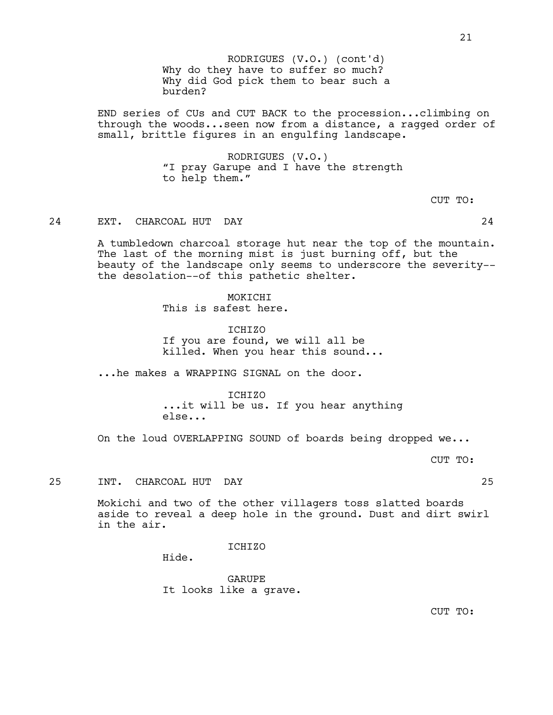Why do they have to suffer so much? Why did God pick them to bear such a burden? RODRIGUES (V.O.) (cont'd)

END series of CUs and CUT BACK to the procession...climbing on through the woods...seen now from a distance, a ragged order of small, brittle figures in an engulfing landscape.

> RODRIGUES (V.O.) "I pray Garupe and I have the strength to help them."

> > CUT TO:

#### 24 EXT. CHARCOAL HUT DAY 24

A tumbledown charcoal storage hut near the top of the mountain. The last of the morning mist is just burning off, but the beauty of the landscape only seems to underscore the severity- the desolation--of this pathetic shelter.

> MOKICHI This is safest here.

ICHIZO If you are found, we will all be killed. When you hear this sound...

...he makes a WRAPPING SIGNAL on the door.

# ICHIZO

...it will be us. If you hear anything else...

On the loud OVERLAPPING SOUND of boards being dropped we...

CUT TO:

25 INT. CHARCOAL HUT DAY 25

Mokichi and two of the other villagers toss slatted boards aside to reveal a deep hole in the ground. Dust and dirt swirl in the air.

ICHIZO

Hide.

GARUPE It looks like a grave.

CUT TO: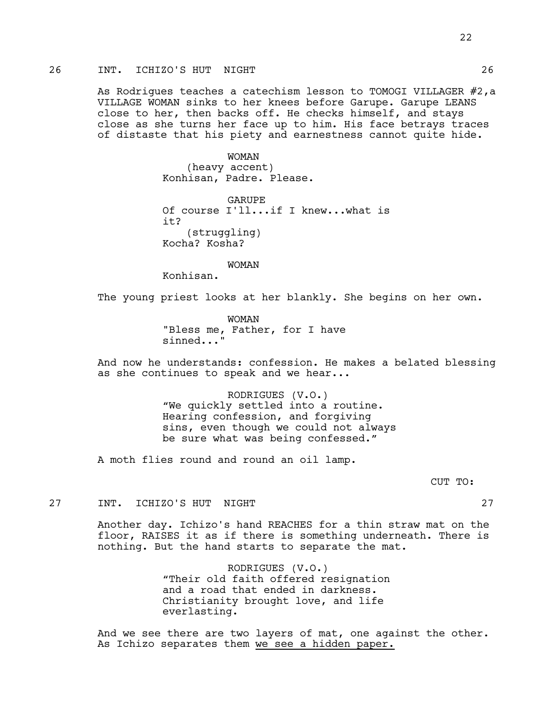# 26 INT. ICHIZO'S HUT NIGHT 26

As Rodrigues teaches a catechism lesson to TOMOGI VILLAGER #2,a VILLAGE WOMAN sinks to her knees before Garupe. Garupe LEANS close to her, then backs off. He checks himself, and stays close as she turns her face up to him. His face betrays traces of distaste that his piety and earnestness cannot quite hide.

> WOMAN (heavy accent) Konhisan, Padre. Please.

GARUPE Of course I'll...if I knew...what is it? (struggling) Kocha? Kosha?

WOMAN

Konhisan.

The young priest looks at her blankly. She begins on her own.

WOMAN "Bless me, Father, for I have sinned..."

And now he understands: confession. He makes a belated blessing as she continues to speak and we hear...

> RODRIGUES (V.O.) "We quickly settled into a routine. Hearing confession, and forgiving sins, even though we could not always be sure what was being confessed."

A moth flies round and round an oil lamp.

CUT TO:

27 INT. ICHIZO'S HUT NIGHT 27

Another day. Ichizo's hand REACHES for a thin straw mat on the floor, RAISES it as if there is something underneath. There is nothing. But the hand starts to separate the mat.

> RODRIGUES (V.O.) "Their old faith offered resignation and a road that ended in darkness. Christianity brought love, and life everlasting.

And we see there are two layers of mat, one against the other. As Ichizo separates them we see a hidden paper.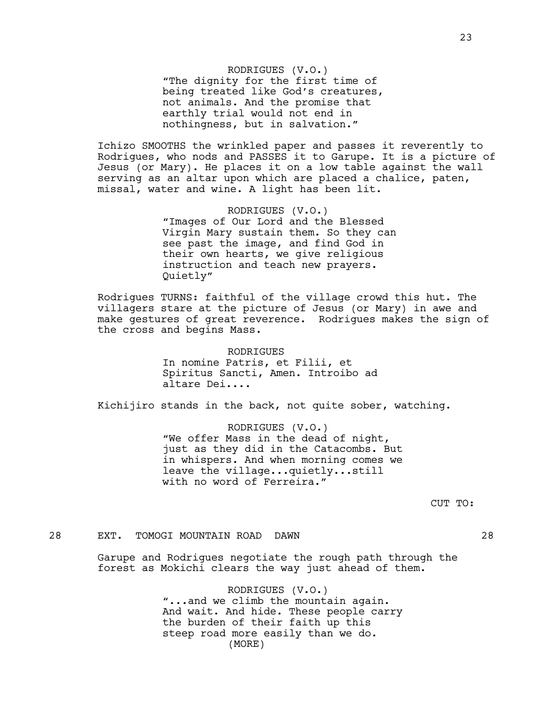23

RODRIGUES (V.O.) "The dignity for the first time of being treated like God's creatures, not animals. And the promise that earthly trial would not end in nothingness, but in salvation."

Ichizo SMOOTHS the wrinkled paper and passes it reverently to Rodrigues, who nods and PASSES it to Garupe. It is a picture of Jesus (or Mary). He places it on a low table against the wall serving as an altar upon which are placed a chalice, paten, missal, water and wine. A light has been lit.

> RODRIGUES (V.O.) "Images of Our Lord and the Blessed Virgin Mary sustain them. So they can see past the image, and find God in their own hearts, we give religious instruction and teach new prayers. Quietly"

Rodrigues TURNS: faithful of the village crowd this hut. The villagers stare at the picture of Jesus (or Mary) in awe and make gestures of great reverence. Rodrigues makes the sign of the cross and begins Mass.

> RODRIGUES In nomine Patris, et Filii, et Spiritus Sancti, Amen. Introibo ad altare Dei....

Kichijiro stands in the back, not quite sober, watching.

RODRIGUES (V.O.) "We offer Mass in the dead of night, just as they did in the Catacombs. But in whispers. And when morning comes we leave the village...quietly...still with no word of Ferreira."

CUT TO:

# 28 EXT. TOMOGI MOUNTAIN ROAD DAWN 28

Garupe and Rodrigues negotiate the rough path through the forest as Mokichi clears the way just ahead of them.

> RODRIGUES (V.O.) "...and we climb the mountain again. And wait. And hide. These people carry the burden of their faith up this steep road more easily than we do. (MORE)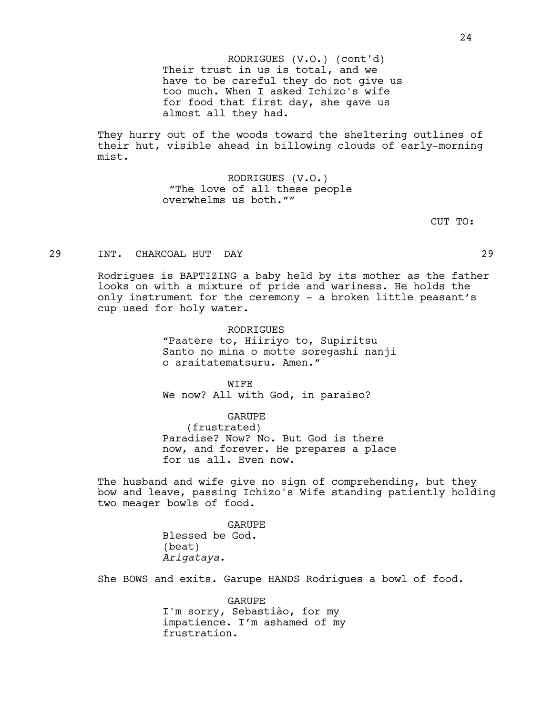Their trust in us is total, and we have to be careful they do not give us too much. When I asked Ichizo's wife for food that first day, she gave us almost all they had. RODRIGUES (V.O.) (cont'd)

They hurry out of the woods toward the sheltering outlines of their hut, visible ahead in billowing clouds of early-morning mist.

> RODRIGUES (V.O.) "The love of all these people overwhelms us both.""

> > CUT TO:

### 29 INT. CHARCOAL HUT DAY 29

Rodrigues is BAPTIZING a baby held by its mother as the father looks on with a mixture of pride and wariness. He holds the only instrument for the ceremony - a broken little peasant's cup used for holy water.

> **RODRIGUES** "Paatere to, Hiiriyo to, Supiritsu Santo no mina o motte soregashi nanji o araitatematsuru. Amen."

WIFE We now? All with God, in paraiso?

GARUPE

(frustrated)

Paradise? Now? No. But God is there now, and forever. He prepares a place for us all. Even now.

The husband and wife give no sign of comprehending, but they bow and leave, passing Ichizo's Wife standing patiently holding two meager bowls of food.

> GARUPE Blessed be God. (beat) *Arigataya*.

She BOWS and exits. Garupe HANDS Rodrigues a bowl of food.

GARUPE I'm sorry, Sebastião, for my impatience. I'm ashamed of my frustration.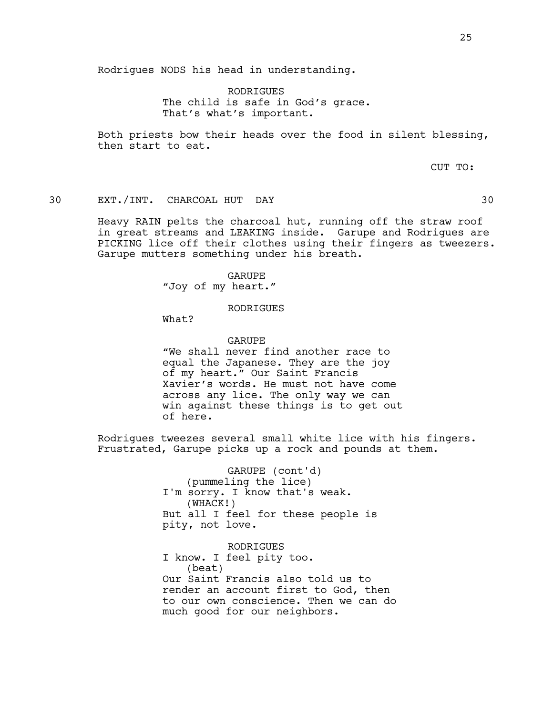25

Rodrigues NODS his head in understanding.

RODRIGUES The child is safe in God's grace. That's what's important.

Both priests bow their heads over the food in silent blessing, then start to eat.

CUT TO:

30 EXT./INT. CHARCOAL HUT DAY 30

Heavy RAIN pelts the charcoal hut, running off the straw roof in great streams and LEAKING inside. Garupe and Rodrigues are PICKING lice off their clothes using their fingers as tweezers. Garupe mutters something under his breath.

> GARUPE "Joy of my heart."

> > RODRIGUES

What?

GARUPE

"We shall never find another race to equal the Japanese. They are the joy of my heart." Our Saint Francis Xavier's words. He must not have come across any lice. The only way we can win against these things is to get out of here.

Rodrigues tweezes several small white lice with his fingers. Frustrated, Garupe picks up a rock and pounds at them.

> GARUPE (cont'd) (pummeling the lice) I'm sorry. I know that's weak. (WHACK!) But all I feel for these people is pity, not love.

RODRIGUES I know. I feel pity too. (beat) Our Saint Francis also told us to render an account first to God, then to our own conscience. Then we can do much good for our neighbors.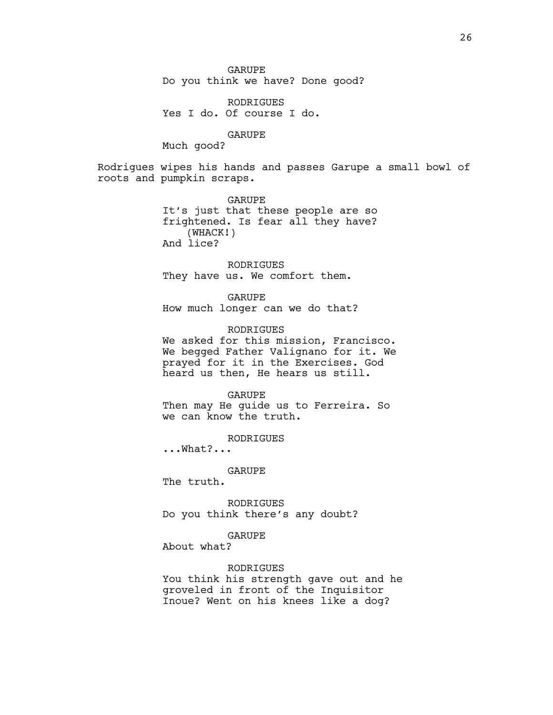GARUPE Do you think we have? Done good?

RODRIGUES Yes I do. Of course I do.

GARUPE

Much good?

Rodrigues wipes his hands and passes Garupe a small bowl of roots and pumpkin scraps.

> GARUPE It's just that these people are so frightened. Is fear all they have? (WHACK!) And lice?

RODRIGUES They have us. We comfort them.

GARUPE How much longer can we do that?

RODRIGUES We asked for this mission, Francisco. We begged Father Valignano for it. We prayed for it in the Exercises. God heard us then, He hears us still.

GARUPE Then may He guide us to Ferreira. So we can know the truth.

RODRIGUES

...What?...

GARUPE

The truth.

RODRIGUES Do you think there's any doubt?

GARUPE

About what?

RODRIGUES

You think his strength gave out and he groveled in front of the Inquisitor Inoue? Went on his knees like a dog?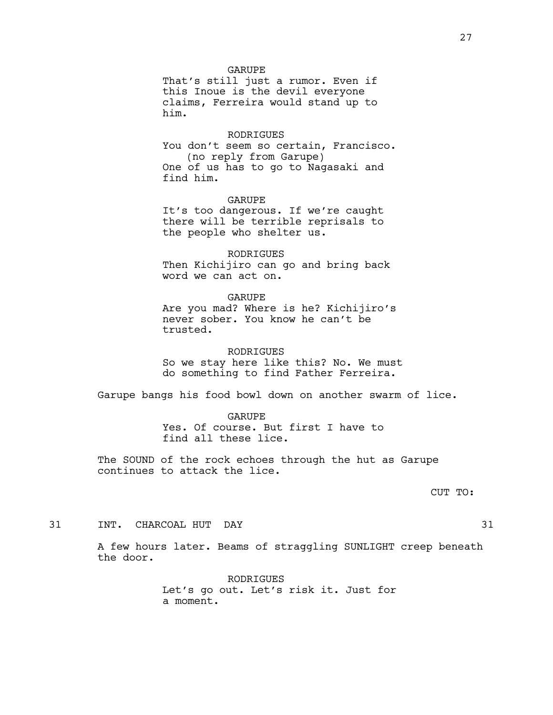#### GARUPE

That's still just a rumor. Even if this Inoue is the devil everyone claims, Ferreira would stand up to him.

#### RODRIGUES

You don't seem so certain, Francisco. (no reply from Garupe) One of us has to go to Nagasaki and find him.

#### GARUPE

It's too dangerous. If we're caught there will be terrible reprisals to the people who shelter us.

RODRIGUES Then Kichijiro can go and bring back word we can act on.

#### GARUPE

Are you mad? Where is he? Kichijiro's never sober. You know he can't be trusted.

#### RODRIGUES

So we stay here like this? No. We must do something to find Father Ferreira.

Garupe bangs his food bowl down on another swarm of lice.

#### GARUPE

Yes. Of course. But first I have to find all these lice.

The SOUND of the rock echoes through the hut as Garupe continues to attack the lice.

#### CUT TO:

31 INT. CHARCOAL HUT DAY 31

A few hours later. Beams of straggling SUNLIGHT creep beneath the door.

> RODRIGUES Let's go out. Let's risk it. Just for a moment.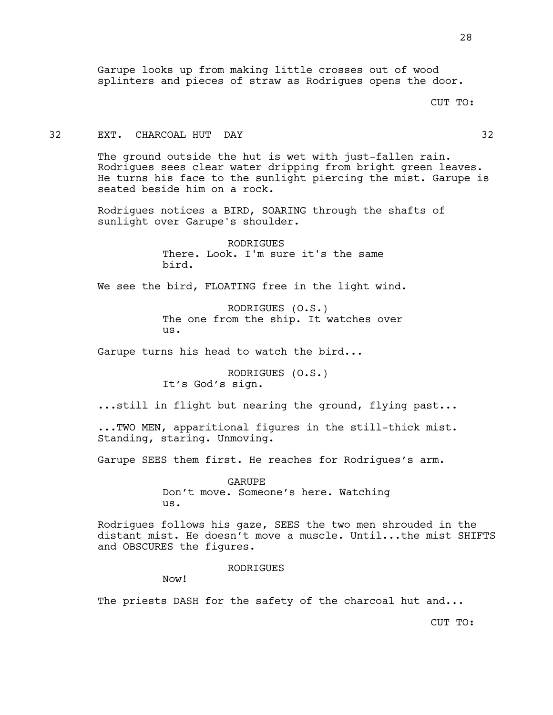#### CUT TO:

# 32 EXT. CHARCOAL HUT DAY 32

The ground outside the hut is wet with just-fallen rain. Rodrigues sees clear water dripping from bright green leaves. He turns his face to the sunlight piercing the mist. Garupe is seated beside him on a rock.

Rodrigues notices a BIRD, SOARING through the shafts of sunlight over Garupe's shoulder.

> RODRIGUES There. Look. I'm sure it's the same bird.

We see the bird, FLOATING free in the light wind.

RODRIGUES (O.S.) The one from the ship. It watches over us.

Garupe turns his head to watch the bird...

RODRIGUES (O.S.) It's God's sign.

...still in flight but nearing the ground, flying past...

...TWO MEN, apparitional figures in the still-thick mist. Standing, staring. Unmoving.

Garupe SEES them first. He reaches for Rodrigues's arm.

GARUPE Don't move. Someone's here. Watching us.

Rodrigues follows his gaze, SEES the two men shrouded in the distant mist. He doesn't move a muscle. Until...the mist SHIFTS and OBSCURES the figures.

#### **RODRIGUES**

Now!

The priests DASH for the safety of the charcoal hut and...

CUT TO: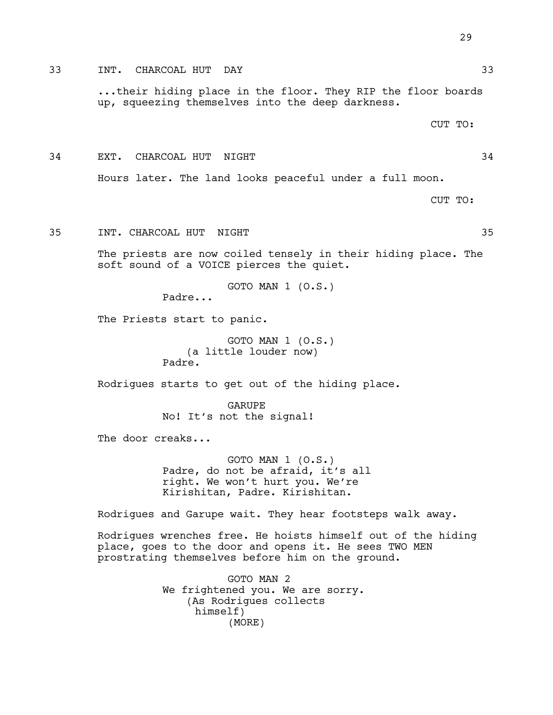...their hiding place in the floor. They RIP the floor boards up, squeezing themselves into the deep darkness.

CUT TO:

34 EXT. CHARCOAL HUT NIGHT 34

Hours later. The land looks peaceful under a full moon.

CUT TO:

35 INT. CHARCOAL HUT NIGHT 35

The priests are now coiled tensely in their hiding place. The soft sound of a VOICE pierces the quiet.

GOTO MAN 1 (O.S.)

Padre...

The Priests start to panic.

GOTO MAN 1 (O.S.) (a little louder now) Padre.

Rodrigues starts to get out of the hiding place.

GARUPE No! It's not the signal!

The door creaks...

GOTO MAN 1 (O.S.) Padre, do not be afraid, it's all right. We won't hurt you. We're Kirishitan, Padre. Kirishitan.

Rodrigues and Garupe wait. They hear footsteps walk away.

Rodrigues wrenches free. He hoists himself out of the hiding place, goes to the door and opens it. He sees TWO MEN prostrating themselves before him on the ground.

> GOTO MAN 2 We frightened you. We are sorry. (As Rodrigues collects himself) (MORE)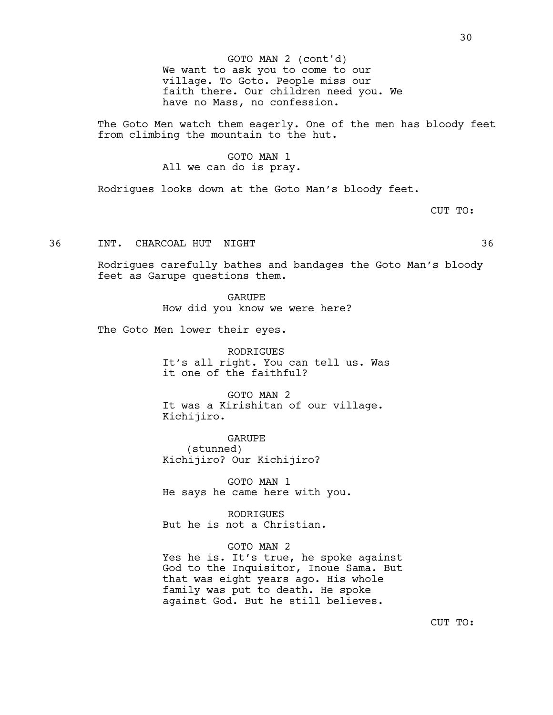We want to ask you to come to our village. To Goto. People miss our faith there. Our children need you. We have no Mass, no confession. GOTO MAN 2 (cont'd)

The Goto Men watch them eagerly. One of the men has bloody feet from climbing the mountain to the hut.

# GOTO MAN 1

# All we can do is pray.

Rodrigues looks down at the Goto Man's bloody feet.

CUT TO:

36 INT. CHARCOAL HUT NIGHT 36

Rodrigues carefully bathes and bandages the Goto Man's bloody feet as Garupe questions them.

> GARUPE How did you know we were here?

The Goto Men lower their eyes.

RODRIGUES It's all right. You can tell us. Was it one of the faithful?

GOTO MAN 2 It was a Kirishitan of our village. Kichijiro.

GARUPE (stunned) Kichijiro? Our Kichijiro?

GOTO MAN 1 He says he came here with you.

RODRIGUES But he is not a Christian.

GOTO MAN 2 Yes he is. It's true, he spoke against God to the Inquisitor, Inoue Sama. But that was eight years ago. His whole family was put to death. He spoke against God. But he still believes.

CUT TO: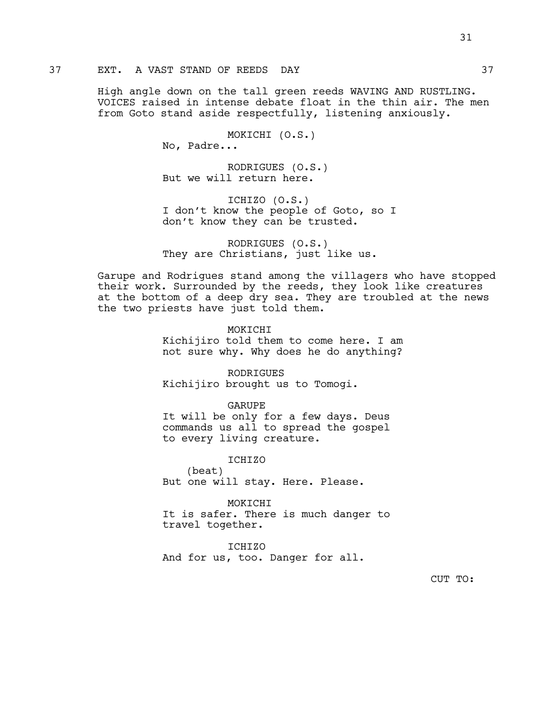# 37 EXT. A VAST STAND OF REEDS DAY 37

High angle down on the tall green reeds WAVING AND RUSTLING. VOICES raised in intense debate float in the thin air. The men from Goto stand aside respectfully, listening anxiously.

MOKICHI (O.S.)

No, Padre...

RODRIGUES (O.S.) But we will return here.

ICHIZO (O.S.) I don't know the people of Goto, so I don't know they can be trusted.

RODRIGUES (O.S.) They are Christians, just like us.

Garupe and Rodrigues stand among the villagers who have stopped their work. Surrounded by the reeds, they look like creatures at the bottom of a deep dry sea. They are troubled at the news the two priests have just told them.

### MOKICHI

Kichijiro told them to come here. I am not sure why. Why does he do anything?

RODRIGUES Kichijiro brought us to Tomogi.

GARUPE

It will be only for a few days. Deus commands us all to spread the gospel to every living creature.

ICHIZO

(beat) But one will stay. Here. Please.

MOKICHI It is safer. There is much danger to travel together.

ICHIZO And for us, too. Danger for all.

CUT TO:

31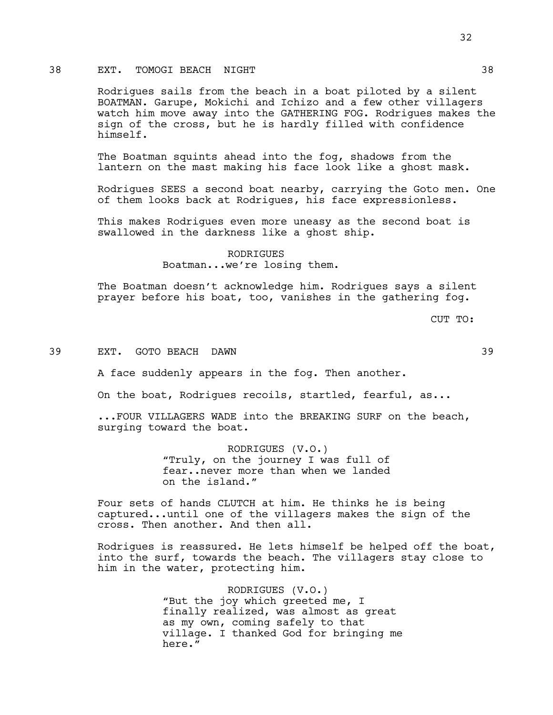# 38 EXT. TOMOGI BEACH NIGHT 38

Rodrigues sails from the beach in a boat piloted by a silent BOATMAN. Garupe, Mokichi and Ichizo and a few other villagers watch him move away into the GATHERING FOG. Rodrigues makes the sign of the cross, but he is hardly filled with confidence himself.

The Boatman squints ahead into the fog, shadows from the lantern on the mast making his face look like a ghost mask.

Rodrigues SEES a second boat nearby, carrying the Goto men. One of them looks back at Rodrigues, his face expressionless.

This makes Rodrigues even more uneasy as the second boat is swallowed in the darkness like a ghost ship.

> RODRIGUES Boatman...we're losing them.

The Boatman doesn't acknowledge him. Rodrigues says a silent prayer before his boat, too, vanishes in the gathering fog.

CUT TO:

#### 39 EXT. GOTO BEACH DAWN 39

A face suddenly appears in the fog. Then another.

On the boat, Rodrigues recoils, startled, fearful, as...

...FOUR VILLAGERS WADE into the BREAKING SURF on the beach, surging toward the boat.

> RODRIGUES (V.O.) "Truly, on the journey I was full of fear..never more than when we landed on the island."

Four sets of hands CLUTCH at him. He thinks he is being captured...until one of the villagers makes the sign of the cross. Then another. And then all.

Rodrigues is reassured. He lets himself be helped off the boat, into the surf, towards the beach. The villagers stay close to him in the water, protecting him.

> RODRIGUES (V.O.) "But the joy which greeted me, I finally realized, was almost as great as my own, coming safely to that village. I thanked God for bringing me here."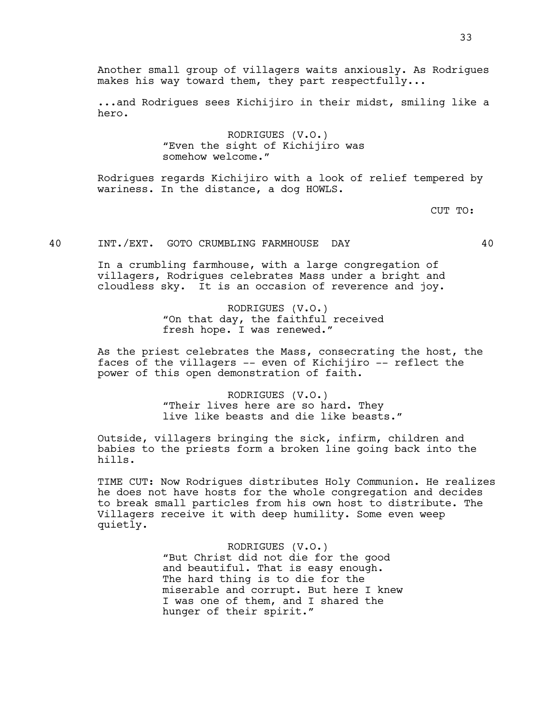Another small group of villagers waits anxiously. As Rodrigues makes his way toward them, they part respectfully...

...and Rodrigues sees Kichijiro in their midst, smiling like a hero.

> RODRIGUES (V.O.) "Even the sight of Kichijiro was somehow welcome."

Rodrigues regards Kichijiro with a look of relief tempered by wariness. In the distance, a dog HOWLS.

CUT TO:

40 INT./EXT. GOTO CRUMBLING FARMHOUSE DAY 40

In a crumbling farmhouse, with a large congregation of villagers, Rodrigues celebrates Mass under a bright and cloudless sky. It is an occasion of reverence and joy.

> RODRIGUES (V.O.) "On that day, the faithful received fresh hope. I was renewed."

As the priest celebrates the Mass, consecrating the host, the faces of the villagers -- even of Kichijiro -- reflect the power of this open demonstration of faith.

> RODRIGUES (V.O.) "Their lives here are so hard. They live like beasts and die like beasts."

Outside, villagers bringing the sick, infirm, children and babies to the priests form a broken line going back into the hills.

TIME CUT: Now Rodrigues distributes Holy Communion. He realizes he does not have hosts for the whole congregation and decides to break small particles from his own host to distribute. The Villagers receive it with deep humility. Some even weep quietly.

> RODRIGUES (V.O.) "But Christ did not die for the good and beautiful. That is easy enough. The hard thing is to die for the miserable and corrupt. But here I knew I was one of them, and I shared the hunger of their spirit."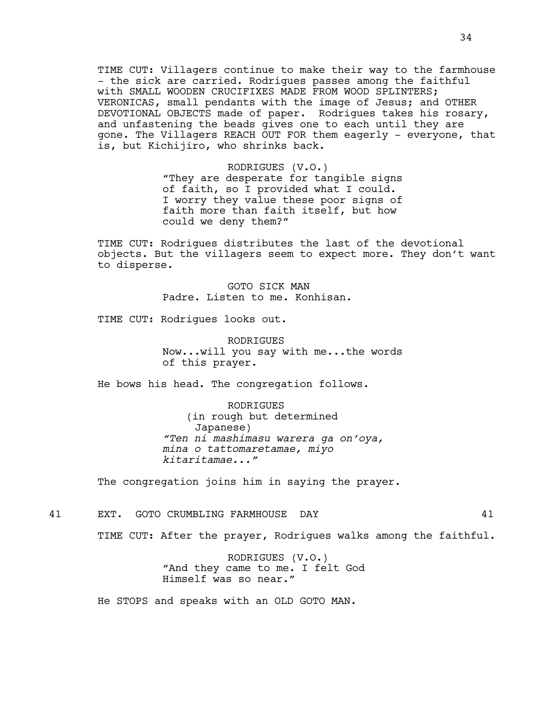TIME CUT: Villagers continue to make their way to the farmhouse - the sick are carried. Rodrigues passes among the faithful with SMALL WOODEN CRUCIFIXES MADE FROM WOOD SPLINTERS; VERONICAS, small pendants with the image of Jesus; and OTHER DEVOTIONAL OBJECTS made of paper. Rodrigues takes his rosary, and unfastening the beads gives one to each until they are gone. The Villagers REACH OUT FOR them eagerly - everyone, that is, but Kichijiro, who shrinks back.

> RODRIGUES (V.O.) "They are desperate for tangible signs of faith, so I provided what I could. I worry they value these poor signs of faith more than faith itself, but how could we deny them?"

TIME CUT: Rodrigues distributes the last of the devotional objects. But the villagers seem to expect more. They don't want to disperse.

> GOTO SICK MAN Padre. Listen to me. Konhisan.

TIME CUT: Rodrigues looks out.

RODRIGUES Now...will you say with me...the words of this prayer.

He bows his head. The congregation follows.

RODRIGUES (in rough but determined Japanese) *"Ten ni mashimasu warera ga on'oya, mina o tattomaretamae, miyo kitaritamae..."*

The congregation joins him in saying the prayer.

41 EXT. GOTO CRUMBLING FARMHOUSE DAY 41

TIME CUT: After the prayer, Rodrigues walks among the faithful.

RODRIGUES (V.O.) "And they came to me. I felt God Himself was so near."

He STOPS and speaks with an OLD GOTO MAN.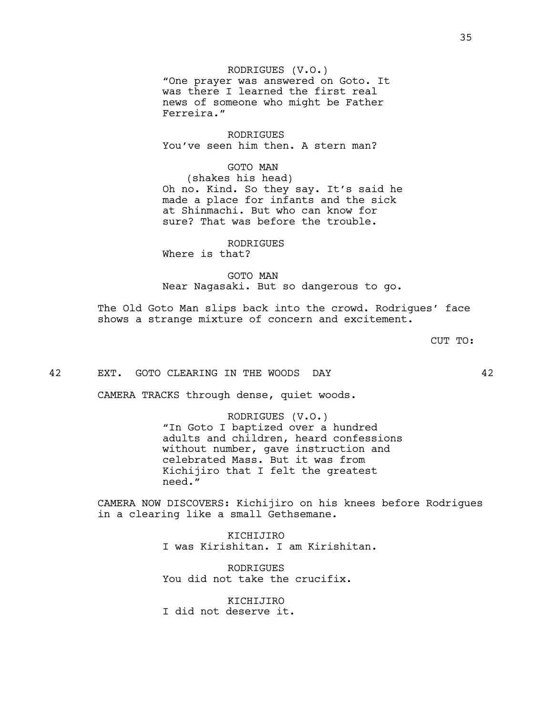RODRIGUES (V.O.) "One prayer was answered on Goto. It was there I learned the first real news of someone who might be Father Ferreira."

RODRIGUES You've seen him then. A stern man?

> GOTO MAN (shakes his head)

Oh no. Kind. So they say. It's said he made a place for infants and the sick at Shinmachi. But who can know for sure? That was before the trouble.

RODRIGUES Where is that?

GOTO MAN Near Nagasaki. But so dangerous to go.

The Old Goto Man slips back into the crowd. Rodrigues' face shows a strange mixture of concern and excitement.

CUT TO:

42 EXT. GOTO CLEARING IN THE WOODS DAY 42

CAMERA TRACKS through dense, quiet woods.

RODRIGUES (V.O.) "In Goto I baptized over a hundred adults and children, heard confessions without number, gave instruction and celebrated Mass. But it was from Kichijiro that I felt the greatest need."

CAMERA NOW DISCOVERS: Kichijiro on his knees before Rodrigues in a clearing like a small Gethsemane.

> KICHIJIRO I was Kirishitan. I am Kirishitan.

**RODRIGUES** You did not take the crucifix.

KICHIJIRO I did not deserve it.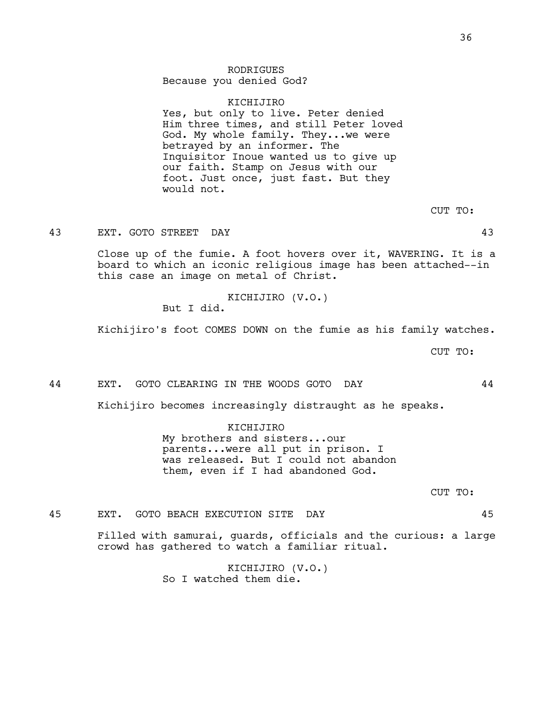# RODRIGUES

Because you denied God?

## KICHIJIRO

Yes, but only to live. Peter denied Him three times, and still Peter loved God. My whole family. They...we were betrayed by an informer. The Inquisitor Inoue wanted us to give up our faith. Stamp on Jesus with our foot. Just once, just fast. But they would not.

CUT TO:

43 EXT. GOTO STREET DAY 43

Close up of the fumie. A foot hovers over it, WAVERING. It is a board to which an iconic religious image has been attached--in this case an image on metal of Christ.

KICHIJIRO (V.O.)

But I did.

Kichijiro's foot COMES DOWN on the fumie as his family watches.

CUT TO:

#### 44 EXT. GOTO CLEARING IN THE WOODS GOTO DAY 44

Kichijiro becomes increasingly distraught as he speaks.

KICHIJIRO My brothers and sisters...our parents...were all put in prison. I was released. But I could not abandon them, even if I had abandoned God.

CUT TO:

# 45 EXT. GOTO BEACH EXECUTION SITE DAY 45

Filled with samurai, guards, officials and the curious: a large crowd has gathered to watch a familiar ritual.

> KICHIJIRO (V.O.) So I watched them die.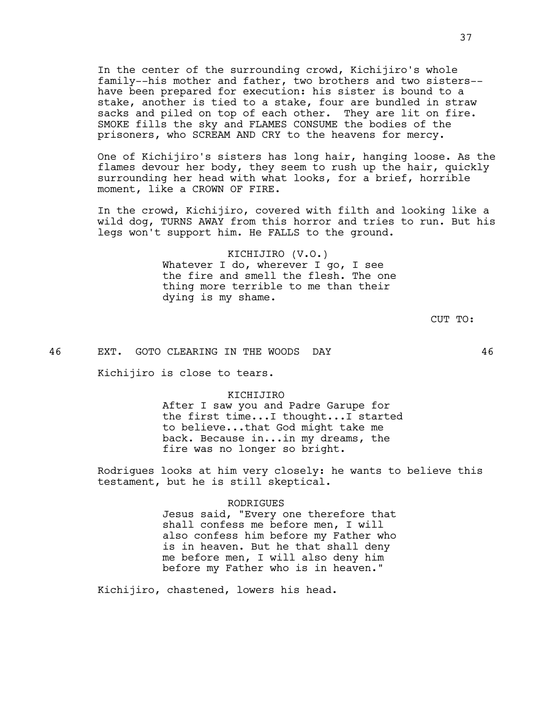In the center of the surrounding crowd, Kichijiro's whole family--his mother and father, two brothers and two sisters- have been prepared for execution: his sister is bound to a stake, another is tied to a stake, four are bundled in straw sacks and piled on top of each other. They are lit on fire. SMOKE fills the sky and FLAMES CONSUME the bodies of the prisoners, who SCREAM AND CRY to the heavens for mercy.

One of Kichijiro's sisters has long hair, hanging loose. As the flames devour her body, they seem to rush up the hair, quickly surrounding her head with what looks, for a brief, horrible moment, like a CROWN OF FIRE.

In the crowd, Kichijiro, covered with filth and looking like a wild dog, TURNS AWAY from this horror and tries to run. But his legs won't support him. He FALLS to the ground.

> KICHIJIRO (V.O.) Whatever I do, wherever I go, I see the fire and smell the flesh. The one thing more terrible to me than their dying is my shame.

> > CUT TO:

46 EXT. GOTO CLEARING IN THE WOODS DAY 46

Kichijiro is close to tears.

#### KICHIJIRO

After I saw you and Padre Garupe for the first time...I thought...I started to believe...that God might take me back. Because in...in my dreams, the fire was no longer so bright.

Rodrigues looks at him very closely: he wants to believe this testament, but he is still skeptical.

### RODRIGUES

Jesus said, "Every one therefore that shall confess me before men, I will also confess him before my Father who is in heaven. But he that shall deny me before men, I will also deny him before my Father who is in heaven."

Kichijiro, chastened, lowers his head.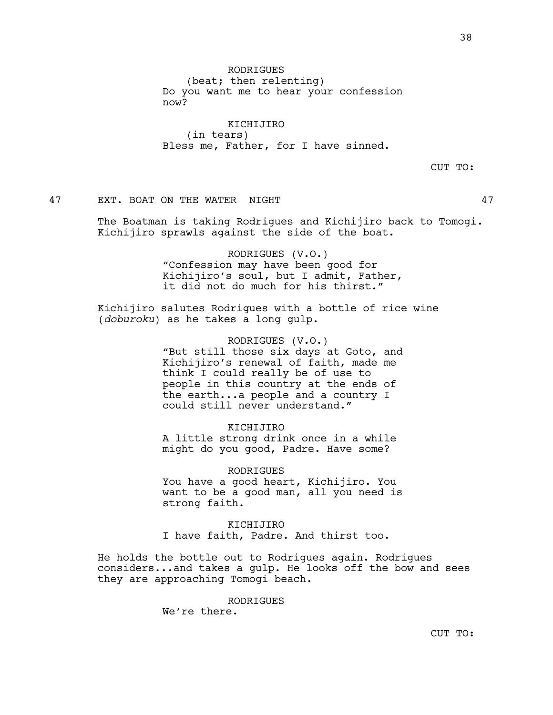RODRIGUES (beat; then relenting) Do you want me to hear your confession now?

KICHIJIRO (in tears) Bless me, Father, for I have sinned.

CUT TO:

47 EXT. BOAT ON THE WATER NIGHT 47

The Boatman is taking Rodrigues and Kichijiro back to Tomogi. Kichijiro sprawls against the side of the boat.

> RODRIGUES (V.O.) "Confession may have been good for Kichijiro's soul, but I admit, Father, it did not do much for his thirst."

Kichijiro salutes Rodrigues with a bottle of rice wine (*doburoku*) as he takes a long gulp.

> RODRIGUES (V.O.) "But still those six days at Goto, and Kichijiro's renewal of faith, made me think I could really be of use to people in this country at the ends of the earth...a people and a country I could still never understand."

KICHIJIRO A little strong drink once in a while might do you good, Padre. Have some?

RODRIGUES You have a good heart, Kichijiro. You want to be a good man, all you need is strong faith.

KICHIJIRO I have faith, Padre. And thirst too.

He holds the bottle out to Rodrigues again. Rodrigues considers...and takes a gulp. He looks off the bow and sees they are approaching Tomogi beach.

RODRIGUES

We're there.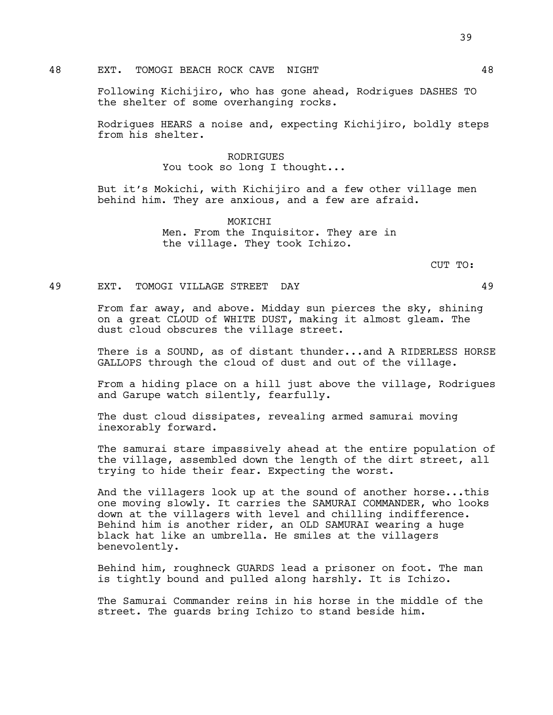## 48 EXT. TOMOGI BEACH ROCK CAVE NIGHT 48

Following Kichijiro, who has gone ahead, Rodrigues DASHES TO the shelter of some overhanging rocks.

Rodrigues HEARS a noise and, expecting Kichijiro, boldly steps from his shelter.

## RODRIGUES You took so long I thought...

But it's Mokichi, with Kichijiro and a few other village men behind him. They are anxious, and a few are afraid.

> MOKICHI Men. From the Inquisitor. They are in the village. They took Ichizo.

> > CUT TO:

### 49 EXT. TOMOGI VILLAGE STREET DAY 49

From far away, and above. Midday sun pierces the sky, shining on a great CLOUD of WHITE DUST, making it almost gleam. The dust cloud obscures the village street.

There is a SOUND, as of distant thunder...and A RIDERLESS HORSE GALLOPS through the cloud of dust and out of the village.

From a hiding place on a hill just above the village, Rodrigues and Garupe watch silently, fearfully.

The dust cloud dissipates, revealing armed samurai moving inexorably forward.

The samurai stare impassively ahead at the entire population of the village, assembled down the length of the dirt street, all trying to hide their fear. Expecting the worst.

And the villagers look up at the sound of another horse...this one moving slowly. It carries the SAMURAI COMMANDER, who looks down at the villagers with level and chilling indifference. Behind him is another rider, an OLD SAMURAI wearing a huge black hat like an umbrella. He smiles at the villagers benevolently.

Behind him, roughneck GUARDS lead a prisoner on foot. The man is tightly bound and pulled along harshly. It is Ichizo.

The Samurai Commander reins in his horse in the middle of the street. The guards bring Ichizo to stand beside him.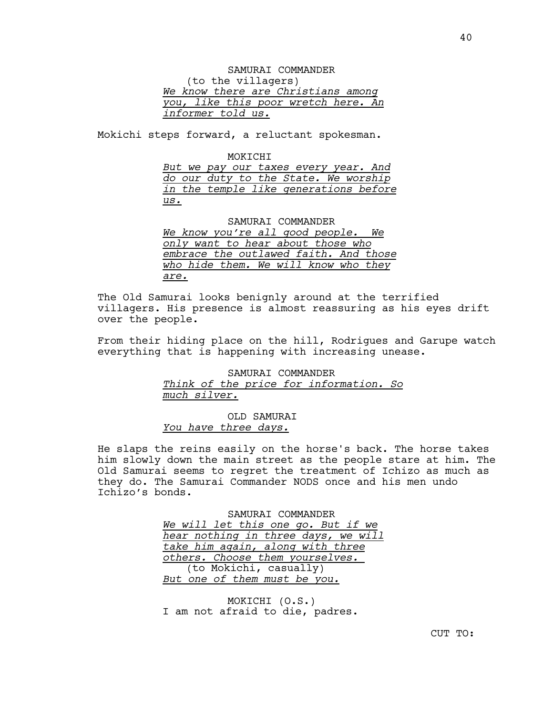SAMURAI COMMANDER (to the villagers) *We know there are Christians among you, like this poor wretch here. An informer told us.*

Mokichi steps forward, a reluctant spokesman.

#### MOKICHI

*But we pay our taxes every year. And do our duty to the State. We worship in the temple like generations before us.*

#### SAMURAI COMMANDER

*We know you're all good people. We only want to hear about those who embrace the outlawed faith. And those who hide them. We will know who they are.*

The Old Samurai looks benignly around at the terrified villagers. His presence is almost reassuring as his eyes drift over the people.

From their hiding place on the hill, Rodrigues and Garupe watch everything that is happening with increasing unease.

> SAMURAI COMMANDER *Think of the price for information. So much silver.*

OLD SAMURAI *You have three days.*

He slaps the reins easily on the horse's back. The horse takes him slowly down the main street as the people stare at him. The Old Samurai seems to regret the treatment of Ichizo as much as they do. The Samurai Commander NODS once and his men undo Ichizo's bonds.

> SAMURAI COMMANDER *We will let this one go. But if we hear nothing in three days, we will take him again, along with three others. Choose them yourselves.*  (to Mokichi, casually) *But one of them must be you.*

MOKICHI (O.S.) I am not afraid to die, padres.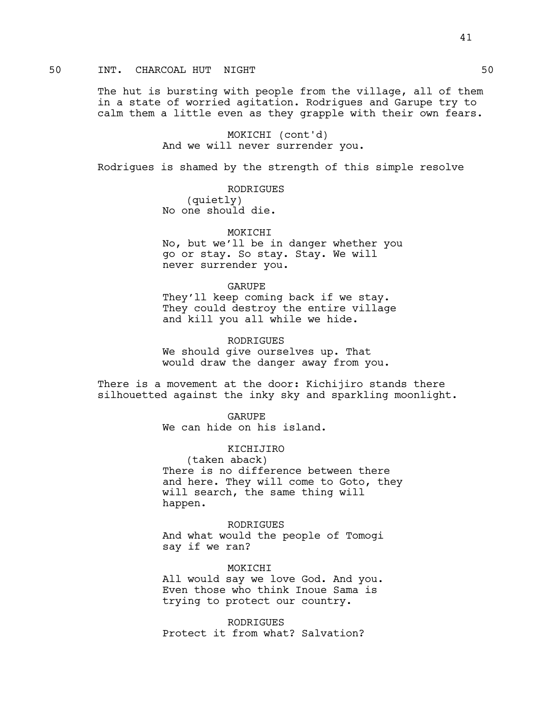## 50 INT. CHARCOAL HUT NIGHT 50

The hut is bursting with people from the village, all of them in a state of worried agitation. Rodrigues and Garupe try to calm them a little even as they grapple with their own fears.

> MOKICHI (cont'd) And we will never surrender you.

Rodrigues is shamed by the strength of this simple resolve

RODRIGUES (quietly) No one should die.

MOKICHI No, but we'll be in danger whether you go or stay. So stay. Stay. We will never surrender you.

GARUPE They'll keep coming back if we stay. They could destroy the entire village and kill you all while we hide.

RODRIGUES We should give ourselves up. That would draw the danger away from you.

There is a movement at the door: Kichijiro stands there silhouetted against the inky sky and sparkling moonlight.

> GARUPE We can hide on his island.

KICHIJIRO (taken aback) There is no difference between there and here. They will come to Goto, they will search, the same thing will happen.

RODRIGUES And what would the people of Tomogi say if we ran?

MOKICHI All would say we love God. And you. Even those who think Inoue Sama is trying to protect our country.

**RODRIGUES** Protect it from what? Salvation?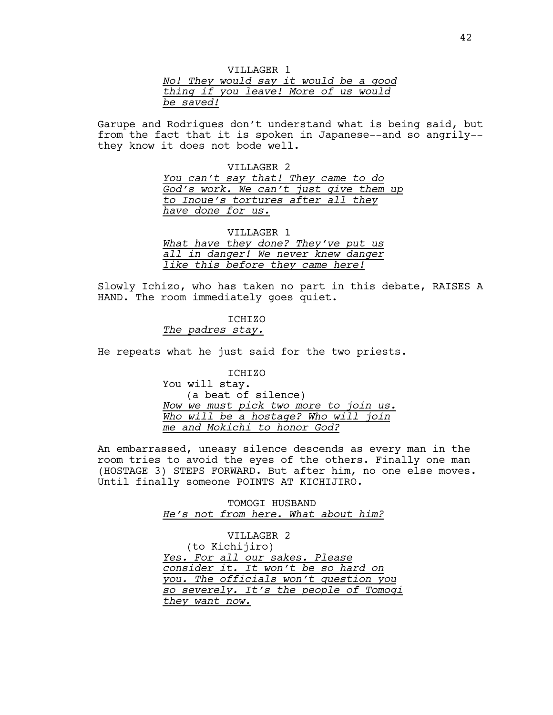| VILLAGER 1 |  |  |  |  |                                      |  |  |  |  |  |                                       |
|------------|--|--|--|--|--------------------------------------|--|--|--|--|--|---------------------------------------|
|            |  |  |  |  |                                      |  |  |  |  |  | No! They would say it would be a good |
|            |  |  |  |  | thing if you leave! More of us would |  |  |  |  |  |                                       |
| be saved!  |  |  |  |  |                                      |  |  |  |  |  |                                       |

Garupe and Rodrigues don't understand what is being said, but from the fact that it is spoken in Japanese--and so angrily- they know it does not bode well.

> VILLAGER 2 *You can't say that! They came to do God's work. We can't just give them up to Inoue's tortures after all they have done for us.*

VILLAGER 1 *What have they done? They've put us all in danger! We never knew danger like this before they came here!*

Slowly Ichizo, who has taken no part in this debate, RAISES A HAND. The room immediately goes quiet.

### ICHIZO

*The padres stay.*

He repeats what he just said for the two priests.

ICHIZO You will stay. (a beat of silence) *Now we must pick two more to join us. Who will be a hostage? Who will join me and Mokichi to honor God?*

An embarrassed, uneasy silence descends as every man in the room tries to avoid the eyes of the others. Finally one man (HOSTAGE 3) STEPS FORWARD. But after him, no one else moves. Until finally someone POINTS AT KICHIJIRO.

> TOMOGI HUSBAND *He's not from here. What about him?*

VILLAGER 2 (to Kichijiro) *Yes. For all our sakes. Please consider it. It won't be so hard on you. The officials won't question you so severely. It's the people of Tomogi they want now.*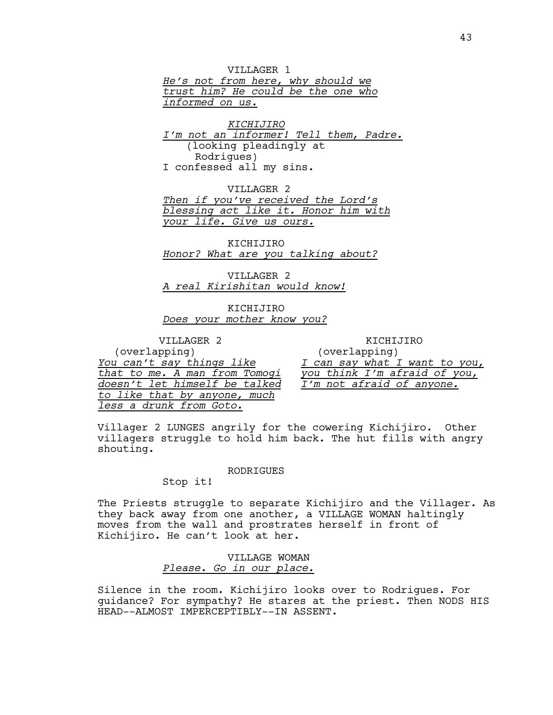VILLAGER 1 *He's not from here, why should we trust him? He could be the one who informed on us.*

*KICHIJIRO I'm not an informer! Tell them, Padre.* (looking pleadingly at Rodrigues) I confessed all my sins.

VILLAGER 2 *Then if you've received the Lord's blessing act like it. Honor him with your life. Give us ours.*

KICHIJIRO *Honor? What are you talking about?*

VILLAGER 2 *A real Kirishitan would know!*

KICHIJIRO *Does your mother know you?*

VILLAGER 2 (overlapping) *You can't say things like that to me. A man from Tomogi doesn't let himself be talked to like that by anyone, much less a drunk from Goto.*

KICHIJIRO (overlapping) *I can say what I want to you, you think I'm afraid of you, I'm not afraid of anyone.*

Villager 2 LUNGES angrily for the cowering Kichijiro. Other villagers struggle to hold him back. The hut fills with angry shouting.

#### RODRIGUES

Stop it!

The Priests struggle to separate Kichijiro and the Villager. As they back away from one another, a VILLAGE WOMAN haltingly moves from the wall and prostrates herself in front of Kichijiro. He can't look at her.

> VILLAGE WOMAN *Please. Go in our place.*

Silence in the room. Kichijiro looks over to Rodrigues. For guidance? For sympathy? He stares at the priest. Then NODS HIS HEAD--ALMOST IMPERCEPTIBLY--IN ASSENT.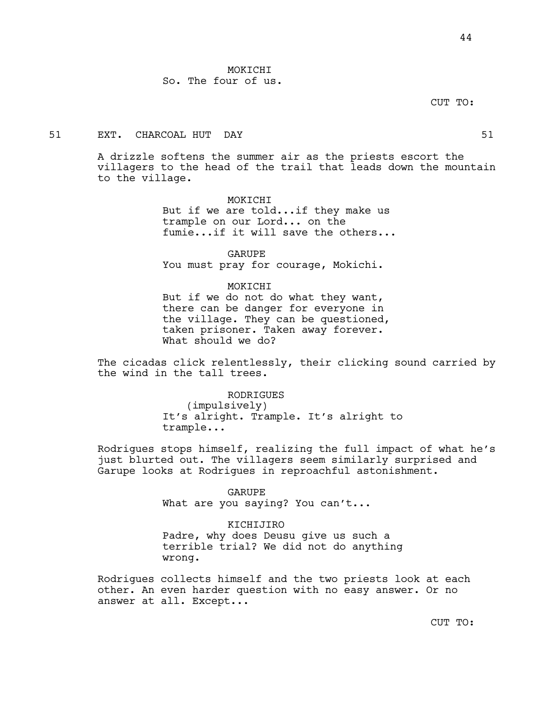MOKICHI So. The four of us.

CUT TO:

## 51 EXT. CHARCOAL HUT DAY 51

A drizzle softens the summer air as the priests escort the villagers to the head of the trail that leads down the mountain to the village.

> MOKICHI But if we are told...if they make us trample on our Lord... on the fumie...if it will save the others...

GARUPE You must pray for courage, Mokichi.

#### MOKICHI

But if we do not do what they want, there can be danger for everyone in the village. They can be questioned, taken prisoner. Taken away forever. What should we do?

The cicadas click relentlessly, their clicking sound carried by the wind in the tall trees.

> RODRIGUES (impulsively) It's alright. Trample. It's alright to trample...

Rodrigues stops himself, realizing the full impact of what he's just blurted out. The villagers seem similarly surprised and Garupe looks at Rodrigues in reproachful astonishment.

> GARUPE What are you saying? You can't...

KICHIJIRO Padre, why does Deusu give us such a terrible trial? We did not do anything wrong.

Rodrigues collects himself and the two priests look at each other. An even harder question with no easy answer. Or no answer at all. Except...

CUT TO: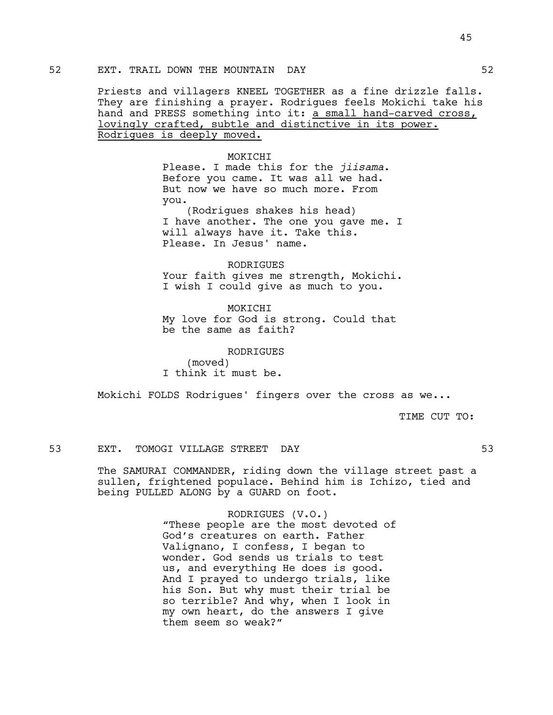Priests and villagers KNEEL TOGETHER as a fine drizzle falls. They are finishing a prayer. Rodrigues feels Mokichi take his hand and PRESS something into it: a small hand-carved cross, lovingly crafted, subtle and distinctive in its power. Rodrigues is deeply moved.

### MOKICHI

Please. I made this for the *jiisama*. Before you came. It was all we had. But now we have so much more. From you.

(Rodrigues shakes his head) I have another. The one you gave me. I will always have it. Take this. Please. In Jesus' name.

RODRIGUES Your faith gives me strength, Mokichi. I wish I could give as much to you.

MOKICHI My love for God is strong. Could that be the same as faith?

> RODRIGUES (moved)

I think it must be.

Mokichi FOLDS Rodrigues' fingers over the cross as we...

TIME CUT TO:

### 53 EXT. TOMOGI VILLAGE STREET DAY 53

The SAMURAI COMMANDER, riding down the village street past a sullen, frightened populace. Behind him is Ichizo, tied and being PULLED ALONG by a GUARD on foot.

> RODRIGUES (V.O.) "These people are the most devoted of God's creatures on earth. Father Valignano, I confess, I began to wonder. God sends us trials to test us, and everything He does is good. And I prayed to undergo trials, like his Son. But why must their trial be so terrible? And why, when I look in my own heart, do the answers I give them seem so weak?"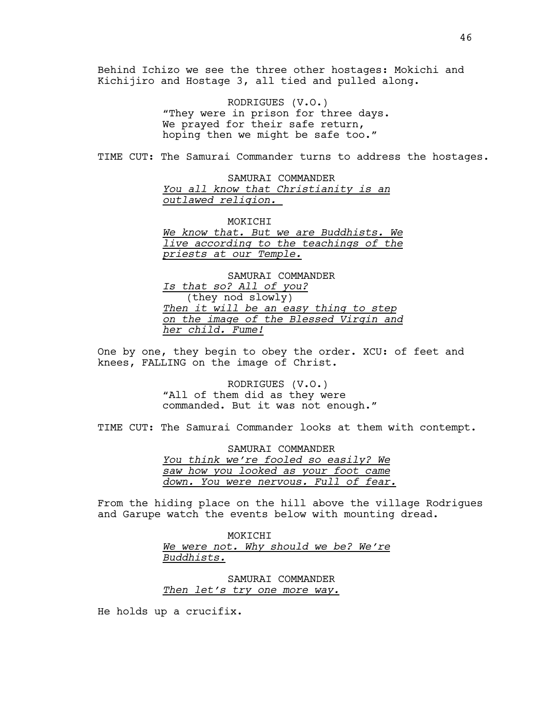Behind Ichizo we see the three other hostages: Mokichi and Kichijiro and Hostage 3, all tied and pulled along.

> RODRIGUES (V.O.) "They were in prison for three days. We prayed for their safe return, hoping then we might be safe too."

TIME CUT: The Samurai Commander turns to address the hostages.

SAMURAI COMMANDER *You all know that Christianity is an outlawed religion.* 

MOKICHI *We know that. But we are Buddhists. We live according to the teachings of the priests at our Temple.*

SAMURAI COMMANDER *Is that so? All of you?* (they nod slowly) *Then it will be an easy thing to step on the image of the Blessed Virgin and her child. Fume!*

One by one, they begin to obey the order. XCU: of feet and knees, FALLING on the image of Christ.

> RODRIGUES (V.O.) "All of them did as they were commanded. But it was not enough."

TIME CUT: The Samurai Commander looks at them with contempt.

SAMURAI COMMANDER *You think we're fooled so easily? We saw how you looked as your foot came down. You were nervous. Full of fear.*

From the hiding place on the hill above the village Rodrigues and Garupe watch the events below with mounting dread.

> MOKICHI *We were not. Why should we be? We're Buddhists.*

SAMURAI COMMANDER *Then let's try one more way.*

He holds up a crucifix.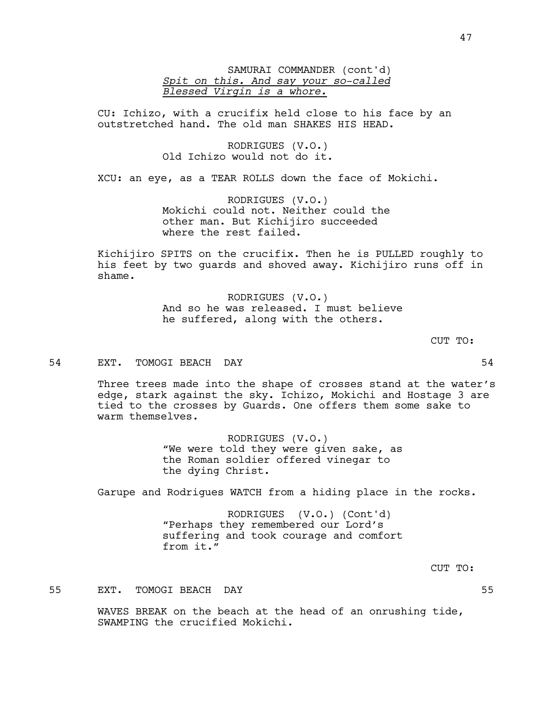SAMURAI COMMANDER (cont'd) *Spit on this. And say your so-called Blessed Virgin is a whore.*

CU: Ichizo, with a crucifix held close to his face by an outstretched hand. The old man SHAKES HIS HEAD.

> RODRIGUES (V.O.) Old Ichizo would not do it.

XCU: an eye, as a TEAR ROLLS down the face of Mokichi.

RODRIGUES (V.O.) Mokichi could not. Neither could the other man. But Kichijiro succeeded where the rest failed.

Kichijiro SPITS on the crucifix. Then he is PULLED roughly to his feet by two guards and shoved away. Kichijiro runs off in shame.

> RODRIGUES (V.O.) And so he was released. I must believe he suffered, along with the others.

> > CUT TO:

## 54 EXT. TOMOGI BEACH DAY 54

Three trees made into the shape of crosses stand at the water's edge, stark against the sky. Ichizo, Mokichi and Hostage 3 are tied to the crosses by Guards. One offers them some sake to warm themselves.

> RODRIGUES (V.O.) "We were told they were given sake, as the Roman soldier offered vinegar to the dying Christ.

Garupe and Rodrigues WATCH from a hiding place in the rocks.

RODRIGUES (V.O.) (Cont'd) "Perhaps they remembered our Lord's suffering and took courage and comfort from it."

CUT TO:

55 EXT. TOMOGI BEACH DAY 55

WAVES BREAK on the beach at the head of an onrushing tide, SWAMPING the crucified Mokichi.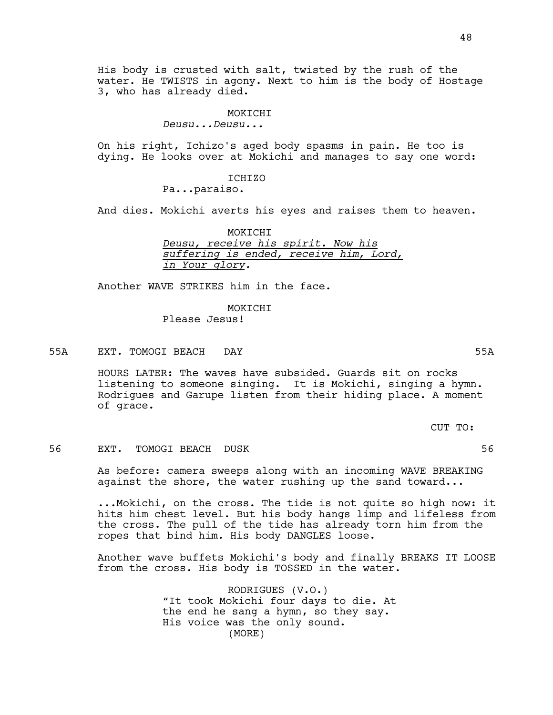His body is crusted with salt, twisted by the rush of the water. He TWISTS in agony. Next to him is the body of Hostage 3, who has already died.

### MOKICHI

*Deusu...Deusu...*

On his right, Ichizo's aged body spasms in pain. He too is dying. He looks over at Mokichi and manages to say one word:

ICHIZO

Pa...paraiso.

And dies. Mokichi averts his eyes and raises them to heaven.

MOKICHI *Deusu, receive his spirit. Now his suffering is ended, receive him, Lord, in Your glory.*

Another WAVE STRIKES him in the face.

# MOKICHI

Please Jesus!

55A EXT. TOMOGI BEACH DAY 55A

HOURS LATER: The waves have subsided. Guards sit on rocks listening to someone singing. It is Mokichi, singing a hymn. Rodrigues and Garupe listen from their hiding place. A moment of grace.

CUT TO:

### 56 EXT. TOMOGI BEACH DUSK 56

As before: camera sweeps along with an incoming WAVE BREAKING against the shore, the water rushing up the sand toward...

...Mokichi, on the cross. The tide is not quite so high now: it hits him chest level. But his body hangs limp and lifeless from the cross. The pull of the tide has already torn him from the ropes that bind him. His body DANGLES loose.

Another wave buffets Mokichi's body and finally BREAKS IT LOOSE from the cross. His body is TOSSED in the water.

> RODRIGUES (V.O.) "It took Mokichi four days to die. At the end he sang a hymn, so they say. His voice was the only sound. (MORE)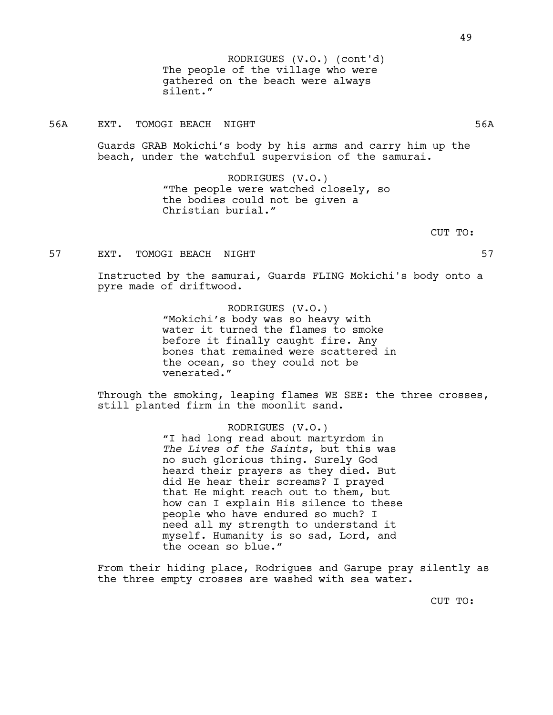The people of the village who were gathered on the beach were always silent." RODRIGUES (V.O.) (cont'd)

## 56A EXT. TOMOGI BEACH NIGHT 56A

Guards GRAB Mokichi's body by his arms and carry him up the beach, under the watchful supervision of the samurai.

> RODRIGUES (V.O.) "The people were watched closely, so the bodies could not be given a Christian burial."

> > CUT TO:

### 57 EXT. TOMOGI BEACH NIGHT 57

Instructed by the samurai, Guards FLING Mokichi's body onto a pyre made of driftwood.

> RODRIGUES (V.O.) "Mokichi's body was so heavy with water it turned the flames to smoke before it finally caught fire. Any bones that remained were scattered in the ocean, so they could not be venerated."

Through the smoking, leaping flames WE SEE: the three crosses, still planted firm in the moonlit sand.

#### RODRIGUES (V.O.)

"I had long read about martyrdom in *The Lives of the Saints*, but this was no such glorious thing. Surely God heard their prayers as they died. But did He hear their screams? I prayed that He might reach out to them, but how can I explain His silence to these people who have endured so much? I need all my strength to understand it myself. Humanity is so sad, Lord, and the ocean so blue."

From their hiding place, Rodrigues and Garupe pray silently as the three empty crosses are washed with sea water.

CUT TO: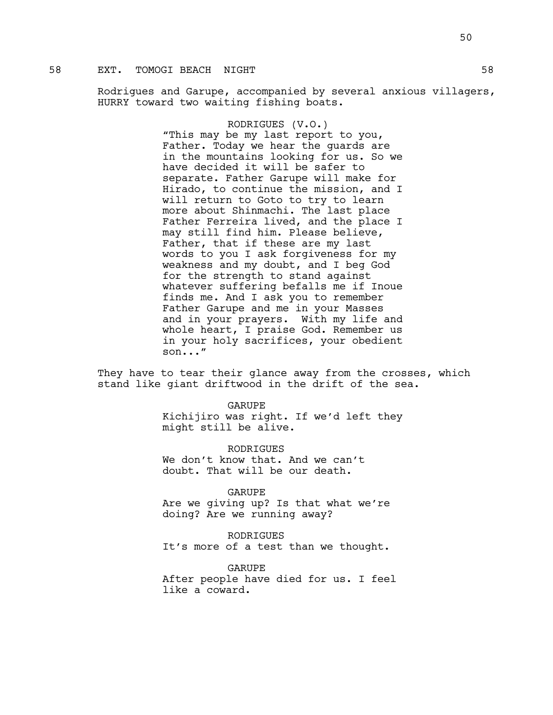# 58 EXT. TOMOGI BEACH NIGHT **1988 SEARCH 1988**

Rodrigues and Garupe, accompanied by several anxious villagers, HURRY toward two waiting fishing boats.

> RODRIGUES (V.O.) "This may be my last report to you, Father. Today we hear the guards are in the mountains looking for us. So we have decided it will be safer to separate. Father Garupe will make for Hirado, to continue the mission, and I will return to Goto to try to learn more about Shinmachi. The last place Father Ferreira lived, and the place I may still find him. Please believe, Father, that if these are my last words to you I ask forgiveness for my weakness and my doubt, and I beg God for the strength to stand against whatever suffering befalls me if Inoue finds me. And I ask you to remember Father Garupe and me in your Masses and in your prayers. With my life and whole heart, I praise God. Remember us in your holy sacrifices, your obedient son..."

They have to tear their glance away from the crosses, which stand like giant driftwood in the drift of the sea.

> GARUPE Kichijiro was right. If we'd left they might still be alive.

**RODRIGUES** We don't know that. And we can't doubt. That will be our death.

GARUPE

Are we giving up? Is that what we're doing? Are we running away?

RODRIGUES It's more of a test than we thought.

GARUPE After people have died for us. I feel like a coward.

50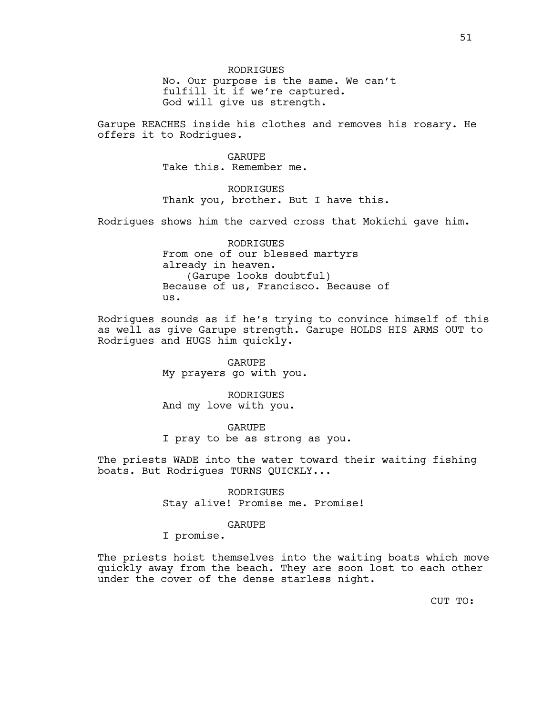No. Our purpose is the same. We can't fulfill it if we're captured. God will give us strength.

Garupe REACHES inside his clothes and removes his rosary. He offers it to Rodrigues.

> GARUPE Take this. Remember me.

RODRIGUES Thank you, brother. But I have this.

Rodrigues shows him the carved cross that Mokichi gave him.

RODRIGUES From one of our blessed martyrs already in heaven. (Garupe looks doubtful) Because of us, Francisco. Because of us.

Rodrigues sounds as if he's trying to convince himself of this as well as give Garupe strength. Garupe HOLDS HIS ARMS OUT to Rodrigues and HUGS him quickly.

> GARUPE My prayers go with you.

RODRIGUES And my love with you.

GARUPE

I pray to be as strong as you.

The priests WADE into the water toward their waiting fishing boats. But Rodrigues TURNS QUICKLY...

> RODRIGUES Stay alive! Promise me. Promise!

## GARUPE

I promise.

The priests hoist themselves into the waiting boats which move quickly away from the beach. They are soon lost to each other under the cover of the dense starless night.

CUT TO: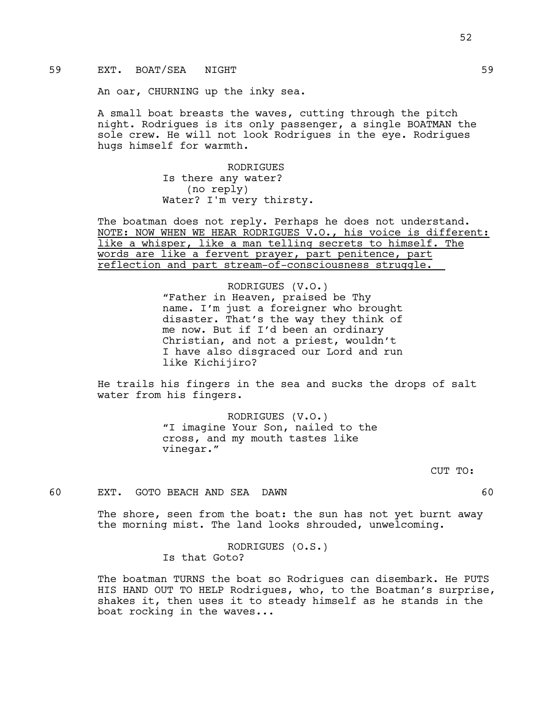## 59 EXT. BOAT/SEA NIGHT

An oar, CHURNING up the inky sea.

A small boat breasts the waves, cutting through the pitch night. Rodrigues is its only passenger, a single BOATMAN the sole crew. He will not look Rodrigues in the eye. Rodrigues hugs himself for warmth.

> RODRIGUES Is there any water? (no reply) Water? I'm very thirsty.

The boatman does not reply. Perhaps he does not understand. NOTE: NOW WHEN WE HEAR RODRIGUES V.O., his voice is different: like a whisper, like a man telling secrets to himself. The words are like a fervent prayer, part penitence, part reflection and part stream-of-consciousness struggle.

> RODRIGUES (V.O.) "Father in Heaven, praised be Thy name. I'm just a foreigner who brought disaster. That's the way they think of me now. But if I'd been an ordinary Christian, and not a priest, wouldn't I have also disgraced our Lord and run like Kichijiro?

He trails his fingers in the sea and sucks the drops of salt water from his fingers.

> RODRIGUES (V.O.) "I imagine Your Son, nailed to the cross, and my mouth tastes like vinegar."

> > CUT TO:

60 EXT. GOTO BEACH AND SEA DAWN 60

The shore, seen from the boat: the sun has not yet burnt away the morning mist. The land looks shrouded, unwelcoming.

> RODRIGUES (O.S.) Is that Goto?

The boatman TURNS the boat so Rodrigues can disembark. He PUTS HIS HAND OUT TO HELP Rodrigues, who, to the Boatman's surprise, shakes it, then uses it to steady himself as he stands in the boat rocking in the waves...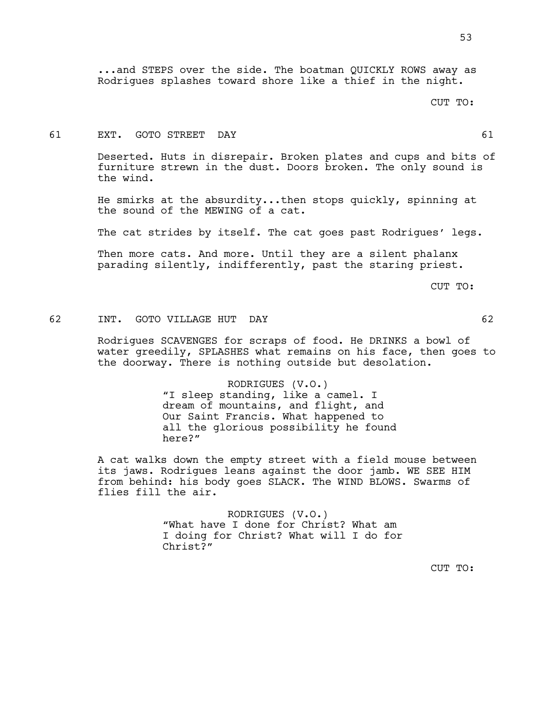...and STEPS over the side. The boatman QUICKLY ROWS away as Rodrigues splashes toward shore like a thief in the night.

### CUT TO:

#### 61 EXT. GOTO STREET DAY 61

Deserted. Huts in disrepair. Broken plates and cups and bits of furniture strewn in the dust. Doors broken. The only sound is the wind.

He smirks at the absurdity...then stops quickly, spinning at the sound of the MEWING of a cat.

The cat strides by itself. The cat goes past Rodrigues' legs.

Then more cats. And more. Until they are a silent phalanx parading silently, indifferently, past the staring priest.

CUT TO:

### 62 INT. GOTO VILLAGE HUT DAY 62

Rodrigues SCAVENGES for scraps of food. He DRINKS a bowl of water greedily, SPLASHES what remains on his face, then goes to the doorway. There is nothing outside but desolation.

### RODRIGUES (V.O.)

"I sleep standing, like a camel. I dream of mountains, and flight, and Our Saint Francis. What happened to all the glorious possibility he found here?"

A cat walks down the empty street with a field mouse between its jaws. Rodrigues leans against the door jamb. WE SEE HIM from behind: his body goes SLACK. The WIND BLOWS. Swarms of flies fill the air.

> RODRIGUES (V.O.) "What have I done for Christ? What am I doing for Christ? What will I do for Christ?"

> > CUT TO: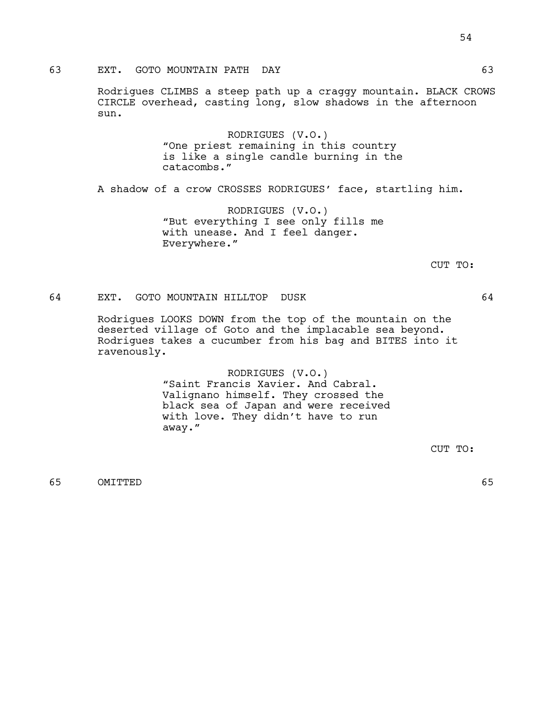Rodrigues CLIMBS a steep path up a craggy mountain. BLACK CROWS CIRCLE overhead, casting long, slow shadows in the afternoon sun.

> RODRIGUES (V.O.) "One priest remaining in this country is like a single candle burning in the catacombs."

A shadow of a crow CROSSES RODRIGUES' face, startling him.

RODRIGUES (V.O.) "But everything I see only fills me with unease. And I feel danger. Everywhere."

CUT TO:

## 64 EXT. GOTO MOUNTAIN HILLTOP DUSK 64

Rodrigues LOOKS DOWN from the top of the mountain on the deserted village of Goto and the implacable sea beyond. Rodrigues takes a cucumber from his bag and BITES into it ravenously.

> RODRIGUES (V.O.) "Saint Francis Xavier. And Cabral. Valignano himself. They crossed the black sea of Japan and were received with love. They didn't have to run away."

> > CUT TO:

65 OMITTED 65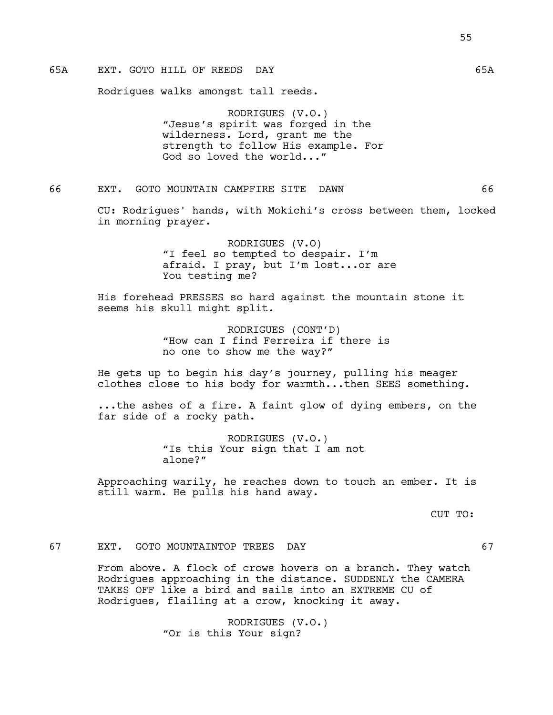# 65A EXT. GOTO HILL OF REEDS DAY 65A

Rodrigues walks amongst tall reeds.

RODRIGUES (V.O.) "Jesus's spirit was forged in the wilderness. Lord, grant me the strength to follow His example. For God so loved the world..."

## 66 EXT. GOTO MOUNTAIN CAMPFIRE SITE DAWN 66

CU: Rodrigues' hands, with Mokichi's cross between them, locked in morning prayer.

> RODRIGUES (V.O) "I feel so tempted to despair. I'm afraid. I pray, but I'm lost...or are You testing me?

His forehead PRESSES so hard against the mountain stone it seems his skull might split.

> RODRIGUES (CONT'D) "How can I find Ferreira if there is no one to show me the way?"

He gets up to begin his day's journey, pulling his meager clothes close to his body for warmth...then SEES something.

...the ashes of a fire. A faint glow of dying embers, on the far side of a rocky path.

> RODRIGUES (V.O.) "Is this Your sign that I am not alone?"

Approaching warily, he reaches down to touch an ember. It is still warm. He pulls his hand away.

CUT TO:

## 67 EXT. GOTO MOUNTAINTOP TREES DAY 67

From above. A flock of crows hovers on a branch. They watch Rodrigues approaching in the distance. SUDDENLY the CAMERA TAKES OFF like a bird and sails into an EXTREME CU of Rodrigues, flailing at a crow, knocking it away.

> RODRIGUES (V.O.) "Or is this Your sign?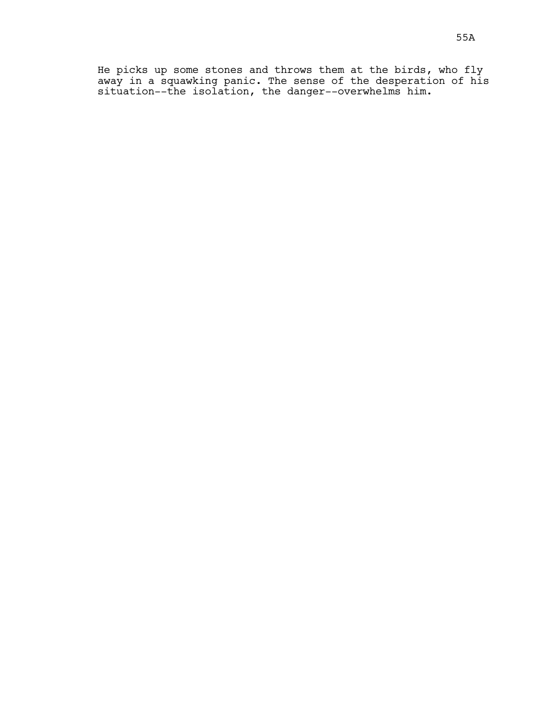He picks up some stones and throws them at the birds, who fly away in a squawking panic. The sense of the desperation of his situation--the isolation, the danger--overwhelms him.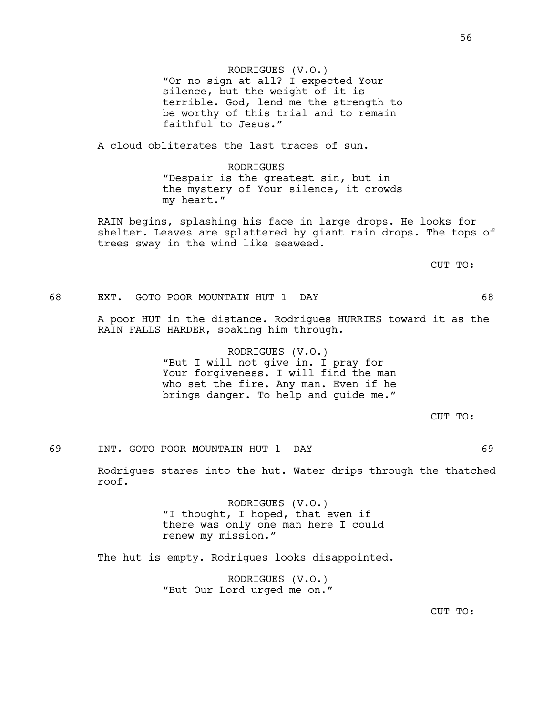RODRIGUES (V.O.) "Or no sign at all? I expected Your silence, but the weight of it is terrible. God, lend me the strength to be worthy of this trial and to remain faithful to Jesus."

A cloud obliterates the last traces of sun.

RODRIGUES "Despair is the greatest sin, but in the mystery of Your silence, it crowds my heart."

RAIN begins, splashing his face in large drops. He looks for shelter. Leaves are splattered by giant rain drops. The tops of trees sway in the wind like seaweed.

CUT TO:

## 68 EXT. GOTO POOR MOUNTAIN HUT 1 DAY 68

A poor HUT in the distance. Rodrigues HURRIES toward it as the RAIN FALLS HARDER, soaking him through.

> RODRIGUES (V.O.) "But I will not give in. I pray for Your forgiveness. I will find the man who set the fire. Any man. Even if he brings danger. To help and guide me."

> > CUT TO:

# 69 INT. GOTO POOR MOUNTAIN HUT 1 DAY 69

Rodrigues stares into the hut. Water drips through the thatched roof.

> RODRIGUES (V.O.) "I thought, I hoped, that even if there was only one man here I could renew my mission."

The hut is empty. Rodrigues looks disappointed.

RODRIGUES (V.O.) "But Our Lord urged me on."

CUT TO: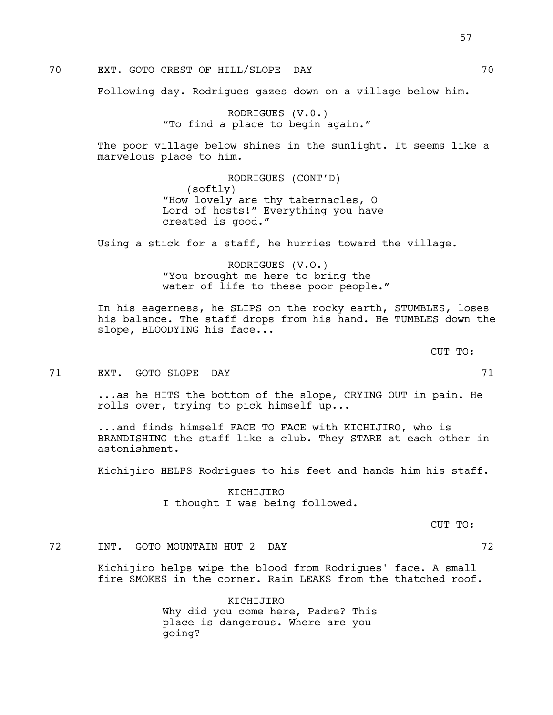70 EXT. GOTO CREST OF HILL/SLOPE DAY 70

Following day. Rodrigues gazes down on a village below him.

RODRIGUES (V.0.) "To find a place to begin again."

The poor village below shines in the sunlight. It seems like a marvelous place to him.

> RODRIGUES (CONT'D) (softly) "How lovely are thy tabernacles, O Lord of hosts!" Everything you have created is good."

Using a stick for a staff, he hurries toward the village.

RODRIGUES (V.O.) "You brought me here to bring the water of life to these poor people."

In his eagerness, he SLIPS on the rocky earth, STUMBLES, loses his balance. The staff drops from his hand. He TUMBLES down the slope, BLOODYING his face...

71 EXT. GOTO SLOPE DAY 71

...as he HITS the bottom of the slope, CRYING OUT in pain. He rolls over, trying to pick himself up...

...and finds himself FACE TO FACE with KICHIJIRO, who is BRANDISHING the staff like a club. They STARE at each other in astonishment.

Kichijiro HELPS Rodrigues to his feet and hands him his staff.

KICHIJIRO I thought I was being followed.

CUT TO:

CUT TO:

72 INT. GOTO MOUNTAIN HUT 2 DAY 72

Kichijiro helps wipe the blood from Rodrigues' face. A small fire SMOKES in the corner. Rain LEAKS from the thatched roof.

> KICHIJIRO Why did you come here, Padre? This place is dangerous. Where are you going?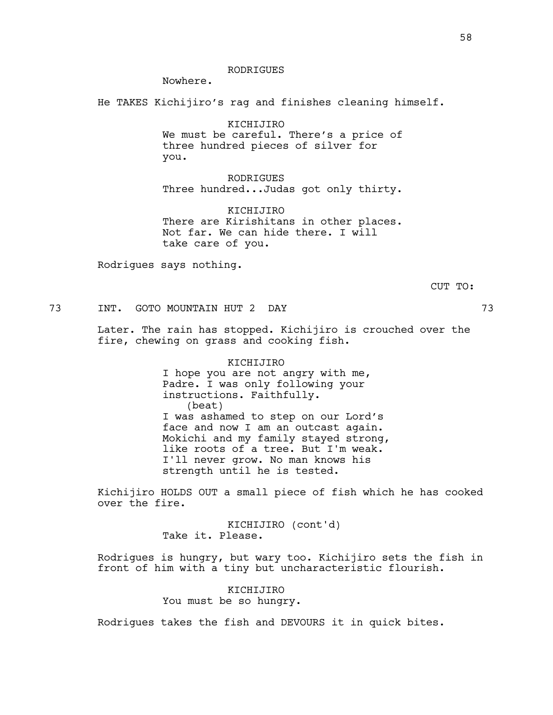### RODRIGUES

Nowhere.

He TAKES Kichijiro's rag and finishes cleaning himself.

KICHIJIRO We must be careful. There's a price of three hundred pieces of silver for you.

RODRIGUES Three hundred...Judas got only thirty.

KICHIJIRO There are Kirishitans in other places. Not far. We can hide there. I will take care of you.

Rodrigues says nothing.

CUT TO:

73 INT. GOTO MOUNTAIN HUT 2 DAY 73

Later. The rain has stopped. Kichijiro is crouched over the fire, chewing on grass and cooking fish.

> KICHIJIRO I hope you are not angry with me, Padre. I was only following your instructions. Faithfully. (beat) I was ashamed to step on our Lord's face and now I am an outcast again. Mokichi and my family stayed strong, like roots of a tree. But I'm weak. I'll never grow. No man knows his strength until he is tested.

Kichijiro HOLDS OUT a small piece of fish which he has cooked over the fire.

> KICHIJIRO (cont'd) Take it. Please.

Rodrigues is hungry, but wary too. Kichijiro sets the fish in front of him with a tiny but uncharacteristic flourish.

> KICHIJIRO You must be so hungry.

Rodrigues takes the fish and DEVOURS it in quick bites.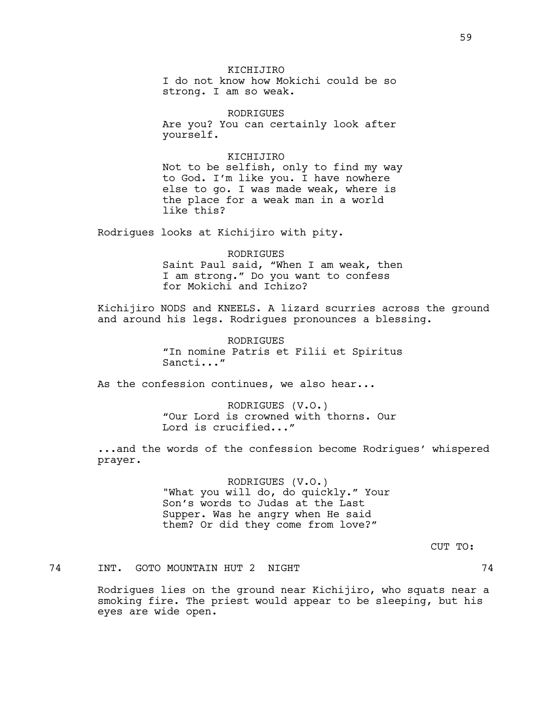### KICHIJIRO

I do not know how Mokichi could be so strong. I am so weak.

RODRIGUES Are you? You can certainly look after yourself.

### KICHIJIRO

Not to be selfish, only to find my way to God. I'm like you. I have nowhere else to go. I was made weak, where is the place for a weak man in a world like this?

Rodrigues looks at Kichijiro with pity.

#### RODRIGUES

Saint Paul said, "When I am weak, then I am strong." Do you want to confess for Mokichi and Ichizo?

Kichijiro NODS and KNEELS. A lizard scurries across the ground and around his legs. Rodrigues pronounces a blessing.

> RODRIGUES "In nomine Patris et Filii et Spiritus Sancti..."

As the confession continues, we also hear...

RODRIGUES (V.O.) "Our Lord is crowned with thorns. Our Lord is crucified..."

...and the words of the confession become Rodrigues' whispered prayer.

> RODRIGUES (V.O.) "What you will do, do quickly." Your Son's words to Judas at the Last Supper. Was he angry when He said them? Or did they come from love?"

> > CUT TO:

74 INT. GOTO MOUNTAIN HUT 2 NIGHT 74

Rodrigues lies on the ground near Kichijiro, who squats near a smoking fire. The priest would appear to be sleeping, but his eyes are wide open.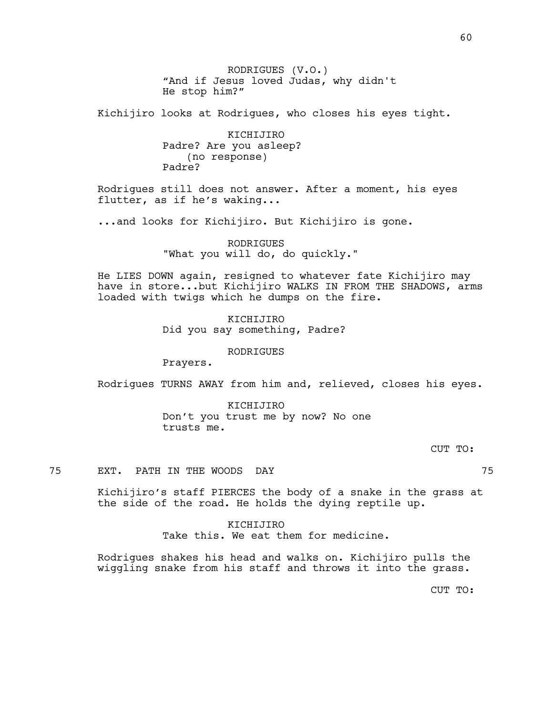RODRIGUES (V.O.) "And if Jesus loved Judas, why didn't He stop him?"

Kichijiro looks at Rodrigues, who closes his eyes tight.

KICHIJIRO Padre? Are you asleep? (no response) Padre?

Rodrigues still does not answer. After a moment, his eyes flutter, as if he's waking...

...and looks for Kichijiro. But Kichijiro is gone.

RODRIGUES "What you will do, do quickly."

He LIES DOWN again, resigned to whatever fate Kichijiro may have in store...but Kichijiro WALKS IN FROM THE SHADOWS, arms loaded with twigs which he dumps on the fire.

> KICHIJIRO Did you say something, Padre?

> > RODRIGUES

Prayers.

Rodrigues TURNS AWAY from him and, relieved, closes his eyes.

KICHIJIRO Don't you trust me by now? No one trusts me.

CUT TO:

75 EXT. PATH IN THE WOODS DAY 75

Kichijiro's staff PIERCES the body of a snake in the grass at the side of the road. He holds the dying reptile up.

> KICHIJIRO Take this. We eat them for medicine.

Rodrigues shakes his head and walks on. Kichijiro pulls the wiggling snake from his staff and throws it into the grass.

CUT TO: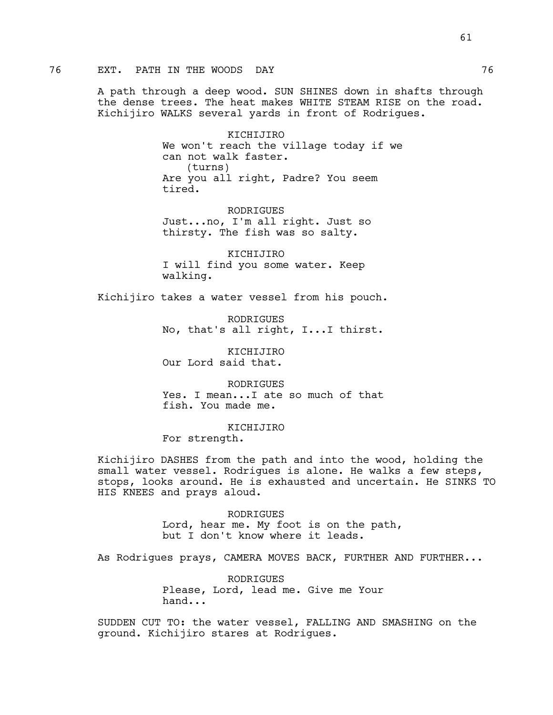A path through a deep wood. SUN SHINES down in shafts through the dense trees. The heat makes WHITE STEAM RISE on the road. Kichijiro WALKS several yards in front of Rodrigues.

> KICHIJIRO We won't reach the village today if we can not walk faster. (turns) Are you all right, Padre? You seem tired.

RODRIGUES Just...no, I'm all right. Just so thirsty. The fish was so salty.

KICHIJIRO I will find you some water. Keep walking.

Kichijiro takes a water vessel from his pouch.

RODRIGUES No, that's all right, I...I thirst.

KICHIJIRO Our Lord said that.

**RODRIGUES** Yes. I mean...I ate so much of that fish. You made me.

KICHIJIRO For strength.

Kichijiro DASHES from the path and into the wood, holding the small water vessel. Rodrigues is alone. He walks a few steps, stops, looks around. He is exhausted and uncertain. He SINKS TO HIS KNEES and prays aloud.

> RODRIGUES Lord, hear me. My foot is on the path, but I don't know where it leads.

As Rodrigues prays, CAMERA MOVES BACK, FURTHER AND FURTHER...

RODRIGUES Please, Lord, lead me. Give me Your hand...

SUDDEN CUT TO: the water vessel, FALLING AND SMASHING on the ground. Kichijiro stares at Rodrigues.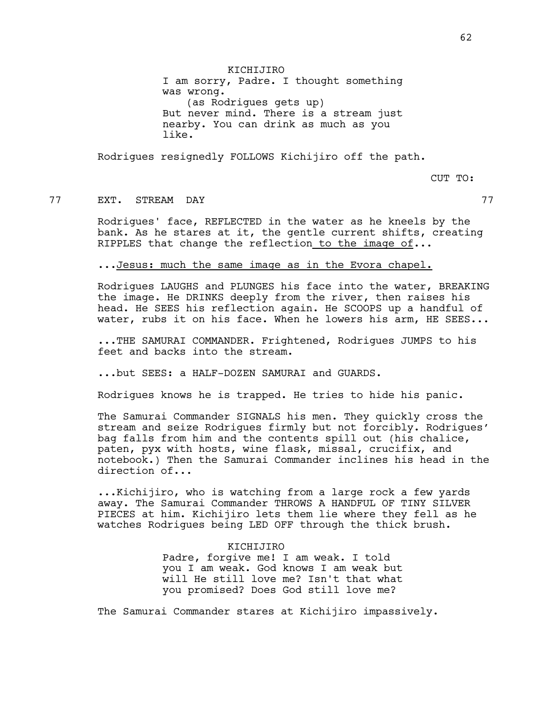KICHIJIRO I am sorry, Padre. I thought something was wrong. (as Rodrigues gets up) But never mind. There is a stream just nearby. You can drink as much as you like.

Rodrigues resignedly FOLLOWS Kichijiro off the path.

CUT TO:

## 77 EXT. STREAM DAY 77

Rodrigues' face, REFLECTED in the water as he kneels by the bank. As he stares at it, the gentle current shifts, creating RIPPLES that change the reflection to the image of...

## ...Jesus: much the same image as in the Evora chapel.

Rodrigues LAUGHS and PLUNGES his face into the water, BREAKING the image. He DRINKS deeply from the river, then raises his head. He SEES his reflection again. He SCOOPS up a handful of water, rubs it on his face. When he lowers his arm, HE SEES...

...THE SAMURAI COMMANDER. Frightened, Rodrigues JUMPS to his feet and backs into the stream.

...but SEES: a HALF-DOZEN SAMURAI and GUARDS.

Rodrigues knows he is trapped. He tries to hide his panic.

The Samurai Commander SIGNALS his men. They quickly cross the stream and seize Rodrigues firmly but not forcibly. Rodrigues' bag falls from him and the contents spill out (his chalice, paten, pyx with hosts, wine flask, missal, crucifix, and notebook.) Then the Samurai Commander inclines his head in the direction of...

...Kichijiro, who is watching from a large rock a few yards away. The Samurai Commander THROWS A HANDFUL OF TINY SILVER PIECES at him. Kichijiro lets them lie where they fell as he watches Rodrigues being LED OFF through the thick brush.

> KICHIJIRO Padre, forgive me! I am weak. I told you I am weak. God knows I am weak but will He still love me? Isn't that what you promised? Does God still love me?

The Samurai Commander stares at Kichijiro impassively.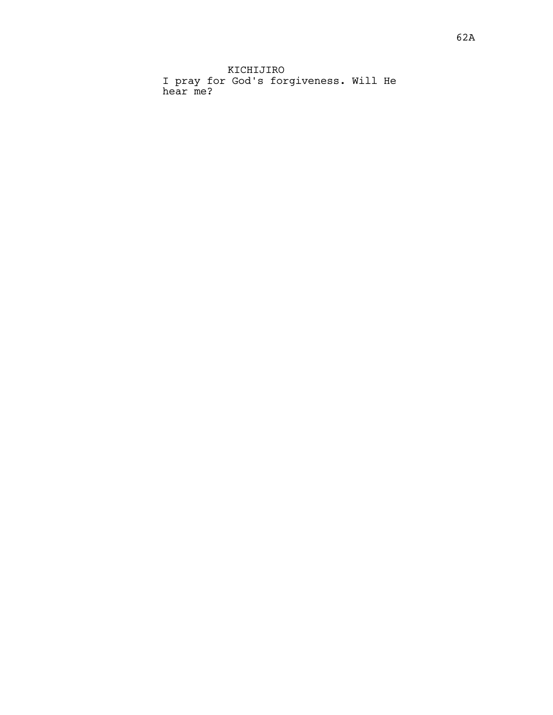KICHIJIRO I pray for God's forgiveness. Will He hear me?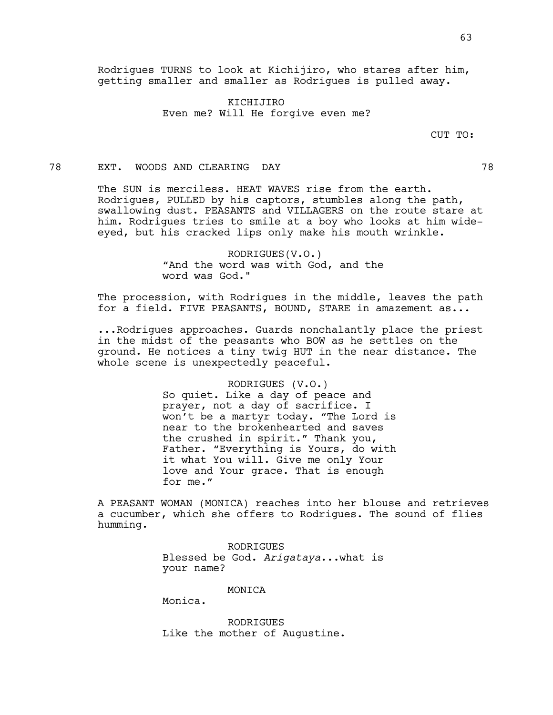KICHIJIRO Even me? Will He forgive even me?

CUT TO:

### 78 EXT. WOODS AND CLEARING DAY 78

The SUN is merciless. HEAT WAVES rise from the earth. Rodrigues, PULLED by his captors, stumbles along the path, swallowing dust. PEASANTS and VILLAGERS on the route stare at him. Rodrigues tries to smile at a boy who looks at him wideeyed, but his cracked lips only make his mouth wrinkle.

## RODRIGUES(V.O.) "And the word was with God, and the word was God."

The procession, with Rodrigues in the middle, leaves the path for a field. FIVE PEASANTS, BOUND, STARE in amazement as...

...Rodrigues approaches. Guards nonchalantly place the priest in the midst of the peasants who BOW as he settles on the ground. He notices a tiny twig HUT in the near distance. The whole scene is unexpectedly peaceful.

### RODRIGUES (V.O.)

So quiet. Like a day of peace and prayer, not a day of sacrifice. I won't be a martyr today. "The Lord is near to the brokenhearted and saves the crushed in spirit." Thank you, Father. "Everything is Yours, do with it what You will. Give me only Your love and Your grace. That is enough for me."

A PEASANT WOMAN (MONICA) reaches into her blouse and retrieves a cucumber, which she offers to Rodrigues. The sound of flies humming.

> RODRIGUES Blessed be God. *Arigataya*...what is your name?

#### MONICA

Monica.

RODRIGUES Like the mother of Augustine.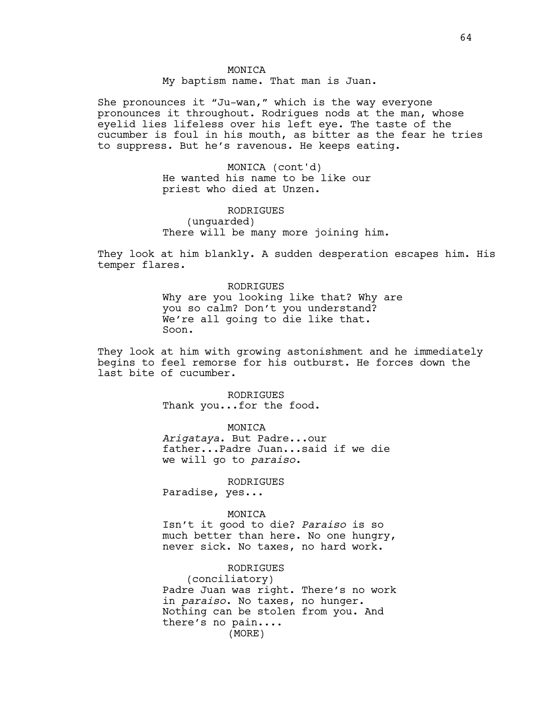My baptism name. That man is Juan.

She pronounces it "Ju-wan," which is the way everyone pronounces it throughout. Rodrigues nods at the man, whose eyelid lies lifeless over his left eye. The taste of the cucumber is foul in his mouth, as bitter as the fear he tries to suppress. But he's ravenous. He keeps eating.

> MONICA (cont'd) He wanted his name to be like our priest who died at Unzen.

RODRIGUES (unguarded) There will be many more joining him.

They look at him blankly. A sudden desperation escapes him. His temper flares.

> RODRIGUES Why are you looking like that? Why are you so calm? Don't you understand? We're all going to die like that. Soon.

They look at him with growing astonishment and he immediately begins to feel remorse for his outburst. He forces down the last bite of cucumber.

> RODRIGUES Thank you...for the food.

> > MONICA

*Arigataya*. But Padre...our father...Padre Juan...said if we die we will go to *paraiso*.

RODRIGUES

Paradise, yes...

#### MONICA

Isn't it good to die? *Paraiso* is so much better than here. No one hungry, never sick. No taxes, no hard work.

RODRIGUES

(conciliatory) Padre Juan was right. There's no work in *paraiso*. No taxes, no hunger. Nothing can be stolen from you. And there's no pain.... (MORE)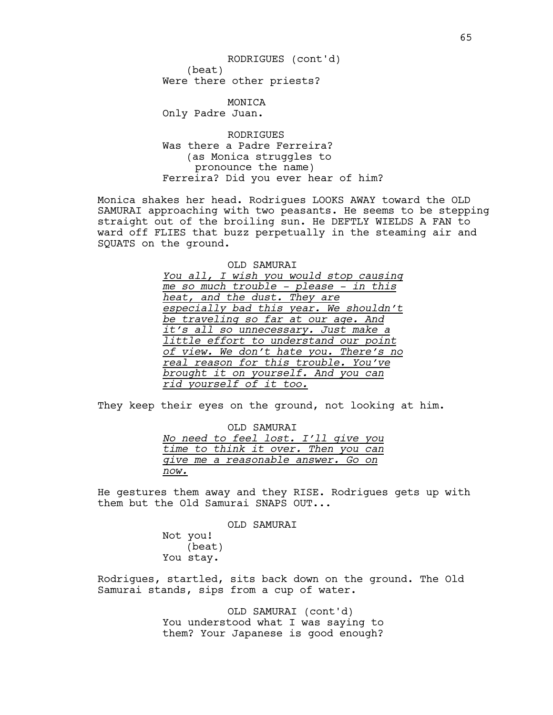(beat) Were there other priests? RODRIGUES (cont'd)

MONICA Only Padre Juan.

RODRIGUES Was there a Padre Ferreira? (as Monica struggles to pronounce the name) Ferreira? Did you ever hear of him?

Monica shakes her head. Rodrigues LOOKS AWAY toward the OLD SAMURAI approaching with two peasants. He seems to be stepping straight out of the broiling sun. He DEFTLY WIELDS A FAN to ward off FLIES that buzz perpetually in the steaming air and SQUATS on the ground.

> OLD SAMURAI *You all, I wish you would stop causing me so much trouble - please - in this heat, and the dust. They are especially bad this year. We shouldn't be traveling so far at our age. And it's all so unnecessary. Just make a little effort to understand our point of view. We don't hate you. There's no real reason for this trouble. You've brought it on yourself. And you can rid yourself of it too.*

They keep their eyes on the ground, not looking at him.

OLD SAMURAI *No need to feel lost. I'll give you time to think it over. Then you can give me a reasonable answer. Go on now.*

He gestures them away and they RISE. Rodrigues gets up with them but the Old Samurai SNAPS OUT...

OLD SAMURAI

Not you! (beat) You stay.

Rodrigues, startled, sits back down on the ground. The Old Samurai stands, sips from a cup of water.

> OLD SAMURAI (cont'd) You understood what I was saying to them? Your Japanese is good enough?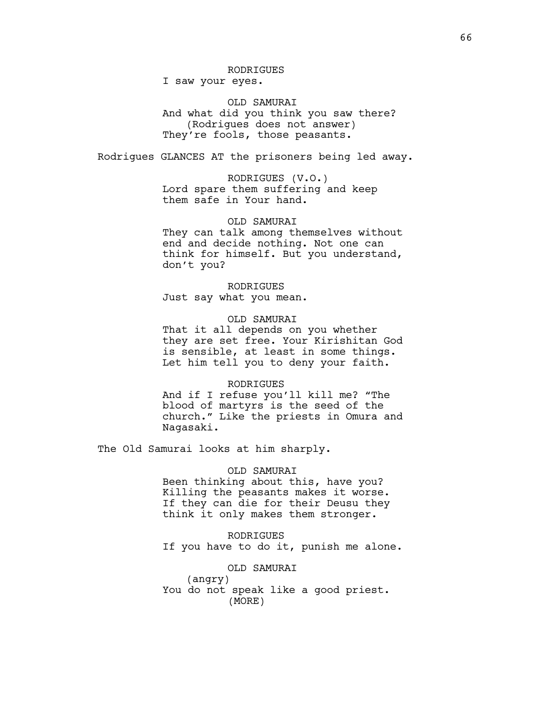## RODRIGUES

I saw your eyes.

OLD SAMURAI And what did you think you saw there? (Rodrigues does not answer) They're fools, those peasants.

Rodrigues GLANCES AT the prisoners being led away.

RODRIGUES (V.O.) Lord spare them suffering and keep them safe in Your hand.

### OLD SAMURAI

They can talk among themselves without end and decide nothing. Not one can think for himself. But you understand, don't you?

### RODRIGUES

Just say what you mean.

### OLD SAMURAI

That it all depends on you whether they are set free. Your Kirishitan God is sensible, at least in some things. Let him tell you to deny your faith.

### **RODRIGUES**

And if I refuse you'll kill me? "The blood of martyrs is the seed of the church." Like the priests in Omura and Nagasaki.

The Old Samurai looks at him sharply.

### OLD SAMURAI

Been thinking about this, have you? Killing the peasants makes it worse. If they can die for their Deusu they think it only makes them stronger.

RODRIGUES If you have to do it, punish me alone.

## OLD SAMURAI

(angry) You do not speak like a good priest. (MORE)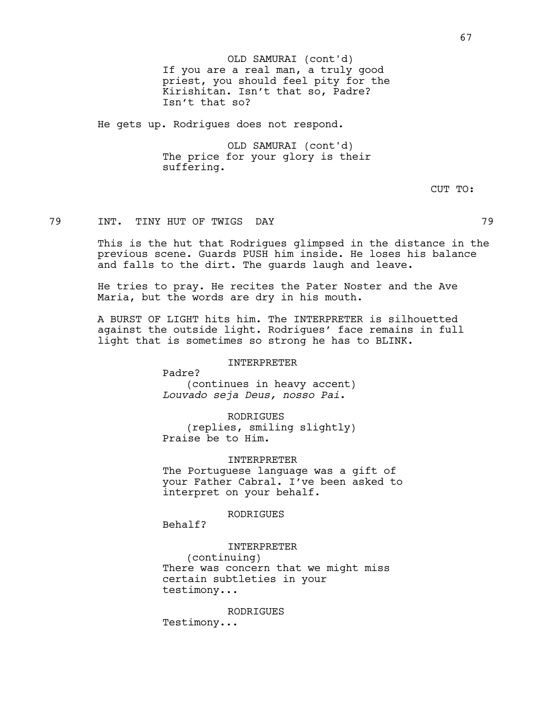He gets up. Rodrigues does not respond.

OLD SAMURAI (cont'd) The price for your glory is their suffering.

CUT TO:

## 79 INT. TINY HUT OF TWIGS DAY 79

This is the hut that Rodrigues glimpsed in the distance in the previous scene. Guards PUSH him inside. He loses his balance and falls to the dirt. The guards laugh and leave.

He tries to pray. He recites the Pater Noster and the Ave Maria, but the words are dry in his mouth.

A BURST OF LIGHT hits him. The INTERPRETER is silhouetted against the outside light. Rodrigues' face remains in full light that is sometimes so strong he has to BLINK.

### INTERPRETER

Padre? (continues in heavy accent) *Louvado seja Deus, nosso Pai*.

#### RODRIGUES

(replies, smiling slightly) Praise be to Him.

#### INTERPRETER

The Portuguese language was a gift of your Father Cabral. I've been asked to interpret on your behalf.

### RODRIGUES

Behalf?

### INTERPRETER

(continuing) There was concern that we might miss certain subtleties in your testimony...

#### RODRIGUES

Testimony...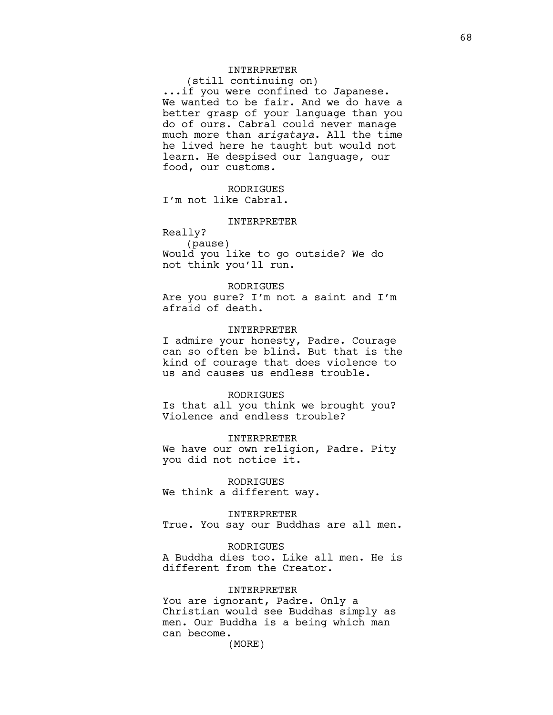## INTERPRETER

(still continuing on) ...if you were confined to Japanese. We wanted to be fair. And we do have a better grasp of your language than you do of ours. Cabral could never manage much more than *arigataya*. All the time he lived here he taught but would not learn. He despised our language, our food, our customs.

RODRIGUES I'm not like Cabral.

#### INTERPRETER

Really? (pause) Would you like to go outside? We do not think you'll run.

#### RODRIGUES

Are you sure? I'm not a saint and I'm afraid of death.

### INTERPRETER

I admire your honesty, Padre. Courage can so often be blind. But that is the kind of courage that does violence to us and causes us endless trouble.

#### RODRIGUES

Is that all you think we brought you? Violence and endless trouble?

#### INTERPRETER

We have our own religion, Padre. Pity you did not notice it.

RODRIGUES We think a different way.

INTERPRETER

True. You say our Buddhas are all men.

### RODRIGUES

A Buddha dies too. Like all men. He is different from the Creator.

### INTERPRETER

You are ignorant, Padre. Only a Christian would see Buddhas simply as men. Our Buddha is a being which man can become.

(MORE)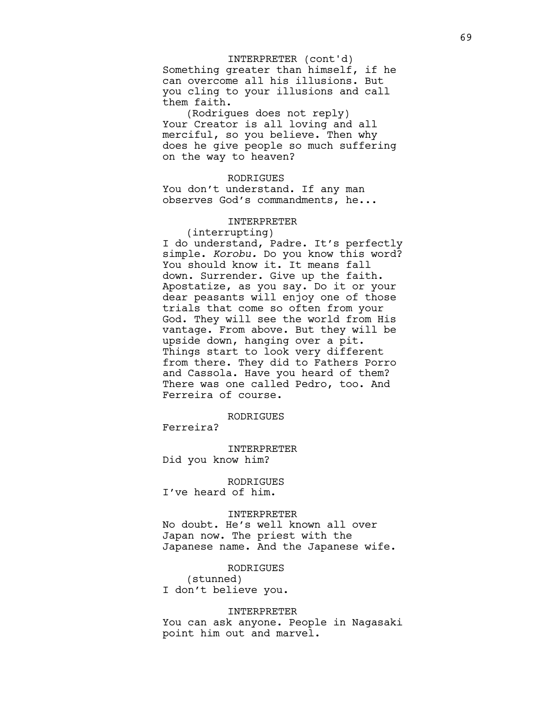#### INTERPRETER (cont'd)

Something greater than himself, if he can overcome all his illusions. But you cling to your illusions and call them faith.

(Rodrigues does not reply) Your Creator is all loving and all merciful, so you believe. Then why does he give people so much suffering on the way to heaven?

#### RODRIGUES

You don't understand. If any man observes God's commandments, he...

#### INTERPRETER

(interrupting) I do understand, Padre. It's perfectly simple. *Korobu.* Do you know this word? You should know it. It means fall down. Surrender. Give up the faith. Apostatize, as you say. Do it or your dear peasants will enjoy one of those trials that come so often from your God. They will see the world from His vantage. From above. But they will be upside down, hanging over a pit. Things start to look very different from there. They did to Fathers Porro and Cassola. Have you heard of them? There was one called Pedro, too. And Ferreira of course.

#### RODRIGUES

Ferreira?

INTERPRETER Did you know him?

RODRIGUES I've heard of him.

# INTERPRETER

No doubt. He's well known all over Japan now. The priest with the Japanese name. And the Japanese wife.

### RODRIGUES

(stunned) I don't believe you.

#### INTERPRETER

You can ask anyone. People in Nagasaki point him out and marvel.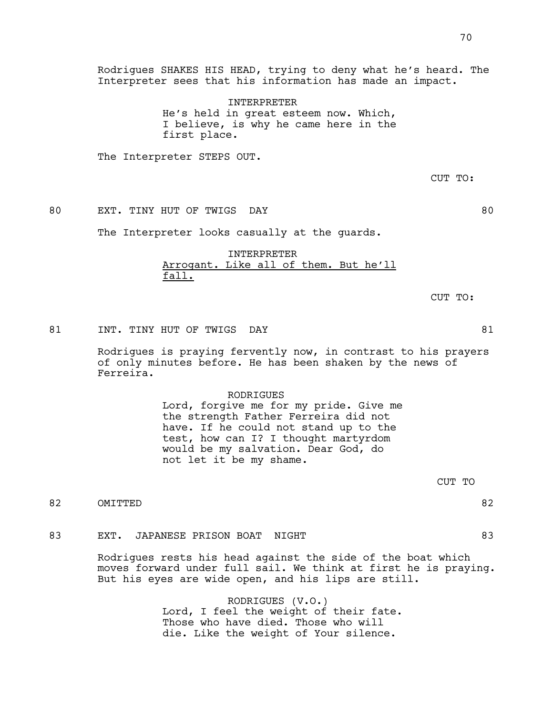Rodrigues SHAKES HIS HEAD, trying to deny what he's heard. The Interpreter sees that his information has made an impact.

> INTERPRETER He's held in great esteem now. Which, I believe, is why he came here in the first place.

The Interpreter STEPS OUT.

CUT TO:

80 EXT. TINY HUT OF TWIGS DAY 80

The Interpreter looks casually at the guards.

### INTERPRETER Arrogant. Like all of them. But he'll fall.

CUT TO:

81 INT. TINY HUT OF TWIGS DAY **81** 

Rodrigues is praying fervently now, in contrast to his prayers of only minutes before. He has been shaken by the news of Ferreira.

### RODRIGUES

Lord, forgive me for my pride. Give me the strength Father Ferreira did not have. If he could not stand up to the test, how can I? I thought martyrdom would be my salvation. Dear God, do not let it be my shame.

CUT TO

82 OMITTED 82

### 83 EXT. JAPANESE PRISON BOAT NIGHT 83

Rodrigues rests his head against the side of the boat which moves forward under full sail. We think at first he is praying. But his eyes are wide open, and his lips are still.

> RODRIGUES (V.O.) Lord, I feel the weight of their fate. Those who have died. Those who will die. Like the weight of Your silence.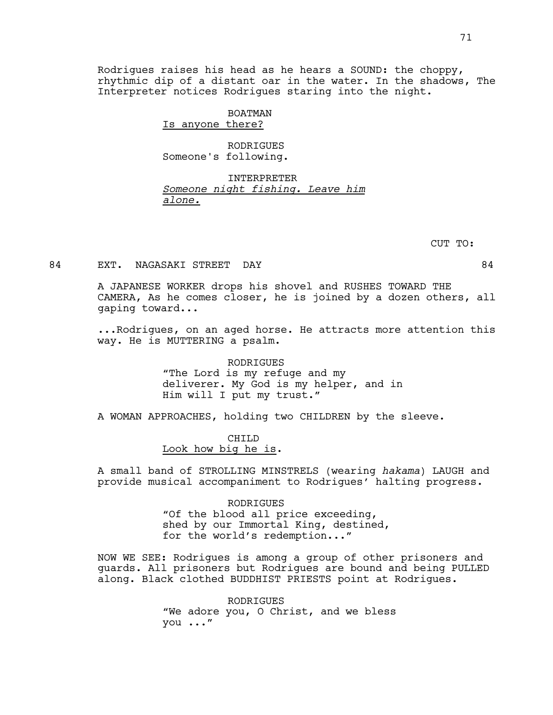Rodrigues raises his head as he hears a SOUND: the choppy, rhythmic dip of a distant oar in the water. In the shadows, The Interpreter notices Rodrigues staring into the night.

### BOATMAN

Is anyone there?

RODRIGUES Someone's following.

### INTERPRETER *Someone night fishing. Leave him alone.*

CUT TO:

### 84 EXT. NAGASAKI STREET DAY 1888 EXT. 84

A JAPANESE WORKER drops his shovel and RUSHES TOWARD THE CAMERA, As he comes closer, he is joined by a dozen others, all gaping toward...

...Rodrigues, on an aged horse. He attracts more attention this way. He is MUTTERING a psalm.

> RODRIGUES "The Lord is my refuge and my deliverer. My God is my helper, and in Him will I put my trust."

A WOMAN APPROACHES, holding two CHILDREN by the sleeve.

CHILD Look how big he is.

A small band of STROLLING MINSTRELS (wearing *hakama*) LAUGH and provide musical accompaniment to Rodrigues' halting progress.

> RODRIGUES "Of the blood all price exceeding, shed by our Immortal King, destined, for the world's redemption..."

NOW WE SEE: Rodrigues is among a group of other prisoners and guards. All prisoners but Rodrigues are bound and being PULLED along. Black clothed BUDDHIST PRIESTS point at Rodrigues.

> RODRIGUES "We adore you, O Christ, and we bless you ..."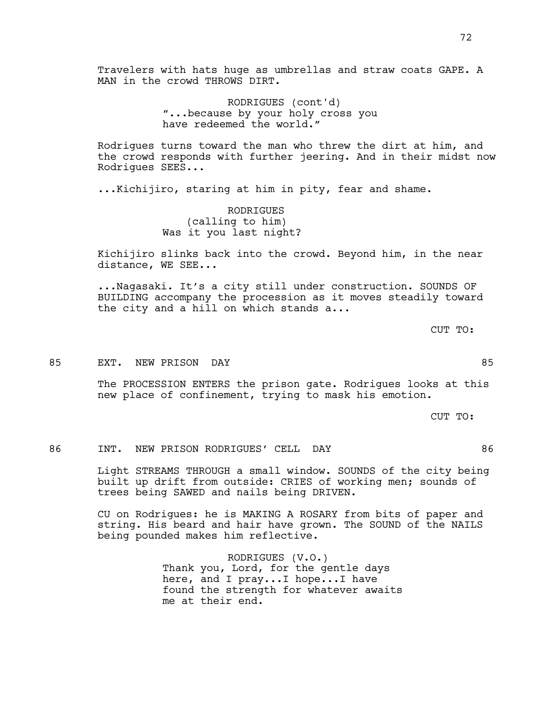Travelers with hats huge as umbrellas and straw coats GAPE. A MAN in the crowd THROWS DIRT.

> RODRIGUES (cont'd) "...because by your holy cross you have redeemed the world."

Rodrigues turns toward the man who threw the dirt at him, and the crowd responds with further jeering. And in their midst now Rodrigues SEES...

...Kichijiro, staring at him in pity, fear and shame.

RODRIGUES (calling to him) Was it you last night?

Kichijiro slinks back into the crowd. Beyond him, in the near distance, WE SEE...

...Nagasaki. It's a city still under construction. SOUNDS OF BUILDING accompany the procession as it moves steadily toward the city and a hill on which stands a...

CUT TO:

85 EXT. NEW PRISON DAY 85

The PROCESSION ENTERS the prison gate. Rodrigues looks at this new place of confinement, trying to mask his emotion.

CUT TO:

#### 86 INT. NEW PRISON RODRIGUES' CELL DAY 86

Light STREAMS THROUGH a small window. SOUNDS of the city being built up drift from outside: CRIES of working men; sounds of trees being SAWED and nails being DRIVEN.

CU on Rodrigues: he is MAKING A ROSARY from bits of paper and string. His beard and hair have grown. The SOUND of the NAILS being pounded makes him reflective.

> RODRIGUES (V.O.) Thank you, Lord, for the gentle days here, and I pray...I hope...I have found the strength for whatever awaits me at their end.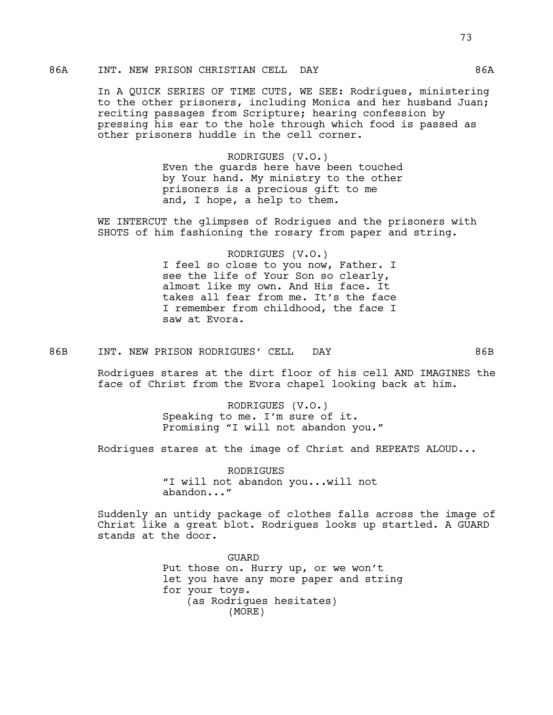### 86A INT. NEW PRISON CHRISTIAN CELL DAY 66A

In A QUICK SERIES OF TIME CUTS, WE SEE: Rodrigues, ministering to the other prisoners, including Monica and her husband Juan; reciting passages from Scripture; hearing confession by pressing his ear to the hole through which food is passed as other prisoners huddle in the cell corner.

> RODRIGUES (V.O.) Even the guards here have been touched by Your hand. My ministry to the other prisoners is a precious gift to me and, I hope, a help to them.

WE INTERCUT the glimpses of Rodrigues and the prisoners with SHOTS of him fashioning the rosary from paper and string.

> RODRIGUES (V.O.) I feel so close to you now, Father. I see the life of Your Son so clearly, almost like my own. And His face. It takes all fear from me. It's the face I remember from childhood, the face I saw at Evora.

86B INT. NEW PRISON RODRIGUES' CELL DAY 66B

Rodrigues stares at the dirt floor of his cell AND IMAGINES the face of Christ from the Evora chapel looking back at him.

> RODRIGUES (V.O.) Speaking to me. I'm sure of it. Promising "I will not abandon you."

Rodrigues stares at the image of Christ and REPEATS ALOUD...

RODRIGUES "I will not abandon you...will not abandon..."

Suddenly an untidy package of clothes falls across the image of Christ like a great blot. Rodrigues looks up startled. A GUARD stands at the door.

> GUARD Put those on. Hurry up, or we won't let you have any more paper and string for your toys. (as Rodrigues hesitates) (MORE)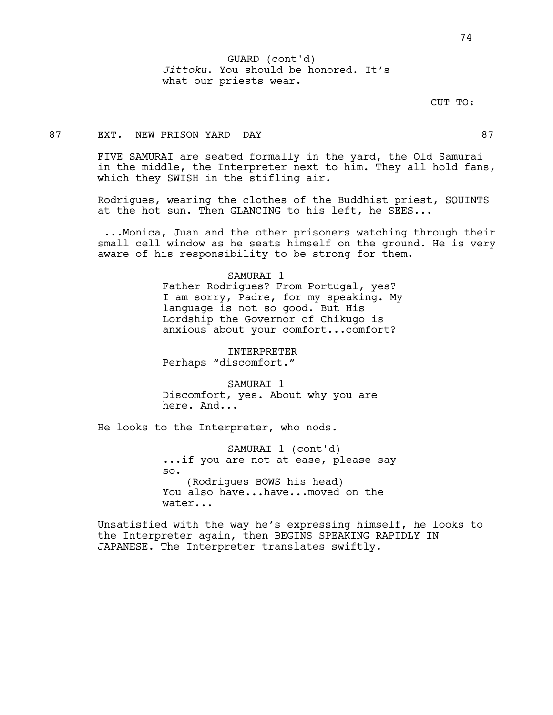*Jittoku*. You should be honored. It's what our priests wear. GUARD (cont'd)

### CUT TO:

### 87 EXT. NEW PRISON YARD DAY 87

FIVE SAMURAI are seated formally in the yard, the Old Samurai in the middle, the Interpreter next to him. They all hold fans, which they SWISH in the stifling air.

Rodrigues, wearing the clothes of the Buddhist priest, SQUINTS at the hot sun. Then GLANCING to his left, he SEES...

 ...Monica, Juan and the other prisoners watching through their small cell window as he seats himself on the ground. He is very aware of his responsibility to be strong for them.

#### SAMURAI 1

Father Rodrigues? From Portugal, yes? I am sorry, Padre, for my speaking. My language is not so good. But His Lordship the Governor of Chikugo is anxious about your comfort...comfort?

INTERPRETER Perhaps "discomfort."

SAMURAT<sub>1</sub> Discomfort, yes. About why you are here. And...

He looks to the Interpreter, who nods.

SAMURAI 1 (cont'd) ...if you are not at ease, please say so. (Rodrigues BOWS his head) You also have...have...moved on the water...

Unsatisfied with the way he's expressing himself, he looks to the Interpreter again, then BEGINS SPEAKING RAPIDLY IN JAPANESE. The Interpreter translates swiftly.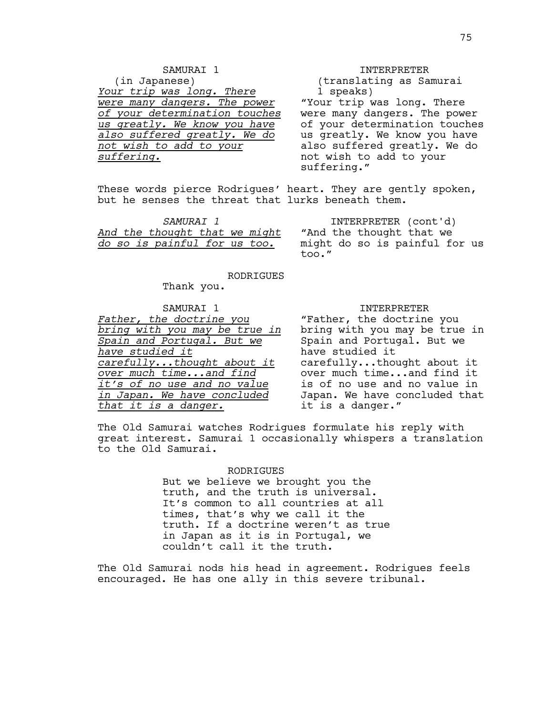## SAMURAI 1

(in Japanese) *Your trip was long. There were many dangers. The power of your determination touches us greatly. We know you have also suffered greatly. We do not wish to add to your suffering.*

#### INTERPRETER

(translating as Samurai 1 speaks)

"Your trip was long. There were many dangers. The power of your determination touches us greatly. We know you have also suffered greatly. We do not wish to add to your suffering."

These words pierce Rodrigues' heart. They are gently spoken, but he senses the threat that lurks beneath them.

| SAMURAT 1 |  |  |                               |  |  |  |
|-----------|--|--|-------------------------------|--|--|--|
|           |  |  | And the thought that we might |  |  |  |
|           |  |  | do so is painful for us too.  |  |  |  |

INTERPRETER (cont'd) "And the thought that we might do so is painful for us too."

RODRIGUES

Thank you.

### SAMURAI 1

*Father, the doctrine you bring with you may be true in Spain and Portugal. But we have studied it carefully...thought about it over much time...and find it's of no use and no value in Japan. We have concluded that it is a danger.*

#### INTERPRETER

"Father, the doctrine you bring with you may be true in Spain and Portugal. But we have studied it carefully...thought about it over much time...and find it is of no use and no value in Japan. We have concluded that it is a danger."

The Old Samurai watches Rodrigues formulate his reply with great interest. Samurai 1 occasionally whispers a translation to the Old Samurai.

#### RODRIGUES

But we believe we brought you the truth, and the truth is universal. It's common to all countries at all times, that's why we call it the truth. If a doctrine weren't as true in Japan as it is in Portugal, we couldn't call it the truth.

The Old Samurai nods his head in agreement. Rodrigues feels encouraged. He has one ally in this severe tribunal.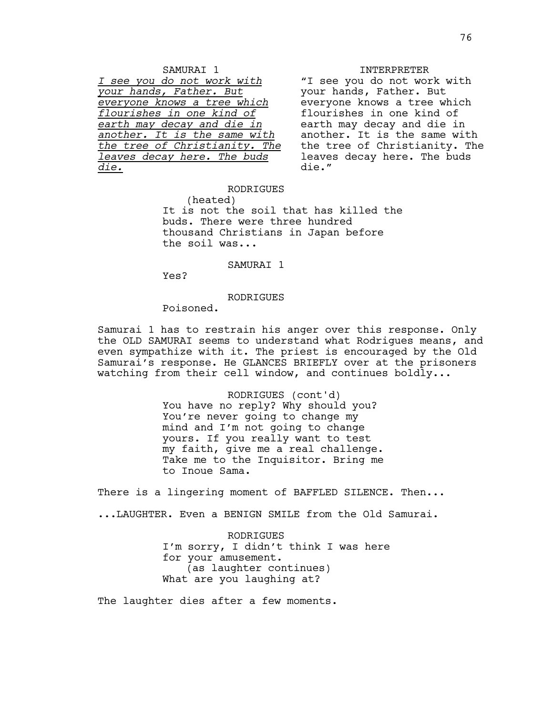#### INTERPRETER

"I see you do not work with your hands, Father. But everyone knows a tree which flourishes in one kind of earth may decay and die in another. It is the same with the tree of Christianity. The leaves decay here. The buds die."

### RODRIGUES

(heated) It is not the soil that has killed the buds. There were three hundred thousand Christians in Japan before the soil was...

#### SAMURAI 1

Yes?

*die.*

#### RODRIGUES

Poisoned.

SAMURAI 1 *I see you do not work with your hands, Father. But everyone knows a tree which flourishes in one kind of earth may decay and die in another. It is the same with the tree of Christianity. The leaves decay here. The buds* 

Samurai 1 has to restrain his anger over this response. Only the OLD SAMURAI seems to understand what Rodrigues means, and even sympathize with it. The priest is encouraged by the Old Samurai's response. He GLANCES BRIEFLY over at the prisoners watching from their cell window, and continues boldly...

> RODRIGUES (cont'd) You have no reply? Why should you? You're never going to change my mind and I'm not going to change yours. If you really want to test my faith, give me a real challenge. Take me to the Inquisitor. Bring me to Inoue Sama.

There is a lingering moment of BAFFLED SILENCE. Then...

...LAUGHTER. Even a BENIGN SMILE from the Old Samurai.

RODRIGUES I'm sorry, I didn't think I was here for your amusement. (as laughter continues) What are you laughing at?

The laughter dies after a few moments.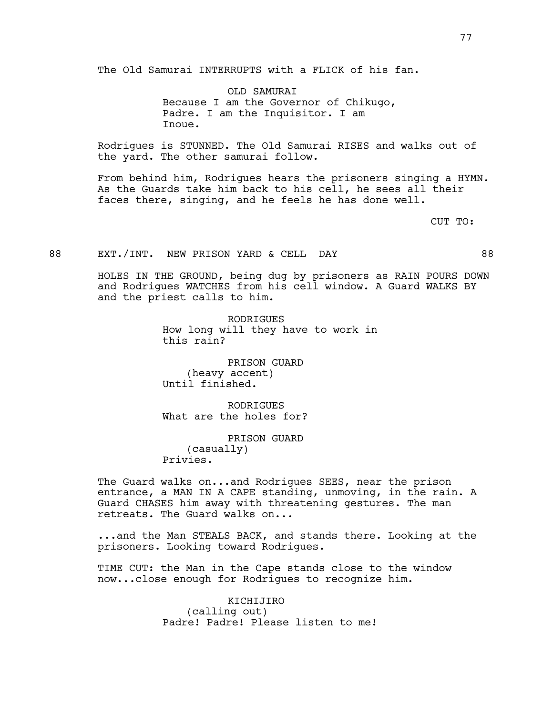The Old Samurai INTERRUPTS with a FLICK of his fan.

OLD SAMURAI Because I am the Governor of Chikugo, Padre. I am the Inquisitor. I am Inoue.

Rodrigues is STUNNED. The Old Samurai RISES and walks out of the yard. The other samurai follow.

From behind him, Rodrigues hears the prisoners singing a HYMN. As the Guards take him back to his cell, he sees all their faces there, singing, and he feels he has done well.

CUT TO:

### 88 EXT./INT. NEW PRISON YARD & CELL DAY 68

HOLES IN THE GROUND, being dug by prisoners as RAIN POURS DOWN and Rodrigues WATCHES from his cell window. A Guard WALKS BY and the priest calls to him.

> RODRIGUES How long will they have to work in this rain?

PRISON GUARD (heavy accent) Until finished.

**RODRIGUES** What are the holes for?

PRISON GUARD (casually) Privies.

The Guard walks on...and Rodrigues SEES, near the prison entrance, a MAN IN A CAPE standing, unmoving, in the rain. A Guard CHASES him away with threatening gestures. The man retreats. The Guard walks on...

...and the Man STEALS BACK, and stands there. Looking at the prisoners. Looking toward Rodrigues.

TIME CUT: the Man in the Cape stands close to the window now...close enough for Rodrigues to recognize him.

> KICHIJIRO (calling out) Padre! Padre! Please listen to me!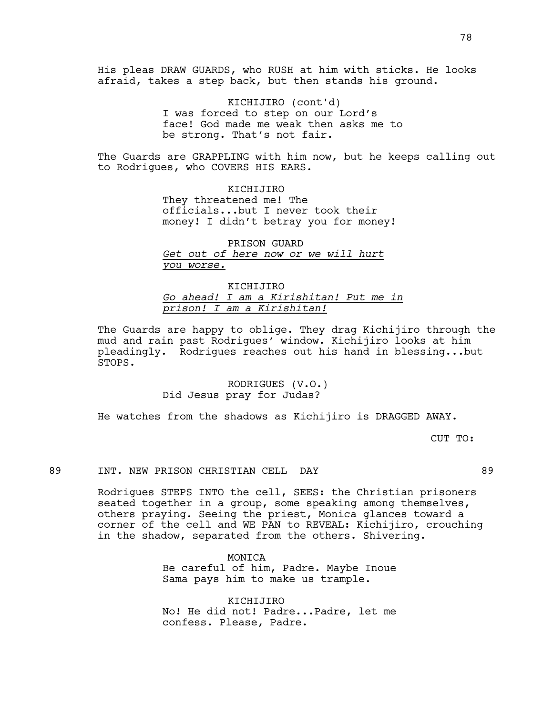His pleas DRAW GUARDS, who RUSH at him with sticks. He looks afraid, takes a step back, but then stands his ground.

> KICHIJIRO (cont'd) I was forced to step on our Lord's face! God made me weak then asks me to be strong. That's not fair.

The Guards are GRAPPLING with him now, but he keeps calling out to Rodrigues, who COVERS HIS EARS.

> KICHIJIRO They threatened me! The officials...but I never took their money! I didn't betray you for money!

PRISON GUARD *Get out of here now or we will hurt you worse.*

KICHIJIRO *Go ahead! I am a Kirishitan! Put me in prison! I am a Kirishitan!*

The Guards are happy to oblige. They drag Kichijiro through the mud and rain past Rodrigues' window. Kichijiro looks at him pleadingly. Rodrigues reaches out his hand in blessing...but STOPS.

> RODRIGUES (V.O.) Did Jesus pray for Judas?

He watches from the shadows as Kichijiro is DRAGGED AWAY.

CUT TO:

89 INT. NEW PRISON CHRISTIAN CELL DAY 89

Rodrigues STEPS INTO the cell, SEES: the Christian prisoners seated together in a group, some speaking among themselves, others praying. Seeing the priest, Monica glances toward a corner of the cell and WE PAN to REVEAL: Kichijiro, crouching in the shadow, separated from the others. Shivering.

> MONICA Be careful of him, Padre. Maybe Inoue Sama pays him to make us trample.

> KICHIJIRO No! He did not! Padre...Padre, let me confess. Please, Padre.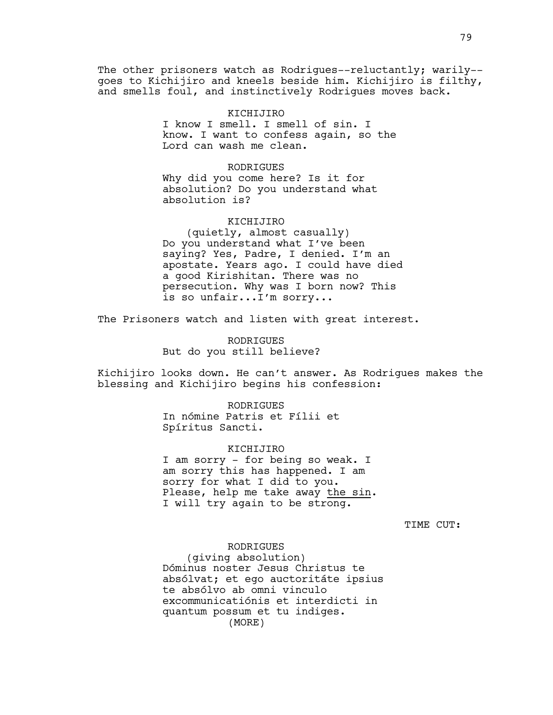The other prisoners watch as Rodrigues--reluctantly; warily-goes to Kichijiro and kneels beside him. Kichijiro is filthy, and smells foul, and instinctively Rodrigues moves back.

#### KICHIJIRO

I know I smell. I smell of sin. I know. I want to confess again, so the Lord can wash me clean.

#### RODRIGUES

Why did you come here? Is it for absolution? Do you understand what absolution is?

#### KICHIJIRO

(quietly, almost casually) Do you understand what I've been saying? Yes, Padre, I denied. I'm an apostate. Years ago. I could have died a good Kirishitan. There was no persecution. Why was I born now? This is so unfair...I'm sorry...

The Prisoners watch and listen with great interest.

RODRIGUES But do you still believe?

Kichijiro looks down. He can't answer. As Rodrigues makes the blessing and Kichijiro begins his confession:

> RODRIGUES In nómine Patris et Fílii et Spíritus Sancti.

### KICHIJIRO I am sorry - for being so weak. I am sorry this has happened. I am sorry for what I did to you. Please, help me take away the sin. I will try again to be strong.

TIME CUT:

### RODRIGUES

(giving absolution) Dóminus noster Jesus Christus te absólvat; et ego auctoritáte ipsius te absólvo ab omni vinculo excommunicatiónis et interdicti in quantum possum et tu indiges. (MORE)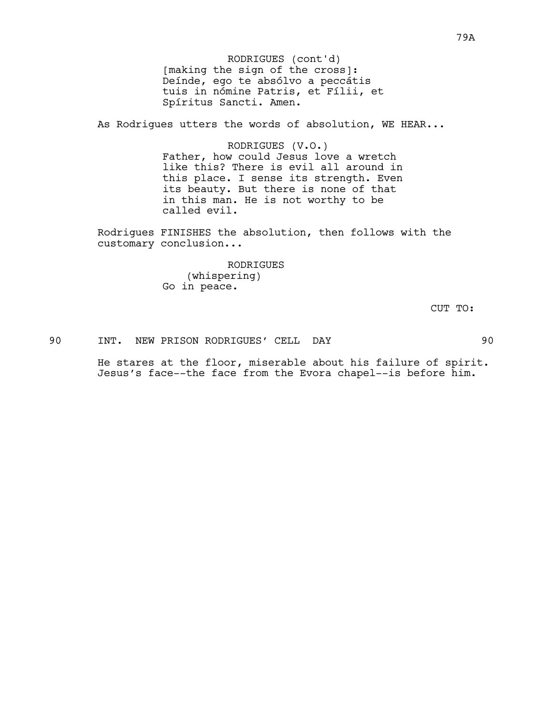[making the sign of the cross]: Deínde, ego te absólvo a peccátis tuis in nómine Patris, et Fílii, et Spíritus Sancti. Amen. RODRIGUES (cont'd)

As Rodrigues utters the words of absolution, WE HEAR...

RODRIGUES (V.O.) Father, how could Jesus love a wretch like this? There is evil all around in this place. I sense its strength. Even its beauty. But there is none of that in this man. He is not worthy to be called evil.

Rodrigues FINISHES the absolution, then follows with the customary conclusion...

> RODRIGUES (whispering) Go in peace.

> > CUT TO:

90 INT. NEW PRISON RODRIGUES' CELL DAY 90

He stares at the floor, miserable about his failure of spirit. Jesus's face--the face from the Evora chapel--is before him.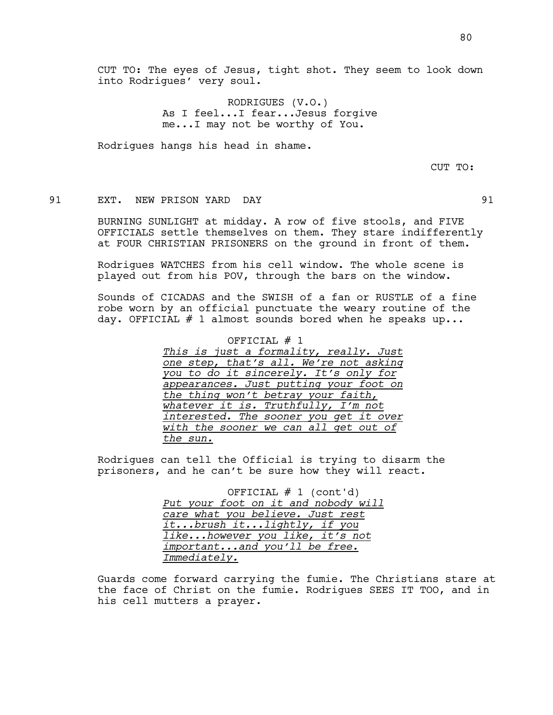RODRIGUES (V.O.) As I feel...I fear...Jesus forgive me...I may not be worthy of You.

Rodrigues hangs his head in shame.

CUT TO:

### 91 EXT. NEW PRISON YARD DAY 91

BURNING SUNLIGHT at midday. A row of five stools, and FIVE OFFICIALS settle themselves on them. They stare indifferently at FOUR CHRISTIAN PRISONERS on the ground in front of them.

Rodrigues WATCHES from his cell window. The whole scene is played out from his POV, through the bars on the window.

Sounds of CICADAS and the SWISH of a fan or RUSTLE of a fine robe worn by an official punctuate the weary routine of the day. OFFICIAL  $#$  1 almost sounds bored when he speaks up...

> OFFICIAL  $# 1$ *This is just a formality, really. Just one step, that's all. We're not asking you to do it sincerely. It's only for appearances. Just putting your foot on the thing won't betray your faith, whatever it is. Truthfully, I'm not interested. The sooner you get it over with the sooner we can all get out of the sun.*

Rodrigues can tell the Official is trying to disarm the prisoners, and he can't be sure how they will react.

> OFFICIAL  $# 1$  (cont'd) *Put your foot on it and nobody will care what you believe. Just rest it...brush it...lightly, if you like...however you like, it's not important...and you'll be free. Immediately.*

Guards come forward carrying the fumie. The Christians stare at the face of Christ on the fumie. Rodrigues SEES IT TOO, and in his cell mutters a prayer.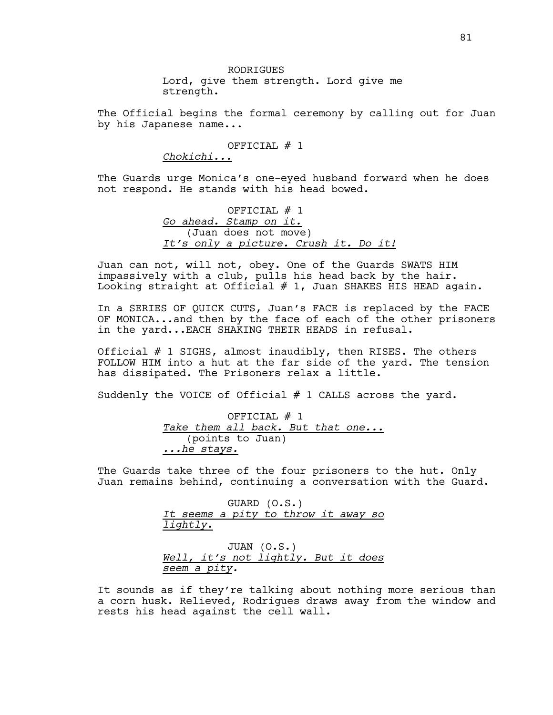RODRIGUES Lord, give them strength. Lord give me strength.

The Official begins the formal ceremony by calling out for Juan by his Japanese name...

OFFICIAL # 1

*Chokichi...*

The Guards urge Monica's one-eyed husband forward when he does not respond. He stands with his head bowed.

> OFFICIAL # 1 *Go ahead. Stamp on it.* (Juan does not move) *It's only a picture. Crush it. Do it!*

Juan can not, will not, obey. One of the Guards SWATS HIM impassively with a club, pulls his head back by the hair. Looking straight at Official  $#$  1, Juan SHAKES HIS HEAD again.

In a SERIES OF QUICK CUTS, Juan's FACE is replaced by the FACE OF MONICA...and then by the face of each of the other prisoners in the yard...EACH SHAKING THEIR HEADS in refusal.

Official # 1 SIGHS, almost inaudibly, then RISES. The others FOLLOW HIM into a hut at the far side of the yard. The tension has dissipated. The Prisoners relax a little.

Suddenly the VOICE of Official # 1 CALLS across the yard.

OFFICIAL # 1 *Take them all back. But that one...* (points to Juan) *...he stays.*

The Guards take three of the four prisoners to the hut. Only Juan remains behind, continuing a conversation with the Guard.

> GUARD (O.S.) *It seems a pity to throw it away so lightly.*

> JUAN (O.S.) *Well, it's not lightly. But it does seem a pity.*

It sounds as if they're talking about nothing more serious than a corn husk. Relieved, Rodrigues draws away from the window and rests his head against the cell wall.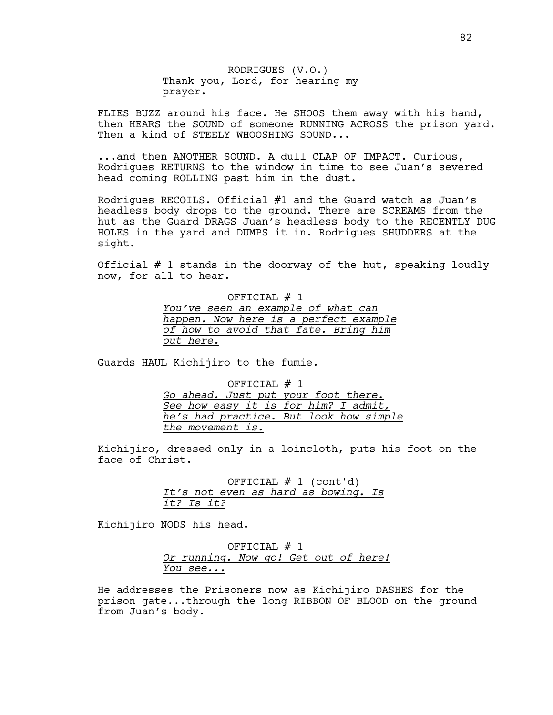RODRIGUES (V.O.) Thank you, Lord, for hearing my prayer.

FLIES BUZZ around his face. He SHOOS them away with his hand, then HEARS the SOUND of someone RUNNING ACROSS the prison yard. Then a kind of STEELY WHOOSHING SOUND...

...and then ANOTHER SOUND. A dull CLAP OF IMPACT. Curious, Rodrigues RETURNS to the window in time to see Juan's severed head coming ROLLING past him in the dust.

Rodrigues RECOILS. Official #1 and the Guard watch as Juan's headless body drops to the ground. There are SCREAMS from the hut as the Guard DRAGS Juan's headless body to the RECENTLY DUG HOLES in the yard and DUMPS it in. Rodrigues SHUDDERS at the sight.

Official # 1 stands in the doorway of the hut, speaking loudly now, for all to hear.

> OFFICIAL # 1 *You've seen an example of what can happen. Now here is a perfect example of how to avoid that fate. Bring him out here.*

Guards HAUL Kichijiro to the fumie.

OFFICIAL # 1

*Go ahead. Just put your foot there. See how easy it is for him? I admit, he's had practice. But look how simple the movement is.*

Kichijiro, dressed only in a loincloth, puts his foot on the face of Christ.

> OFFICIAL  $# 1$  (cont'd) *It's not even as hard as bowing. Is it? Is it?*

Kichijiro NODS his head.

OFFICIAL # 1 *Or running. Now go! Get out of here! You see...*

He addresses the Prisoners now as Kichijiro DASHES for the prison gate...through the long RIBBON OF BLOOD on the ground from Juan's body.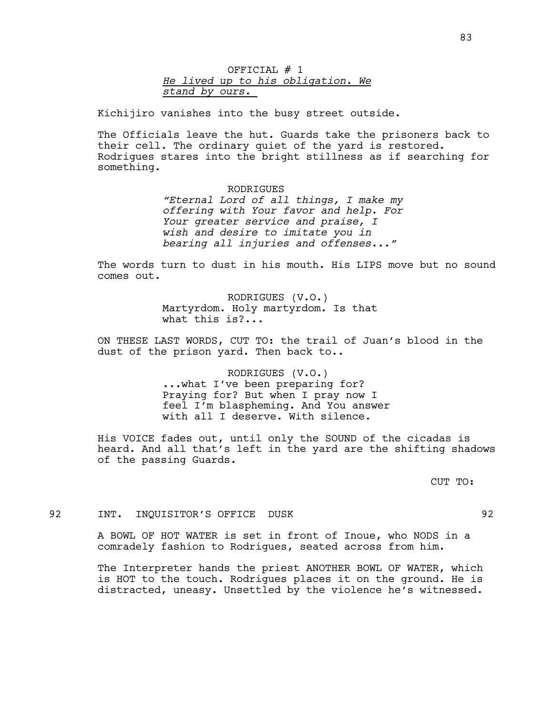OFFICIAL # 1 *He lived up to his obligation. We stand by ours.* 

Kichijiro vanishes into the busy street outside.

The Officials leave the hut. Guards take the prisoners back to their cell. The ordinary quiet of the yard is restored. Rodrigues stares into the bright stillness as if searching for something.

> RODRIGUES *"Eternal Lord of all things, I make my offering with Your favor and help. For Your greater service and praise, I wish and desire to imitate you in bearing all injuries and offenses..."*

The words turn to dust in his mouth. His LIPS move but no sound comes out.

> RODRIGUES (V.O.) Martyrdom. Holy martyrdom. Is that what this is?...

ON THESE LAST WORDS, CUT TO: the trail of Juan's blood in the dust of the prison yard. Then back to..

> RODRIGUES (V.O.) ...what I've been preparing for? Praying for? But when I pray now I feel I'm blaspheming. And You answer with all I deserve. With silence.

His VOICE fades out, until only the SOUND of the cicadas is heard. And all that's left in the yard are the shifting shadows of the passing Guards.

CUT TO:

### 92 INT. INQUISITOR'S OFFICE DUSK 92

A BOWL OF HOT WATER is set in front of Inoue, who NODS in a comradely fashion to Rodrigues, seated across from him.

The Interpreter hands the priest ANOTHER BOWL OF WATER, which is HOT to the touch. Rodrigues places it on the ground. He is distracted, uneasy. Unsettled by the violence he's witnessed.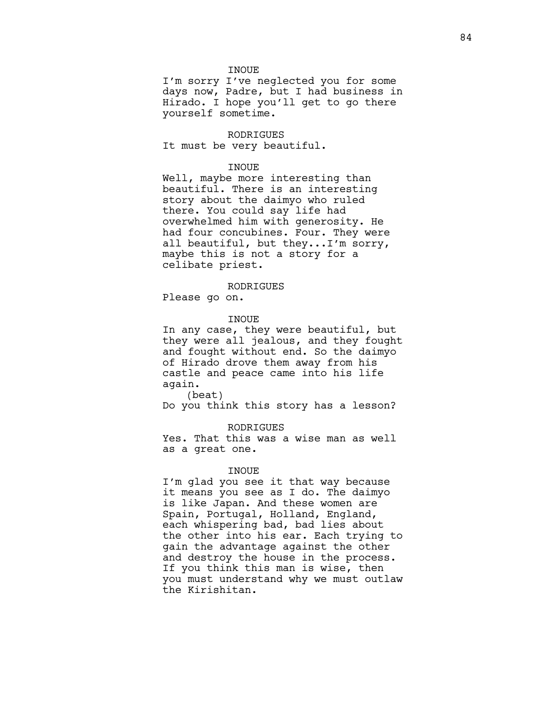#### INOUE

I'm sorry I've neglected you for some days now, Padre, but I had business in Hirado. I hope you'll get to go there yourself sometime.

#### RODRIGUES

It must be very beautiful.

### INOUE

Well, maybe more interesting than beautiful. There is an interesting story about the daimyo who ruled there. You could say life had overwhelmed him with generosity. He had four concubines. Four. They were all beautiful, but they...I'm sorry, maybe this is not a story for a celibate priest.

#### RODRIGUES

Please go on.

#### INOUE

In any case, they were beautiful, but they were all jealous, and they fought and fought without end. So the daimyo of Hirado drove them away from his castle and peace came into his life again.

(beat) Do you think this story has a lesson?

### RODRIGUES

Yes. That this was a wise man as well as a great one.

#### INOUE

I'm glad you see it that way because it means you see as I do. The daimyo is like Japan. And these women are Spain, Portugal, Holland, England, each whispering bad, bad lies about the other into his ear. Each trying to gain the advantage against the other and destroy the house in the process. If you think this man is wise, then you must understand why we must outlaw the Kirishitan.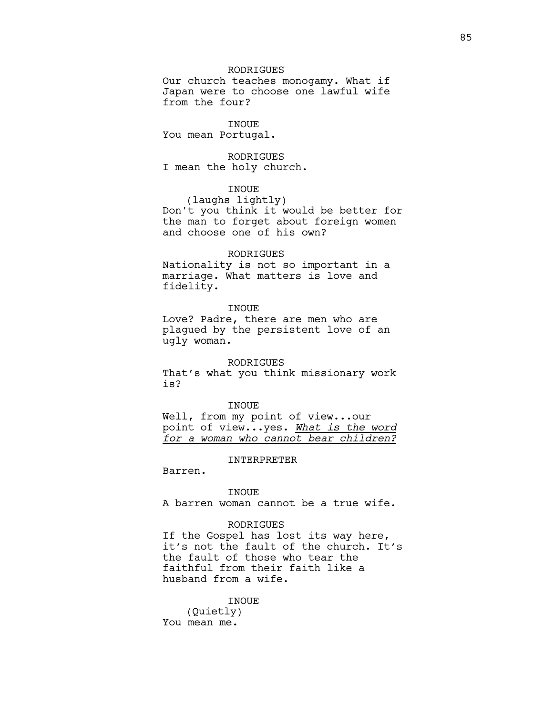### RODRIGUES

Our church teaches monogamy. What if Japan were to choose one lawful wife from the four?

INOUE

You mean Portugal.

RODRIGUES

I mean the holy church.

### INOUE

(laughs lightly) Don't you think it would be better for the man to forget about foreign women and choose one of his own?

#### RODRIGUES

Nationality is not so important in a marriage. What matters is love and fidelity.

### **TNOUE**

Love? Padre, there are men who are plagued by the persistent love of an ugly woman.

#### RODRIGUES

That's what you think missionary work is?

#### INOUE

Well, from my point of view...our point of view...yes. *What is the word for a woman who cannot bear children?*

#### INTERPRETER

Barren.

#### INOUE

A barren woman cannot be a true wife.

#### RODRIGUES

If the Gospel has lost its way here, it's not the fault of the church. It's the fault of those who tear the faithful from their faith like a husband from a wife.

### INOUE (Quietly) You mean me.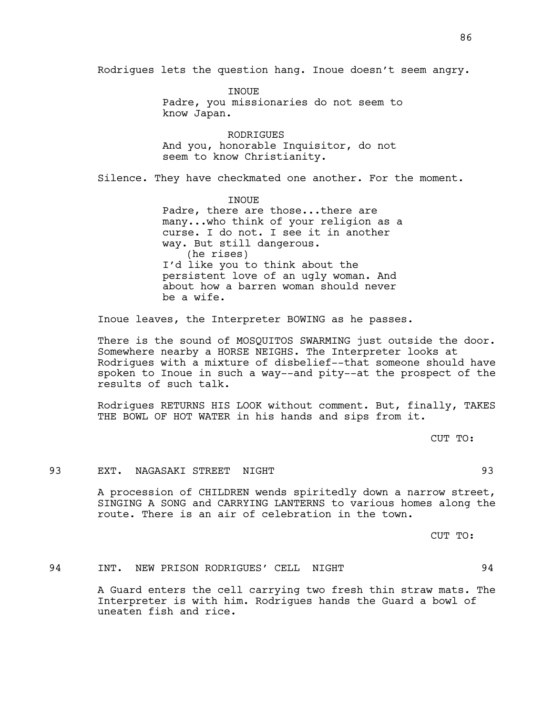Rodrigues lets the question hang. Inoue doesn't seem angry.

**TNOUE** Padre, you missionaries do not seem to know Japan.

RODRIGUES And you, honorable Inquisitor, do not seem to know Christianity.

Silence. They have checkmated one another. For the moment.

INOUE Padre, there are those...there are many...who think of your religion as a curse. I do not. I see it in another way. But still dangerous. (he rises) I'd like you to think about the persistent love of an ugly woman. And about how a barren woman should never be a wife.

Inoue leaves, the Interpreter BOWING as he passes.

There is the sound of MOSQUITOS SWARMING just outside the door. Somewhere nearby a HORSE NEIGHS. The Interpreter looks at Rodrigues with a mixture of disbelief--that someone should have spoken to Inoue in such a way--and pity--at the prospect of the results of such talk.

Rodrigues RETURNS HIS LOOK without comment. But, finally, TAKES THE BOWL OF HOT WATER in his hands and sips from it.

CUT TO:

### 93 EXT. NAGASAKI STREET NIGHT 93

A procession of CHILDREN wends spiritedly down a narrow street, SINGING A SONG and CARRYING LANTERNS to various homes along the route. There is an air of celebration in the town.

CUT TO:

### 94 INT. NEW PRISON RODRIGUES' CELL NIGHT 94

A Guard enters the cell carrying two fresh thin straw mats. The Interpreter is with him. Rodrigues hands the Guard a bowl of uneaten fish and rice.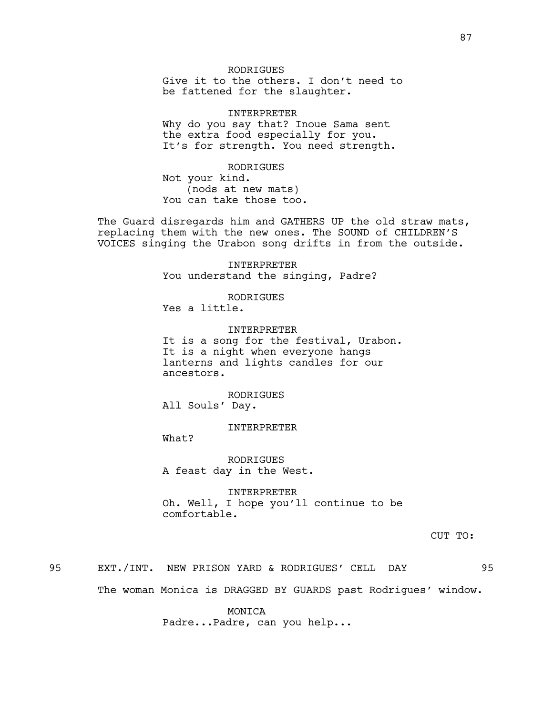### **RODRIGUES**

Give it to the others. I don't need to be fattened for the slaughter.

INTERPRETER Why do you say that? Inoue Sama sent the extra food especially for you. It's for strength. You need strength.

RODRIGUES

Not your kind. (nods at new mats) You can take those too.

The Guard disregards him and GATHERS UP the old straw mats, replacing them with the new ones. The SOUND of CHILDREN'S VOICES singing the Urabon song drifts in from the outside.

> INTERPRETER You understand the singing, Padre?

RODRIGUES Yes a little.

INTERPRETER

It is a song for the festival, Urabon. It is a night when everyone hangs lanterns and lights candles for our ancestors.

RODRIGUES All Souls' Day.

INTERPRETER

What?

RODRIGUES A feast day in the West.

INTERPRETER Oh. Well, I hope you'll continue to be comfortable.

CUT TO:

95 EXT./INT. NEW PRISON YARD & RODRIGUES' CELL DAY 95

The woman Monica is DRAGGED BY GUARDS past Rodrigues' window.

MONICA Padre...Padre, can you help...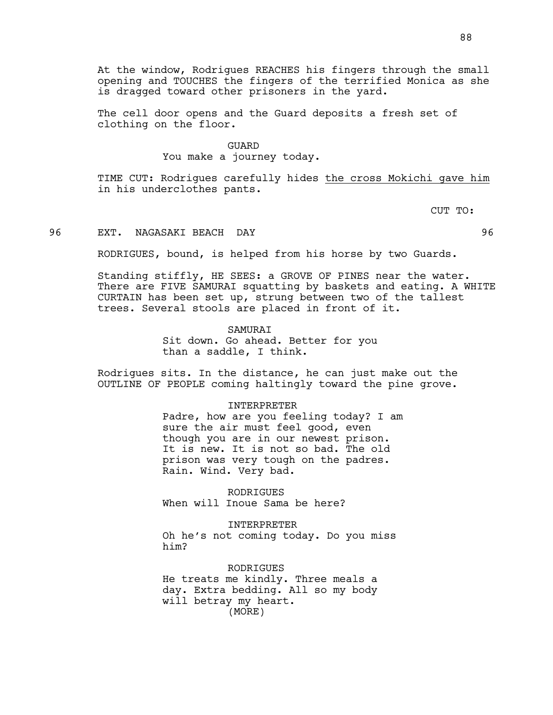At the window, Rodrigues REACHES his fingers through the small opening and TOUCHES the fingers of the terrified Monica as she is dragged toward other prisoners in the yard.

The cell door opens and the Guard deposits a fresh set of clothing on the floor.

### GUARD

You make a journey today.

TIME CUT: Rodrigues carefully hides the cross Mokichi gave him in his underclothes pants.

CUT TO:

### 96 EXT. NAGASAKI BEACH DAY 96

RODRIGUES, bound, is helped from his horse by two Guards.

Standing stiffly, HE SEES: a GROVE OF PINES near the water. There are FIVE SAMURAI squatting by baskets and eating. A WHITE CURTAIN has been set up, strung between two of the tallest trees. Several stools are placed in front of it.

### SAMURAI

Sit down. Go ahead. Better for you than a saddle, I think.

INTERPRETER

Rodrigues sits. In the distance, he can just make out the OUTLINE OF PEOPLE coming haltingly toward the pine grove.

### Padre, how are you feeling today? I am sure the air must feel good, even though you are in our newest prison. It is new. It is not so bad. The old prison was very tough on the padres.

RODRIGUES When will Inoue Sama be here?

Rain. Wind. Very bad.

INTERPRETER Oh he's not coming today. Do you miss him?

**RODRIGUES** He treats me kindly. Three meals a day. Extra bedding. All so my body will betray my heart. (MORE)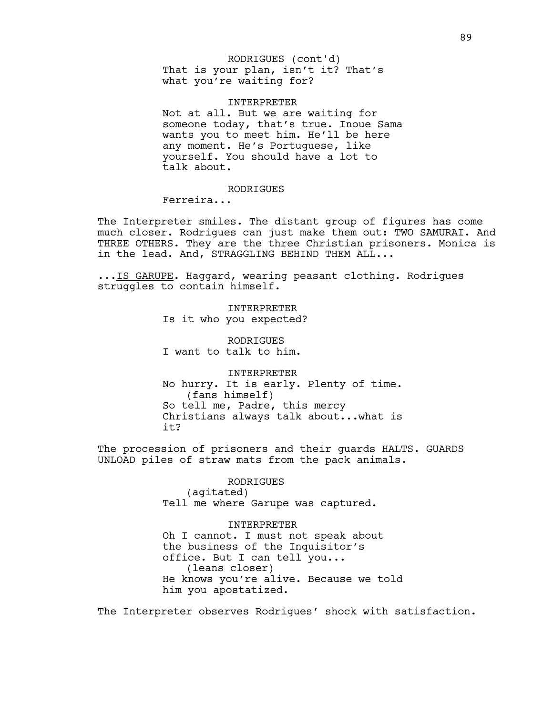### That is your plan, isn't it? That's what you're waiting for? RODRIGUES (cont'd)

#### INTERPRETER

Not at all. But we are waiting for someone today, that's true. Inoue Sama wants you to meet him. He'll be here any moment. He's Portuguese, like yourself. You should have a lot to talk about.

### RODRIGUES

Ferreira...

The Interpreter smiles. The distant group of figures has come much closer. Rodrigues can just make them out: TWO SAMURAI. And THREE OTHERS. They are the three Christian prisoners. Monica is in the lead. And, STRAGGLING BEHIND THEM ALL...

...IS GARUPE. Haggard, wearing peasant clothing. Rodrigues struggles to contain himself.

> INTERPRETER Is it who you expected?

RODRIGUES I want to talk to him.

INTERPRETER No hurry. It is early. Plenty of time. (fans himself) So tell me, Padre, this mercy Christians always talk about...what is it?

The procession of prisoners and their guards HALTS. GUARDS UNLOAD piles of straw mats from the pack animals.

> RODRIGUES (agitated) Tell me where Garupe was captured.

INTERPRETER Oh I cannot. I must not speak about the business of the Inquisitor's office. But I can tell you... (leans closer) He knows you're alive. Because we told him you apostatized.

The Interpreter observes Rodrigues' shock with satisfaction.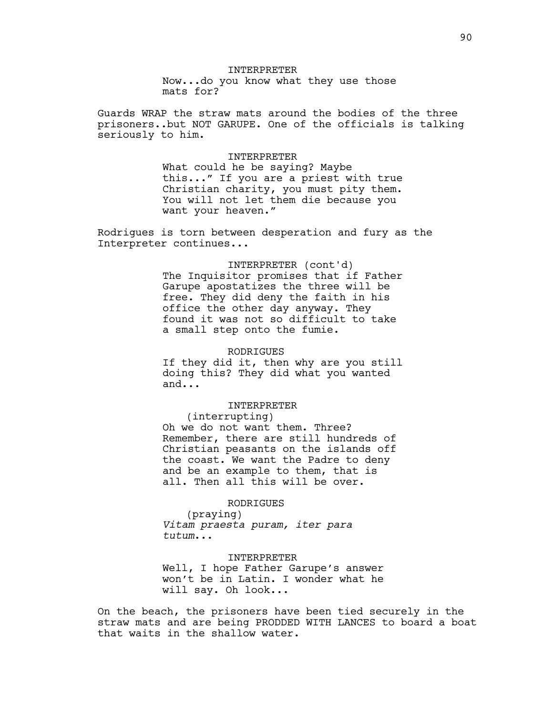INTERPRETER Now...do you know what they use those mats for?

Guards WRAP the straw mats around the bodies of the three prisoners..but NOT GARUPE. One of the officials is talking seriously to him.

#### INTERPRETER

What could he be saying? Maybe this..." If you are a priest with true Christian charity, you must pity them. You will not let them die because you want your heaven."

Rodrigues is torn between desperation and fury as the Interpreter continues...

#### INTERPRETER (cont'd)

The Inquisitor promises that if Father Garupe apostatizes the three will be free. They did deny the faith in his office the other day anyway. They found it was not so difficult to take a small step onto the fumie.

#### RODRIGUES

If they did it, then why are you still doing this? They did what you wanted and...

#### INTERPRETER

(interrupting) Oh we do not want them. Three? Remember, there are still hundreds of Christian peasants on the islands off the coast. We want the Padre to deny and be an example to them, that is all. Then all this will be over.

### RODRIGUES

(praying) *Vitam praesta puram, iter para tutum*...

INTERPRETER Well, I hope Father Garupe's answer won't be in Latin. I wonder what he will say. Oh look...

On the beach, the prisoners have been tied securely in the straw mats and are being PRODDED WITH LANCES to board a boat that waits in the shallow water.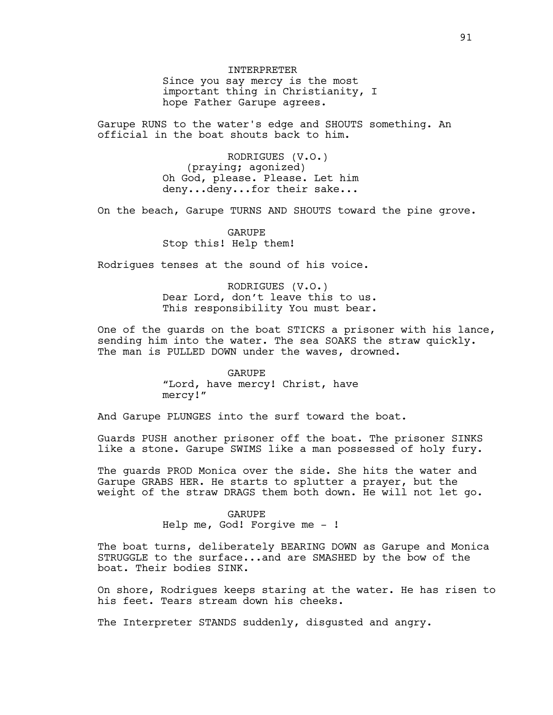INTERPRETER Since you say mercy is the most important thing in Christianity, I hope Father Garupe agrees.

Garupe RUNS to the water's edge and SHOUTS something. An official in the boat shouts back to him.

> RODRIGUES (V.O.) (praying; agonized) Oh God, please. Please. Let him deny...deny...for their sake...

On the beach, Garupe TURNS AND SHOUTS toward the pine grove.

GARUPE Stop this! Help them!

Rodrigues tenses at the sound of his voice.

RODRIGUES (V.O.) Dear Lord, don't leave this to us. This responsibility You must bear.

One of the guards on the boat STICKS a prisoner with his lance, sending him into the water. The sea SOAKS the straw quickly. The man is PULLED DOWN under the waves, drowned.

> GARUPE "Lord, have mercy! Christ, have mercy!"

And Garupe PLUNGES into the surf toward the boat.

Guards PUSH another prisoner off the boat. The prisoner SINKS like a stone. Garupe SWIMS like a man possessed of holy fury.

The guards PROD Monica over the side. She hits the water and Garupe GRABS HER. He starts to splutter a prayer, but the weight of the straw DRAGS them both down. He will not let go.

#### GARUPE

Help me, God! Forgive me - !

The boat turns, deliberately BEARING DOWN as Garupe and Monica STRUGGLE to the surface...and are SMASHED by the bow of the boat. Their bodies SINK.

On shore, Rodrigues keeps staring at the water. He has risen to his feet. Tears stream down his cheeks.

The Interpreter STANDS suddenly, disgusted and angry.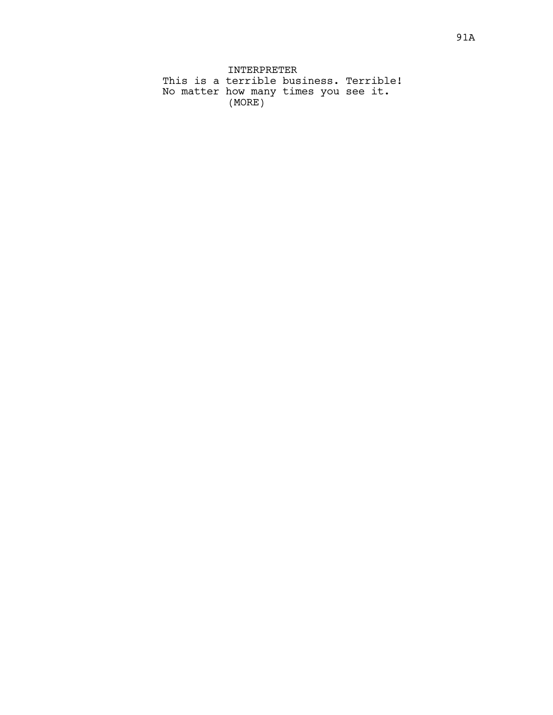INTERPRETER This is a terrible business. Terrible! No matter how many times you see it. (MORE)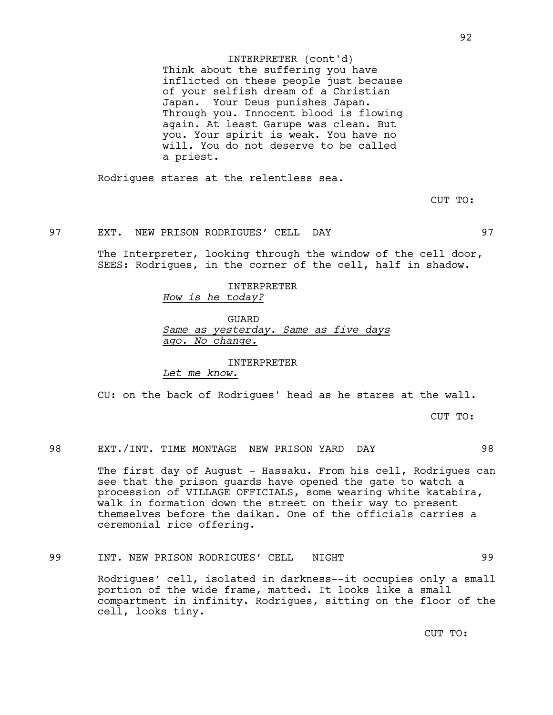Think about the suffering you have inflicted on these people just because of your selfish dream of a Christian Japan. Your Deus punishes Japan. Through you. Innocent blood is flowing again. At least Garupe was clean. But you. Your spirit is weak. You have no will. You do not deserve to be called a priest. INTERPRETER (cont'd)

Rodrigues stares at the relentless sea.

CUT TO:

### 97 EXT. NEW PRISON RODRIGUES' CELL DAY 97

The Interpreter, looking through the window of the cell door, SEES: Rodrigues, in the corner of the cell, half in shadow.

### INTERPRETER *How is he today?*

#### GUARD

*Same as yesterday. Same as five days ago. No change.*

### INTERPRETER

*Let me know.*

CU: on the back of Rodrigues' head as he stares at the wall.

CUT TO:

### 98 EXT./INT. TIME MONTAGE NEW PRISON YARD DAY 98

The first day of August - Hassaku. From his cell, Rodrigues can see that the prison guards have opened the gate to watch a procession of VILLAGE OFFICIALS, some wearing white katabira, walk in formation down the street on their way to present themselves before the daikan. One of the officials carries a ceremonial rice offering.

### 99 INT. NEW PRISON RODRIGUES' CELL NIGHT 99

Rodrigues' cell, isolated in darkness--it occupies only a small portion of the wide frame, matted. It looks like a small compartment in infinity. Rodrigues, sitting on the floor of the cell, looks tiny.

CUT TO: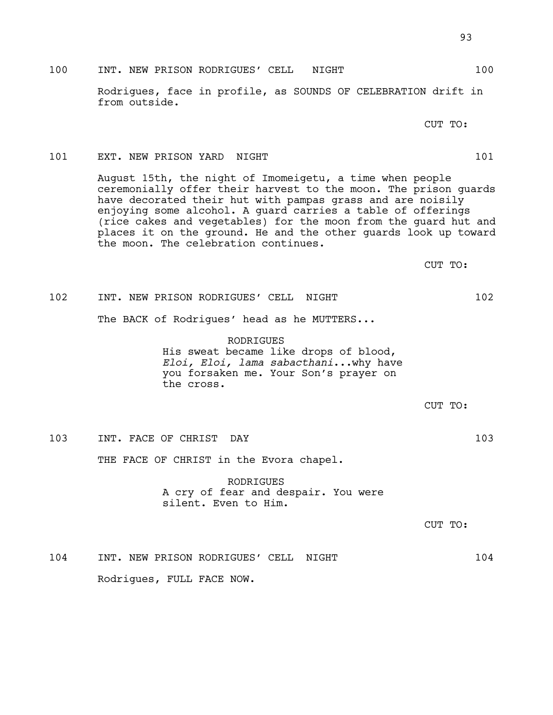### 100 INT. NEW PRISON RODRIGUES' CELL NIGHT 100

Rodrigues, face in profile, as SOUNDS OF CELEBRATION drift in from outside.

CUT TO:

### 101 EXT. NEW PRISON YARD NIGHT 101 2012

August 15th, the night of Imomeigetu, a time when people ceremonially offer their harvest to the moon. The prison guards have decorated their hut with pampas grass and are noisily enjoying some alcohol. A guard carries a table of offerings (rice cakes and vegetables) for the moon from the guard hut and places it on the ground. He and the other guards look up toward the moon. The celebration continues.

CUT TO:

# 102 INT. NEW PRISON RODRIGUES' CELL NIGHT 102

The BACK of Rodrigues' head as he MUTTERS...

RODRIGUES His sweat became like drops of blood, *Eloi, Eloi, lama sabacthani*...why have you forsaken me. Your Son's prayer on the cross.

CUT TO:

103 INT. FACE OF CHRIST DAY 103

THE FACE OF CHRIST in the Evora chapel.

RODRIGUES A cry of fear and despair. You were silent. Even to Him.

CUT TO:

104 INT. NEW PRISON RODRIGUES' CELL NIGHT 104 Rodrigues, FULL FACE NOW.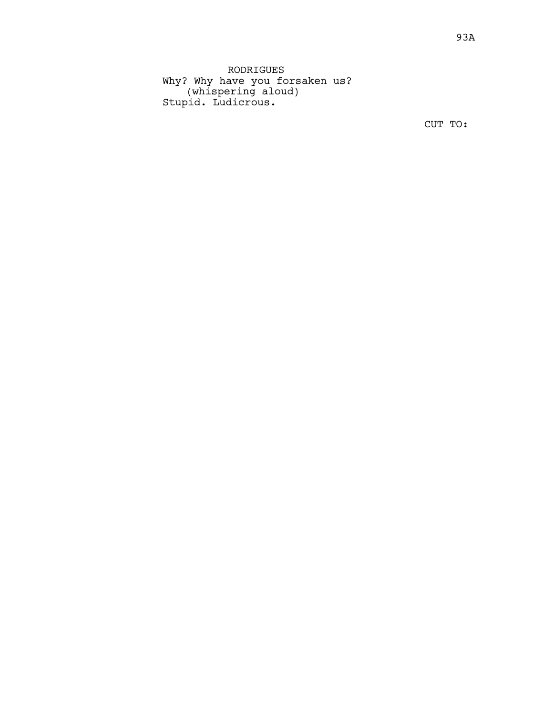RODRIGUES Why? Why have you forsaken us? (whispering aloud) Stupid. Ludicrous.

CUT TO: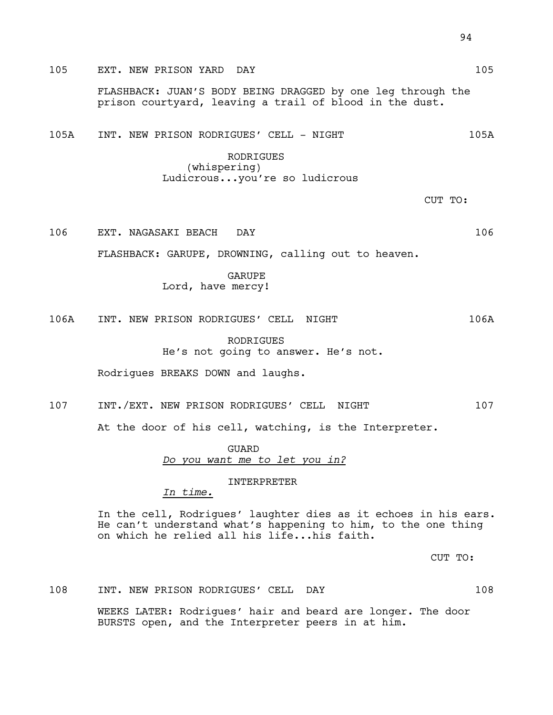105A INT. NEW PRISON RODRIGUES' CELL - NIGHT 105A 105A

prison courtyard, leaving a trail of blood in the dust.

RODRIGUES (whispering) Ludicrous...you're so ludicrous

CUT TO:

106 EXT. NAGASAKI BEACH DAY 106

FLASHBACK: GARUPE, DROWNING, calling out to heaven.

GARUPE Lord, have mercy!

106A INT. NEW PRISON RODRIGUES' CELL NIGHT 106A

RODRIGUES He's not going to answer. He's not.

Rodrigues BREAKS DOWN and laughs.

107 INT./EXT. NEW PRISON RODRIGUES' CELL NIGHT 107

At the door of his cell, watching, is the Interpreter.

GUARD *Do you want me to let you in?*

INTERPRETER

*In time.*

In the cell, Rodrigues' laughter dies as it echoes in his ears. He can't understand what's happening to him, to the one thing on which he relied all his life...his faith.

CUT TO:

108 INT. NEW PRISON RODRIGUES' CELL DAY 108

WEEKS LATER: Rodrigues' hair and beard are longer. The door BURSTS open, and the Interpreter peers in at him.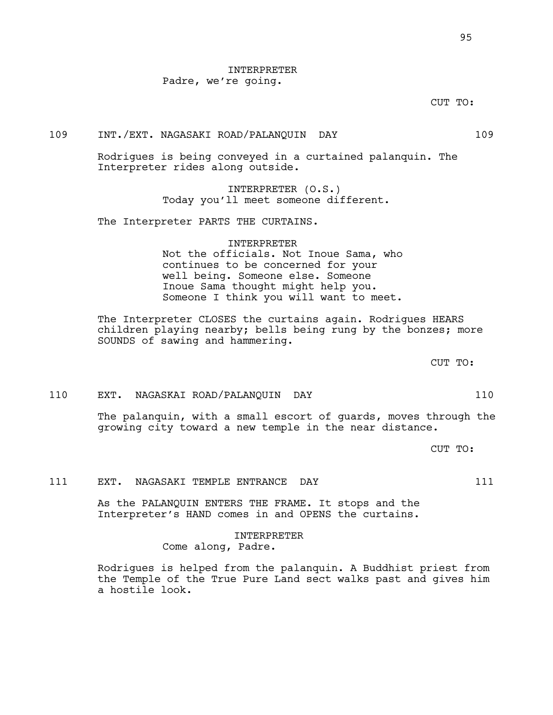### INTERPRETER Padre, we're going.

CUT TO:

### 109 INT./EXT. NAGASAKI ROAD/PALANQUIN DAY 109

Rodrigues is being conveyed in a curtained palanquin. The Interpreter rides along outside.

> INTERPRETER (O.S.) Today you'll meet someone different.

The Interpreter PARTS THE CURTAINS.

### INTERPRETER Not the officials. Not Inoue Sama, who continues to be concerned for your well being. Someone else. Someone Inoue Sama thought might help you. Someone I think you will want to meet.

The Interpreter CLOSES the curtains again. Rodrigues HEARS children playing nearby; bells being rung by the bonzes; more SOUNDS of sawing and hammering.

CUT TO:

### 110 EXT. NAGASKAI ROAD/PALANQUIN DAY 110

The palanquin, with a small escort of guards, moves through the growing city toward a new temple in the near distance.

CUT TO:

### 111 EXT. NAGASAKI TEMPLE ENTRANCE DAY 111

As the PALANQUIN ENTERS THE FRAME. It stops and the Interpreter's HAND comes in and OPENS the curtains.

> INTERPRETER Come along, Padre.

Rodrigues is helped from the palanquin. A Buddhist priest from the Temple of the True Pure Land sect walks past and gives him a hostile look.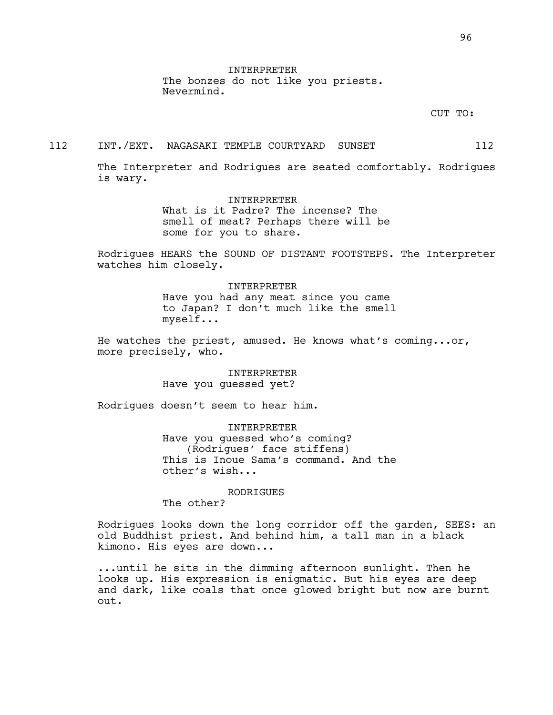INTERPRETER The bonzes do not like you priests. Nevermind.

CUT TO:

#### 112 INT./EXT. NAGASAKI TEMPLE COURTYARD SUNSET 112

The Interpreter and Rodrigues are seated comfortably. Rodrigues is wary.

> INTERPRETER What is it Padre? The incense? The smell of meat? Perhaps there will be some for you to share.

Rodrigues HEARS the SOUND OF DISTANT FOOTSTEPS. The Interpreter watches him closely.

> INTERPRETER Have you had any meat since you came to Japan? I don't much like the smell myself...

He watches the priest, amused. He knows what's coming...or, more precisely, who.

> INTERPRETER Have you guessed yet?

Rodrigues doesn't seem to hear him.

INTERPRETER Have you guessed who's coming? (Rodrigues' face stiffens) This is Inoue Sama's command. And the other's wish...

RODRIGUES

The other?

Rodrigues looks down the long corridor off the garden, SEES: an old Buddhist priest. And behind him, a tall man in a black kimono. His eyes are down...

...until he sits in the dimming afternoon sunlight. Then he looks up. His expression is enigmatic. But his eyes are deep and dark, like coals that once glowed bright but now are burnt out.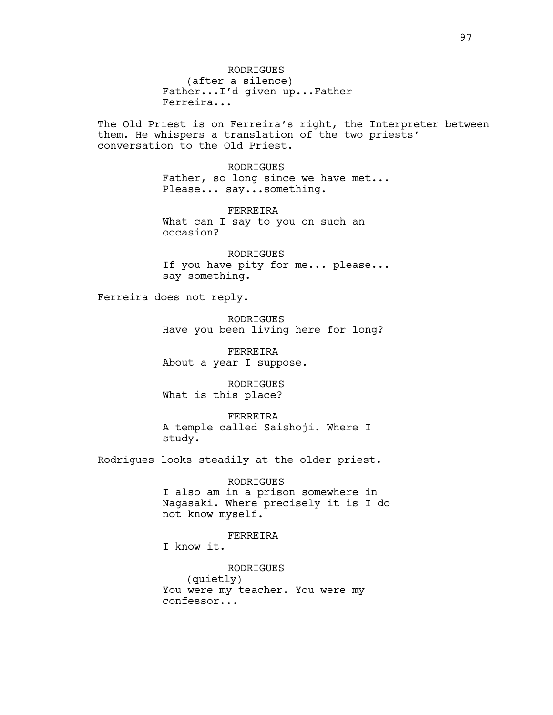RODRIGUES (after a silence) Father...I'd given up...Father Ferreira...

The Old Priest is on Ferreira's right, the Interpreter between them. He whispers a translation of the two priests' conversation to the Old Priest.

> RODRIGUES Father, so long since we have met... Please... say...something.

FERREIRA What can I say to you on such an occasion?

RODRIGUES If you have pity for me... please... say something.

Ferreira does not reply.

RODRIGUES Have you been living here for long?

FERREIRA About a year I suppose.

RODRIGUES What is this place?

FERREIRA A temple called Saishoji. Where I study.

Rodrigues looks steadily at the older priest.

RODRIGUES I also am in a prison somewhere in Nagasaki. Where precisely it is I do not know myself.

FERREIRA

I know it.

RODRIGUES (quietly) You were my teacher. You were my confessor...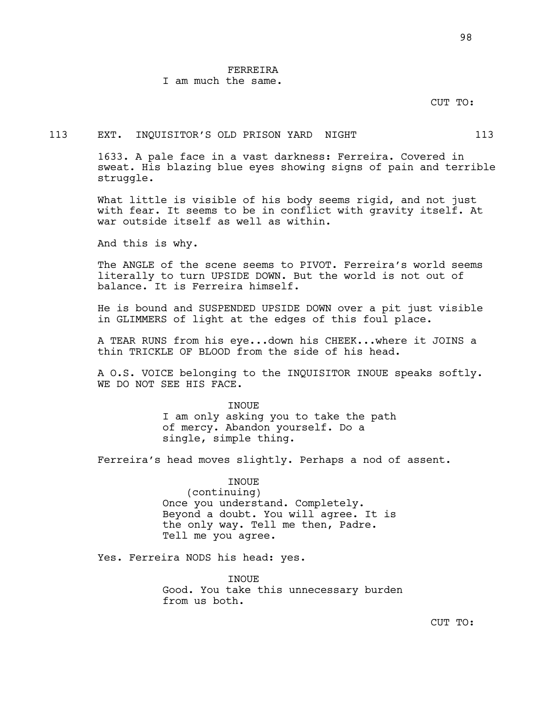# FERREIRA

I am much the same.

#### CUT TO:

#### 113 EXT. INQUISITOR'S OLD PRISON YARD NIGHT 113

1633. A pale face in a vast darkness: Ferreira. Covered in sweat. His blazing blue eyes showing signs of pain and terrible struggle.

What little is visible of his body seems rigid, and not just with fear. It seems to be in conflict with gravity itself. At war outside itself as well as within.

And this is why.

The ANGLE of the scene seems to PIVOT. Ferreira's world seems literally to turn UPSIDE DOWN. But the world is not out of balance. It is Ferreira himself.

He is bound and SUSPENDED UPSIDE DOWN over a pit just visible in GLIMMERS of light at the edges of this foul place.

A TEAR RUNS from his eye...down his CHEEK...where it JOINS a thin TRICKLE OF BLOOD from the side of his head.

A O.S. VOICE belonging to the INQUISITOR INOUE speaks softly. WE DO NOT SEE HIS FACE.

> **TNOUE** I am only asking you to take the path of mercy. Abandon yourself. Do a single, simple thing.

Ferreira's head moves slightly. Perhaps a nod of assent.

INOUE

(continuing) Once you understand. Completely. Beyond a doubt. You will agree. It is the only way. Tell me then, Padre. Tell me you agree.

Yes. Ferreira NODS his head: yes.

INOUE Good. You take this unnecessary burden from us both.

CUT TO: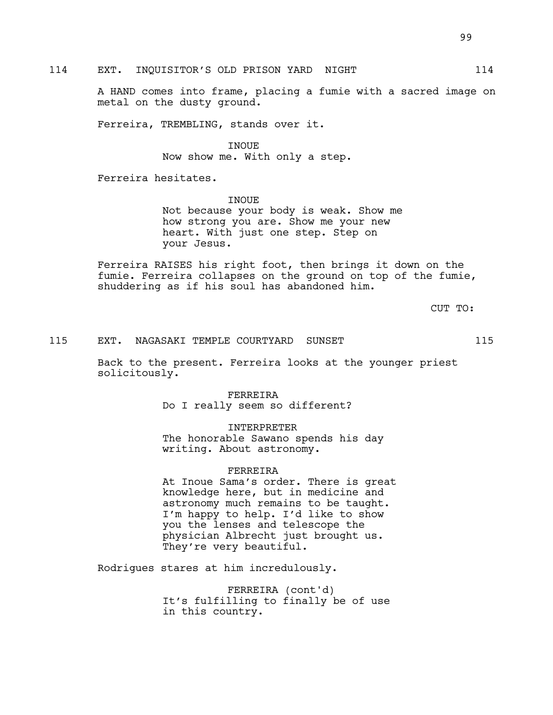114 EXT. INQUISITOR'S OLD PRISON YARD NIGHT 114

A HAND comes into frame, placing a fumie with a sacred image on metal on the dusty ground.

Ferreira, TREMBLING, stands over it.

INOUE Now show me. With only a step.

Ferreira hesitates.

INOUE Not because your body is weak. Show me how strong you are. Show me your new heart. With just one step. Step on your Jesus.

Ferreira RAISES his right foot, then brings it down on the fumie. Ferreira collapses on the ground on top of the fumie, shuddering as if his soul has abandoned him.

CUT TO:

### 115 EXT. NAGASAKI TEMPLE COURTYARD SUNSET 115

Back to the present. Ferreira looks at the younger priest solicitously.

> FERREIRA Do I really seem so different?

> > INTERPRETER

The honorable Sawano spends his day writing. About astronomy.

### FERREIRA

At Inoue Sama's order. There is great knowledge here, but in medicine and astronomy much remains to be taught. I'm happy to help. I'd like to show you the lenses and telescope the physician Albrecht just brought us. They're very beautiful.

Rodrigues stares at him incredulously.

FERREIRA (cont'd) It's fulfilling to finally be of use in this country.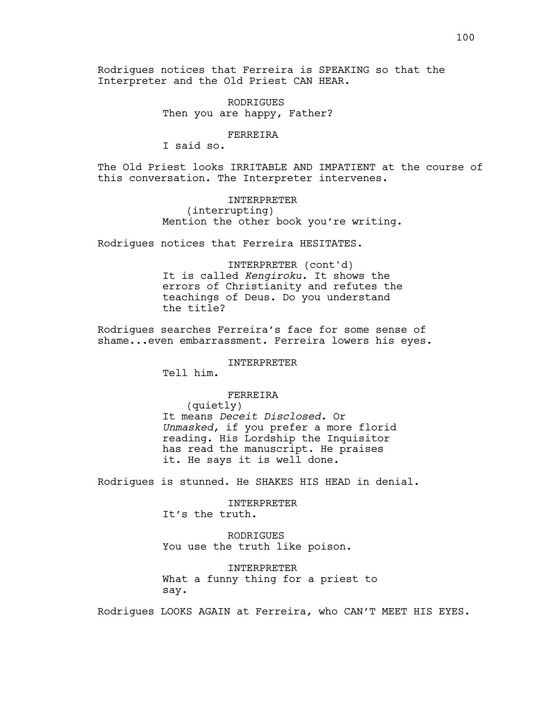Rodrigues notices that Ferreira is SPEAKING so that the Interpreter and the Old Priest CAN HEAR.

> RODRIGUES Then you are happy, Father?

> > FERREIRA

I said so.

The Old Priest looks IRRITABLE AND IMPATIENT at the course of this conversation. The Interpreter intervenes.

> INTERPRETER (interrupting) Mention the other book you're writing.

Rodrigues notices that Ferreira HESITATES.

INTERPRETER (cont'd) It is called *Kengiroku*. It shows the errors of Christianity and refutes the teachings of Deus. Do you understand the title?

Rodrigues searches Ferreira's face for some sense of shame...even embarrassment. Ferreira lowers his eyes.

INTERPRETER

Tell him.

FERREIRA

(quietly) It means *Deceit Disclosed.* Or *Unmasked,* if you prefer a more florid reading. His Lordship the Inquisitor has read the manuscript. He praises it. He says it is well done.

Rodrigues is stunned. He SHAKES HIS HEAD in denial.

INTERPRETER It's the truth.

RODRIGUES You use the truth like poison.

INTERPRETER What a funny thing for a priest to say.

Rodrigues LOOKS AGAIN at Ferreira, who CAN'T MEET HIS EYES.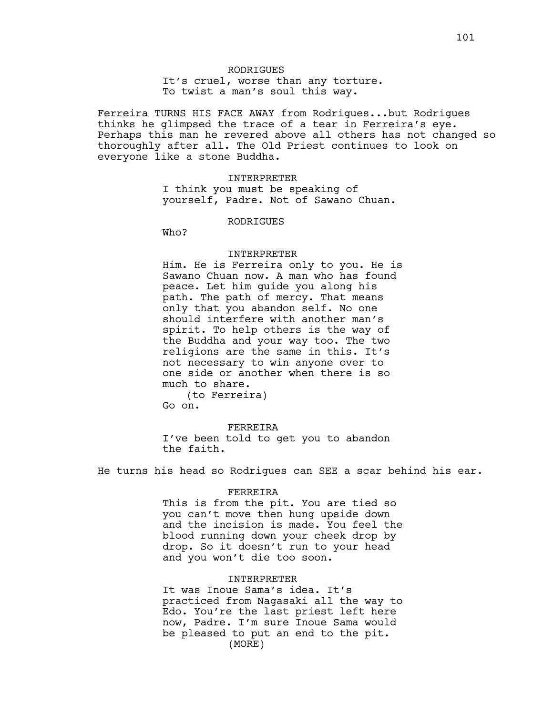It's cruel, worse than any torture. To twist a man's soul this way.

Ferreira TURNS HIS FACE AWAY from Rodrigues...but Rodrigues thinks he glimpsed the trace of a tear in Ferreira's eye. Perhaps this man he revered above all others has not changed so thoroughly after all. The Old Priest continues to look on everyone like a stone Buddha.

#### INTERPRETER

I think you must be speaking of yourself, Padre. Not of Sawano Chuan.

#### RODRIGUES

Who?

### INTERPRETER

Him. He is Ferreira only to you. He is Sawano Chuan now. A man who has found peace. Let him guide you along his path. The path of mercy. That means only that you abandon self. No one should interfere with another man's spirit. To help others is the way of the Buddha and your way too. The two religions are the same in this. It's not necessary to win anyone over to one side or another when there is so much to share.

(to Ferreira) Go on.

FERREIRA I've been told to get you to abandon the faith.

He turns his head so Rodrigues can SEE a scar behind his ear.

#### FERREIRA

This is from the pit. You are tied so you can't move then hung upside down and the incision is made. You feel the blood running down your cheek drop by drop. So it doesn't run to your head and you won't die too soon.

#### INTERPRETER

It was Inoue Sama's idea. It's practiced from Nagasaki all the way to Edo. You're the last priest left here now, Padre. I'm sure Inoue Sama would be pleased to put an end to the pit. (MORE)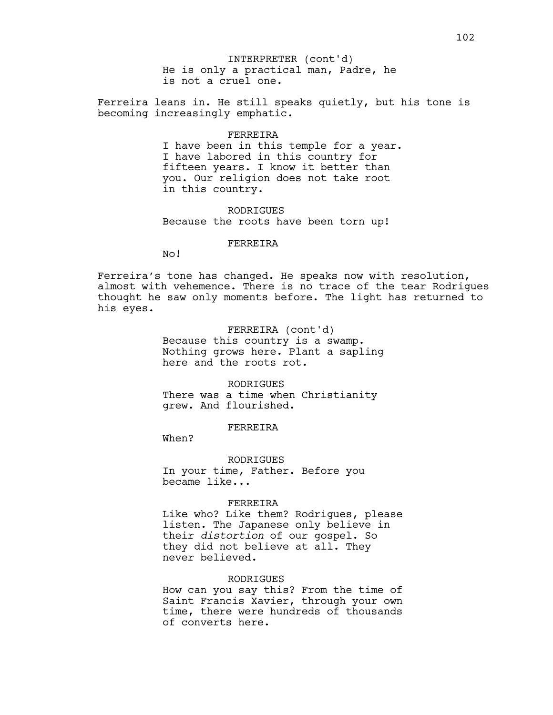He is only a practical man, Padre, he is not a cruel one. INTERPRETER (cont'd)

Ferreira leans in. He still speaks quietly, but his tone is becoming increasingly emphatic.

#### FERREIRA

I have been in this temple for a year. I have labored in this country for fifteen years. I know it better than you. Our religion does not take root in this country.

RODRIGUES Because the roots have been torn up!

### FERREIRA

No!

Ferreira's tone has changed. He speaks now with resolution, almost with vehemence. There is no trace of the tear Rodrigues thought he saw only moments before. The light has returned to his eyes.

> FERREIRA (cont'd) Because this country is a swamp. Nothing grows here. Plant a sapling here and the roots rot.

**RODRIGUES** There was a time when Christianity grew. And flourished.

FERREIRA

When?

RODRIGUES In your time, Father. Before you became like...

#### FERREIRA

Like who? Like them? Rodrigues, please listen. The Japanese only believe in their *distortion* of our gospel. So they did not believe at all. They never believed.

#### RODRIGUES

How can you say this? From the time of Saint Francis Xavier, through your own time, there were hundreds of thousands of converts here.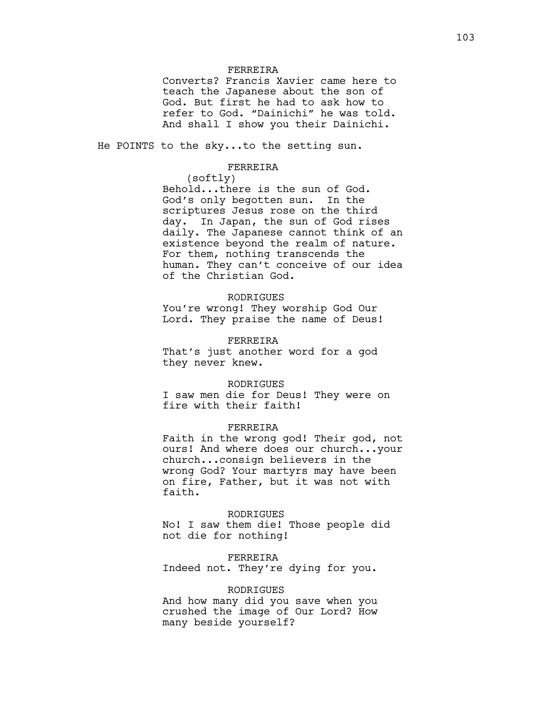# FERREIRA

Converts? Francis Xavier came here to teach the Japanese about the son of God. But first he had to ask how to refer to God. "Dainichi" he was told. And shall I show you their Dainichi.

He POINTS to the sky...to the setting sun.

#### FERREIRA

(softly)

Behold...there is the sun of God. God's only begotten sun. In the scriptures Jesus rose on the third day. In Japan, the sun of God rises daily. The Japanese cannot think of an existence beyond the realm of nature. For them, nothing transcends the human. They can't conceive of our idea of the Christian God.

#### RODRIGUES

You're wrong! They worship God Our Lord. They praise the name of Deus!

#### FERREIRA

That's just another word for a god they never knew.

#### RODRIGUES

I saw men die for Deus! They were on fire with their faith!

# FERREIRA

Faith in the wrong god! Their god, not ours! And where does our church...your church...consign believers in the wrong God? Your martyrs may have been on fire, Father, but it was not with faith.

#### RODRIGUES

No! I saw them die! Those people did not die for nothing!

#### FERREIRA

Indeed not. They're dying for you.

### RODRIGUES

And how many did you save when you crushed the image of Our Lord? How many beside yourself?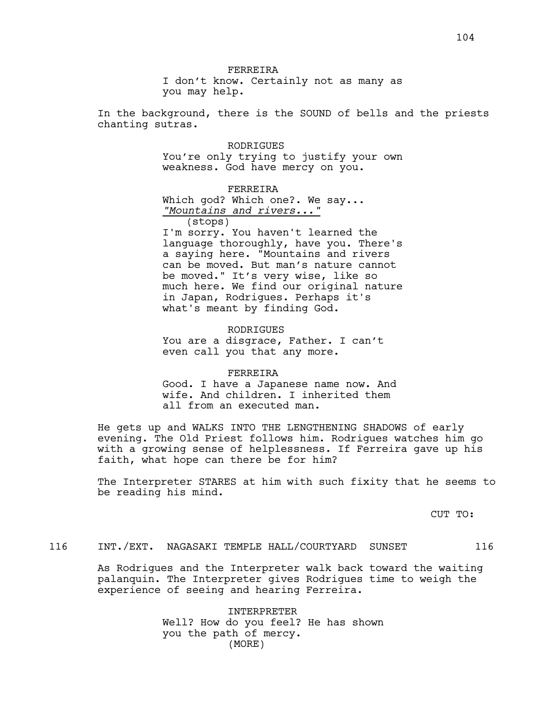FERREIRA I don't know. Certainly not as many as you may help.

In the background, there is the SOUND of bells and the priests chanting sutras.

> RODRIGUES You're only trying to justify your own weakness. God have mercy on you.

> > FERREIRA

Which god? Which one?. We say... *"Mountains and rivers..."*

(stops)

I'm sorry. You haven't learned the language thoroughly, have you. There's a saying here. "Mountains and rivers can be moved. But man's nature cannot be moved." It's very wise, like so much here. We find our original nature in Japan, Rodrigues. Perhaps it's what's meant by finding God.

**RODRIGUES** You are a disgrace, Father. I can't even call you that any more.

#### FERREIRA

Good. I have a Japanese name now. And wife. And children. I inherited them all from an executed man.

He gets up and WALKS INTO THE LENGTHENING SHADOWS of early evening. The Old Priest follows him. Rodrigues watches him go with a growing sense of helplessness. If Ferreira gave up his faith, what hope can there be for him?

The Interpreter STARES at him with such fixity that he seems to be reading his mind.

CUT TO:

# 116 INT./EXT. NAGASAKI TEMPLE HALL/COURTYARD SUNSET 116

As Rodrigues and the Interpreter walk back toward the waiting palanquin. The Interpreter gives Rodrigues time to weigh the experience of seeing and hearing Ferreira.

> INTERPRETER Well? How do you feel? He has shown you the path of mercy. (MORE)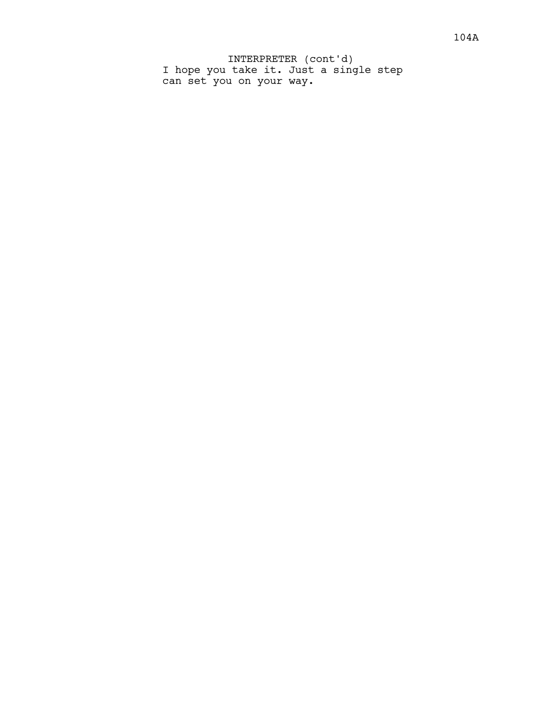I hope you take it. Just a single step can set you on your way. INTERPRETER (cont'd)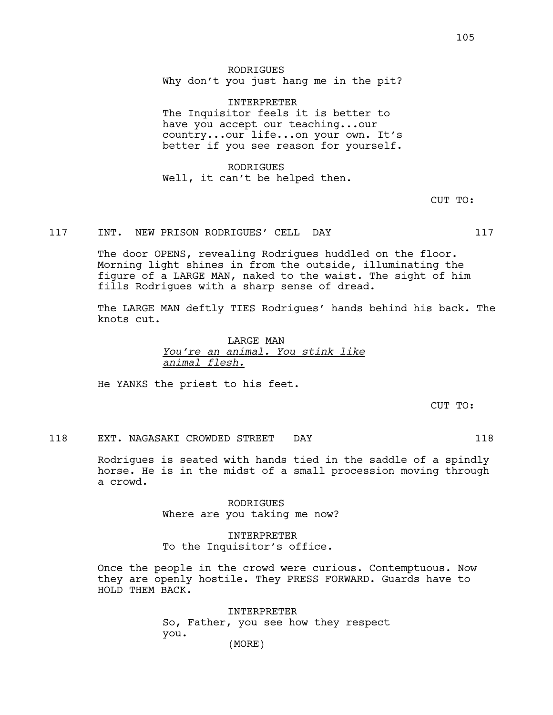RODRIGUES Why don't you just hang me in the pit?

INTERPRETER The Inquisitor feels it is better to have you accept our teaching...our country...our life...on your own. It's better if you see reason for yourself.

RODRIGUES Well, it can't be helped then.

CUT TO:

# 117 INT. NEW PRISON RODRIGUES' CELL DAY 117

The door OPENS, revealing Rodrigues huddled on the floor. Morning light shines in from the outside, illuminating the figure of a LARGE MAN, naked to the waist. The sight of him fills Rodrigues with a sharp sense of dread.

The LARGE MAN deftly TIES Rodrigues' hands behind his back. The knots cut.

> LARGE MAN *You're an animal. You stink like animal flesh.*

He YANKS the priest to his feet.

CUT TO:

#### 118 EXT. NAGASAKI CROWDED STREET DAY 118

Rodrigues is seated with hands tied in the saddle of a spindly horse. He is in the midst of a small procession moving through a crowd.

> RODRIGUES Where are you taking me now?

INTERPRETER To the Inquisitor's office.

Once the people in the crowd were curious. Contemptuous. Now they are openly hostile. They PRESS FORWARD. Guards have to HOLD THEM BACK.

> INTERPRETER So, Father, you see how they respect you. (MORE)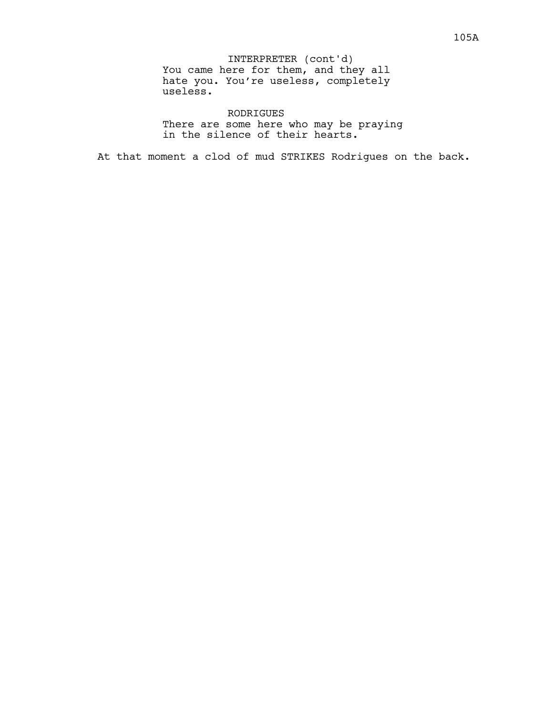You came here for them, and they all hate you. You're useless, completely useless. INTERPRETER (cont'd)

RODRIGUES There are some here who may be praying in the silence of their hearts.

At that moment a clod of mud STRIKES Rodrigues on the back.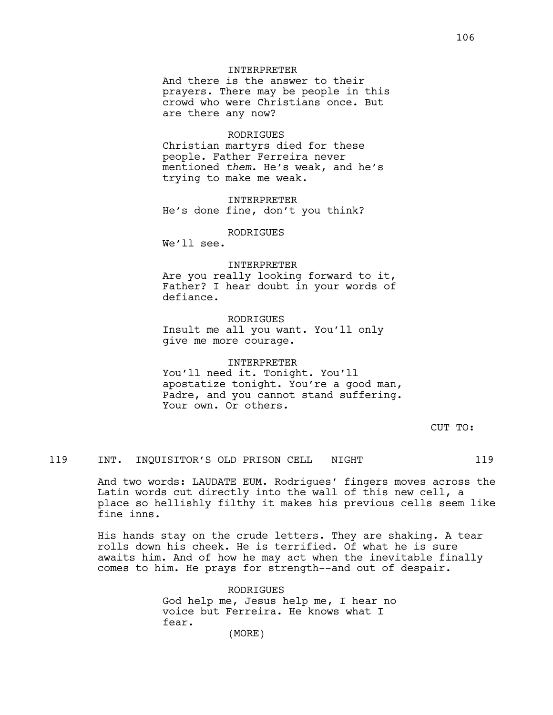# INTERPRETER

And there is the answer to their prayers. There may be people in this crowd who were Christians once. But are there any now?

#### RODRIGUES

Christian martyrs died for these people. Father Ferreira never mentioned *them*. He's weak, and he's trying to make me weak.

INTERPRETER He's done fine, don't you think?

RODRIGUES

We'll see.

#### INTERPRETER

Are you really looking forward to it, Father? I hear doubt in your words of defiance.

RODRIGUES Insult me all you want. You'll only give me more courage.

### INTERPRETER

You'll need it. Tonight. You'll apostatize tonight. You're a good man, Padre, and you cannot stand suffering. Your own. Or others.

CUT TO:

# 119 INT. INQUISITOR'S OLD PRISON CELL NIGHT 119

And two words: LAUDATE EUM. Rodrigues' fingers moves across the Latin words cut directly into the wall of this new cell, a place so hellishly filthy it makes his previous cells seem like fine inns.

His hands stay on the crude letters. They are shaking. A tear rolls down his cheek. He is terrified. Of what he is sure awaits him. And of how he may act when the inevitable finally comes to him. He prays for strength--and out of despair.

> RODRIGUES God help me, Jesus help me, I hear no voice but Ferreira. He knows what I fear. (MORE)

106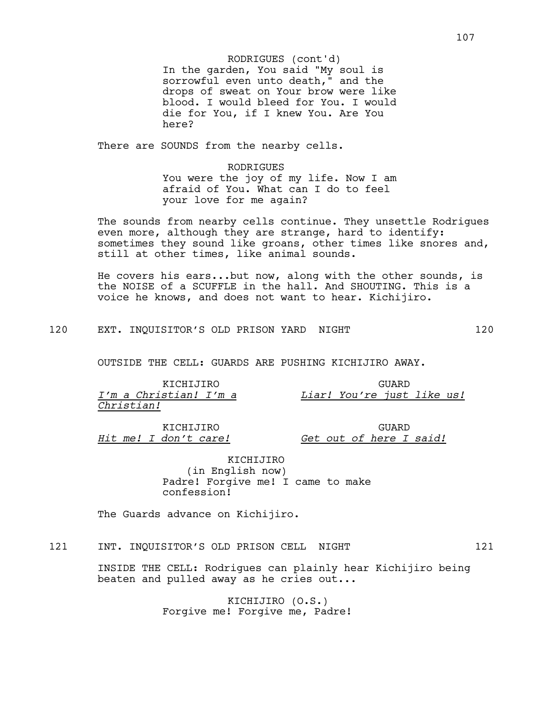In the garden, You said "My soul is sorrowful even unto death," and the drops of sweat on Your brow were like blood. I would bleed for You. I would die for You, if I knew You. Are You here? RODRIGUES (cont'd)

There are SOUNDS from the nearby cells.

RODRIGUES You were the joy of my life. Now I am afraid of You. What can I do to feel your love for me again?

The sounds from nearby cells continue. They unsettle Rodrigues even more, although they are strange, hard to identify: sometimes they sound like groans, other times like snores and, still at other times, like animal sounds.

He covers his ears...but now, along with the other sounds, is the NOISE of a SCUFFLE in the hall. And SHOUTING. This is a voice he knows, and does not want to hear. Kichijiro.

120 EXT. INQUISITOR'S OLD PRISON YARD NIGHT 120

OUTSIDE THE CELL: GUARDS ARE PUSHING KICHIJIRO AWAY.

| KTCHTJTRO              |  | GUARD                      |  |  |  |  |
|------------------------|--|----------------------------|--|--|--|--|
| I'm a Christian! I'm a |  | Liar! You're just like us! |  |  |  |  |
| Christian!             |  |                            |  |  |  |  |

KICHIJIRO *Hit me! I don't care!*

GUARD *Get out of here I said!*

KICHIJIRO (in English now) Padre! Forgive me! I came to make confession!

The Guards advance on Kichijiro.

# 121 INT. INQUISITOR'S OLD PRISON CELL NIGHT 121

INSIDE THE CELL: Rodrigues can plainly hear Kichijiro being beaten and pulled away as he cries out...

> KICHIJIRO (O.S.) Forgive me! Forgive me, Padre!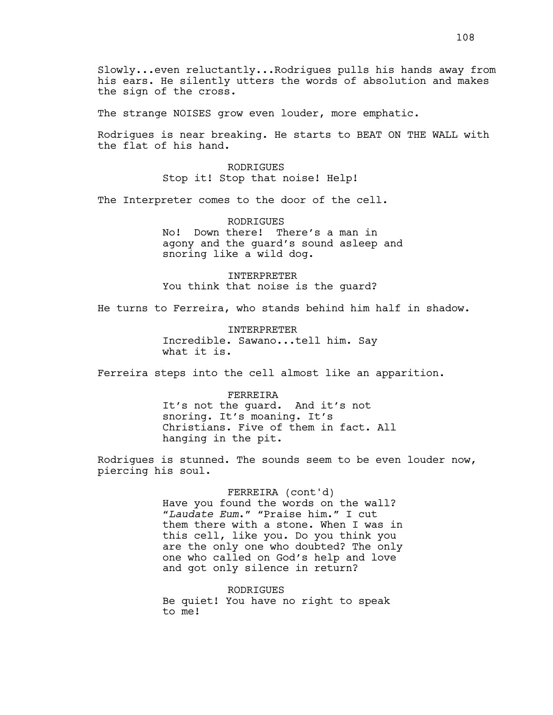Slowly...even reluctantly...Rodrigues pulls his hands away from his ears. He silently utters the words of absolution and makes the sign of the cross.

The strange NOISES grow even louder, more emphatic.

Rodrigues is near breaking. He starts to BEAT ON THE WALL with the flat of his hand.

> RODRIGUES Stop it! Stop that noise! Help!

The Interpreter comes to the door of the cell.

RODRIGUES No! Down there! There's a man in agony and the guard's sound asleep and snoring like a wild dog.

INTERPRETER You think that noise is the guard?

He turns to Ferreira, who stands behind him half in shadow.

INTERPRETER Incredible. Sawano...tell him. Say what it is.

Ferreira steps into the cell almost like an apparition.

# FERREIRA It's not the guard. And it's not snoring. It's moaning. It's Christians. Five of them in fact. All

hanging in the pit.

Rodrigues is stunned. The sounds seem to be even louder now, piercing his soul.

> FERREIRA (cont'd) Have you found the words on the wall? "*Laudate Eum*." "Praise him." I cut them there with a stone. When I was in this cell, like you. Do you think you are the only one who doubted? The only one who called on God's help and love and got only silence in return?

RODRIGUES Be quiet! You have no right to speak to me!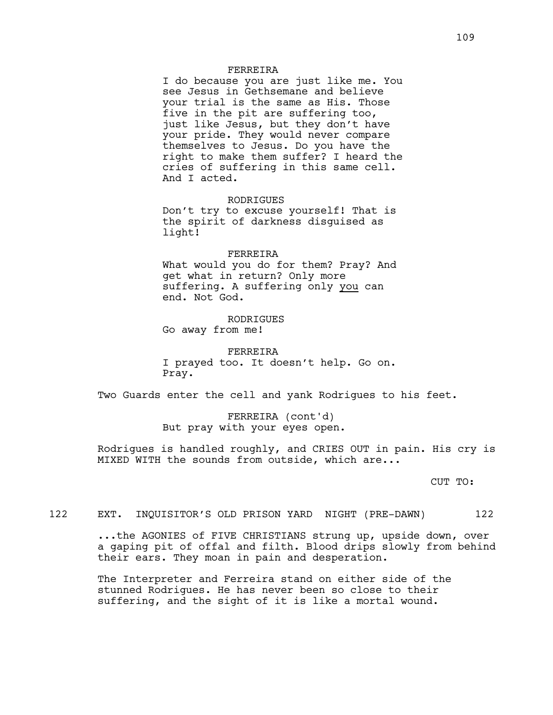## FERREIRA

I do because you are just like me. You see Jesus in Gethsemane and believe your trial is the same as His. Those five in the pit are suffering too, just like Jesus, but they don't have your pride. They would never compare themselves to Jesus. Do you have the right to make them suffer? I heard the cries of suffering in this same cell. And I acted.

RODRIGUES Don't try to excuse yourself! That is the spirit of darkness disguised as light!

### FERREIRA

What would you do for them? Pray? And get what in return? Only more suffering. A suffering only you can end. Not God.

### RODRIGUES

Go away from me!

FERREIRA I prayed too. It doesn't help. Go on. Pray.

Two Guards enter the cell and yank Rodrigues to his feet.

FERREIRA (cont'd) But pray with your eyes open.

Rodrigues is handled roughly, and CRIES OUT in pain. His cry is MIXED WITH the sounds from outside, which are...

CUT TO:

# 122 EXT. INQUISITOR'S OLD PRISON YARD NIGHT (PRE-DAWN) 122

...the AGONIES of FIVE CHRISTIANS strung up, upside down, over a gaping pit of offal and filth. Blood drips slowly from behind their ears. They moan in pain and desperation.

The Interpreter and Ferreira stand on either side of the stunned Rodrigues. He has never been so close to their suffering, and the sight of it is like a mortal wound.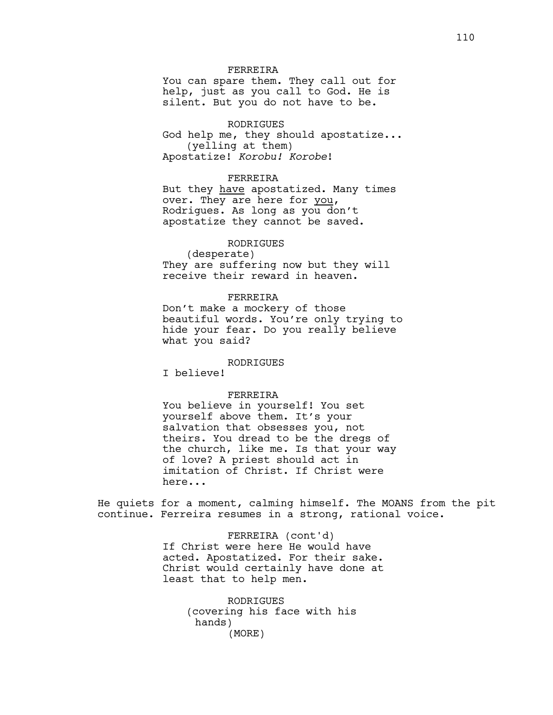## FERREIRA

You can spare them. They call out for help, just as you call to God. He is silent. But you do not have to be.

# RODRIGUES

God help me, they should apostatize... (yelling at them) Apostatize! *Korobu! Korobe*!

## FERREIRA

But they have apostatized. Many times over. They are here for you, Rodrigues. As long as you don't apostatize they cannot be saved.

# RODRIGUES

(desperate) They are suffering now but they will receive their reward in heaven.

### FERREIRA

Don't make a mockery of those beautiful words. You're only trying to hide your fear. Do you really believe what you said?

### RODRIGUES

I believe!

### FERREIRA

You believe in yourself! You set yourself above them. It's your salvation that obsesses you, not theirs. You dread to be the dregs of the church, like me. Is that your way of love? A priest should act in imitation of Christ. If Christ were here...

He quiets for a moment, calming himself. The MOANS from the pit continue. Ferreira resumes in a strong, rational voice.

> FERREIRA (cont'd) If Christ were here He would have acted. Apostatized. For their sake. Christ would certainly have done at least that to help men.

> > RODRIGUES (covering his face with his hands) (MORE)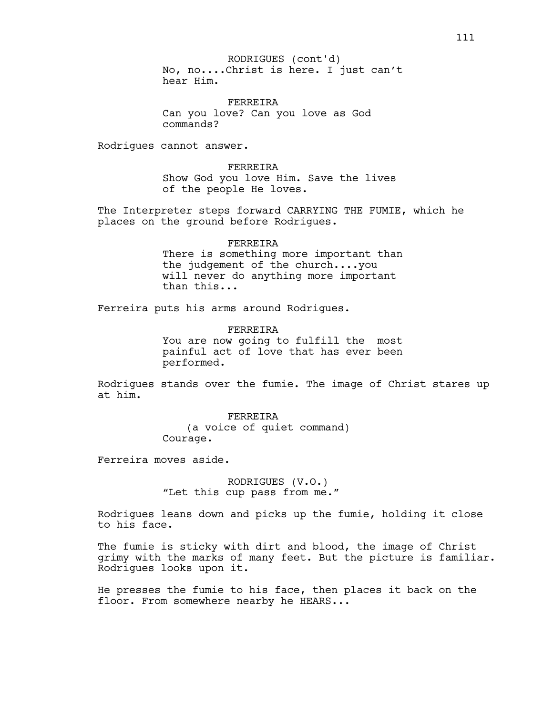No, no....Christ is here. I just can't hear Him. RODRIGUES (cont'd)

FERREIRA Can you love? Can you love as God commands?

Rodrigues cannot answer.

FERREIRA Show God you love Him. Save the lives of the people He loves.

The Interpreter steps forward CARRYING THE FUMIE, which he places on the ground before Rodrigues.

> FERREIRA There is something more important than the judgement of the church....you will never do anything more important than this...

Ferreira puts his arms around Rodrigues.

FERREIRA You are now going to fulfill the most painful act of love that has ever been performed.

Rodrigues stands over the fumie. The image of Christ stares up at him.

> FERREIRA (a voice of quiet command) Courage.

Ferreira moves aside.

RODRIGUES (V.O.) "Let this cup pass from me."

Rodrigues leans down and picks up the fumie, holding it close to his face.

The fumie is sticky with dirt and blood, the image of Christ grimy with the marks of many feet. But the picture is familiar. Rodrigues looks upon it.

He presses the fumie to his face, then places it back on the floor. From somewhere nearby he HEARS...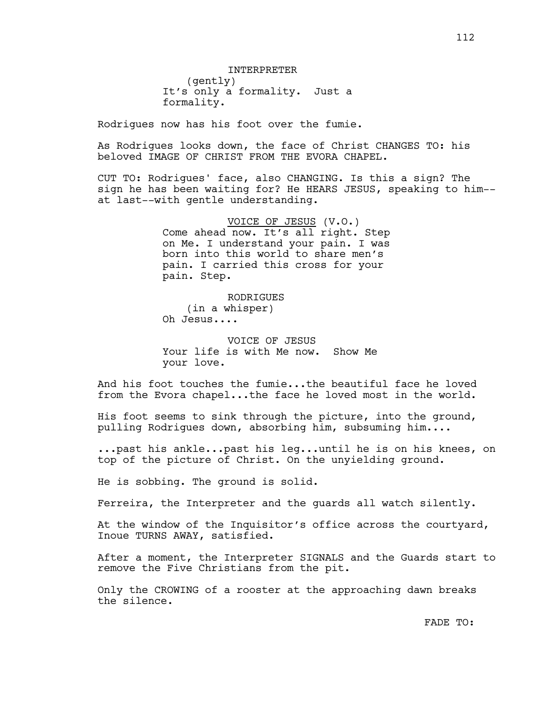Rodrigues now has his foot over the fumie.

As Rodrigues looks down, the face of Christ CHANGES TO: his beloved IMAGE OF CHRIST FROM THE EVORA CHAPEL.

CUT TO: Rodrigues' face, also CHANGING. Is this a sign? The sign he has been waiting for? He HEARS JESUS, speaking to him- at last--with gentle understanding.

> VOICE OF JESUS (V.O.) Come ahead now. It's all right. Step on Me. I understand your pain. I was born into this world to share men's pain. I carried this cross for your pain. Step.

RODRIGUES (in a whisper) Oh Jesus....

VOICE OF JESUS Your life is with Me now. Show Me your love.

And his foot touches the fumie...the beautiful face he loved from the Evora chapel...the face he loved most in the world.

His foot seems to sink through the picture, into the ground, pulling Rodrigues down, absorbing him, subsuming him....

...past his ankle...past his leg...until he is on his knees, on top of the picture of Christ. On the unyielding ground.

He is sobbing. The ground is solid.

Ferreira, the Interpreter and the guards all watch silently.

At the window of the Inquisitor's office across the courtyard, Inoue TURNS AWAY, satisfied.

After a moment, the Interpreter SIGNALS and the Guards start to remove the Five Christians from the pit.

Only the CROWING of a rooster at the approaching dawn breaks the silence.

112

FADE TO: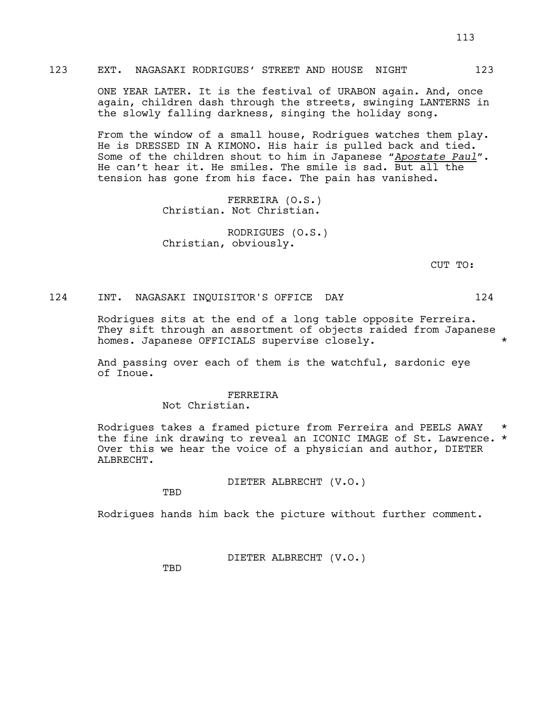ONE YEAR LATER. It is the festival of URABON again. And, once again, children dash through the streets, swinging LANTERNS in the slowly falling darkness, singing the holiday song.

From the window of a small house, Rodrigues watches them play. He is DRESSED IN A KIMONO. His hair is pulled back and tied. Some of the children shout to him in Japanese "*Apostate Paul*". He can't hear it. He smiles. The smile is sad. But all the tension has gone from his face. The pain has vanished.

> FERREIRA (O.S.) Christian. Not Christian.

RODRIGUES (O.S.) Christian, obviously.

CUT TO:

# 124 INT. NAGASAKI INQUISITOR'S OFFICE DAY 124

Rodrigues sits at the end of a long table opposite Ferreira. They sift through an assortment of objects raided from Japanese homes. Japanese OFFICIALS supervise closely.  $\star$ 

And passing over each of them is the watchful, sardonic eye of Inoue.

# FERREIRA

Not Christian.

Rodrigues takes a framed picture from Ferreira and PEELS AWAY the fine ink drawing to reveal an ICONIC IMAGE of St. Lawrence. \* Over this we hear the voice of a physician and author, DIETER ALBRECHT.

DIETER ALBRECHT (V.O.)

TBD

Rodrigues hands him back the picture without further comment.

DIETER ALBRECHT (V.O.)

**TBD**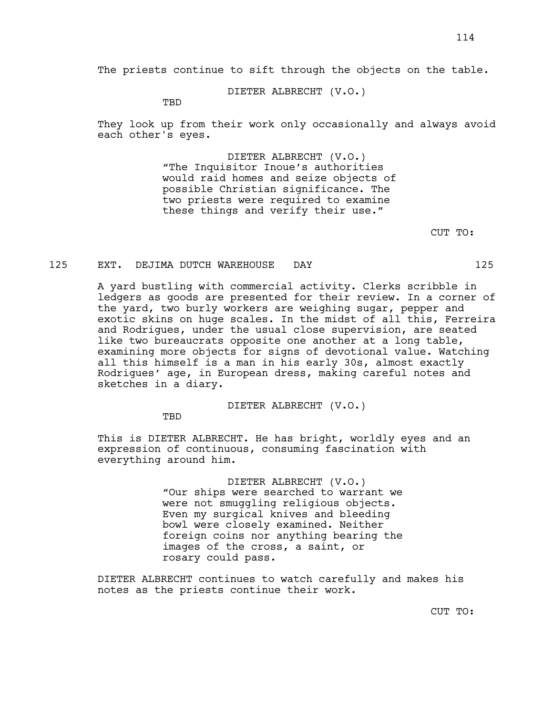The priests continue to sift through the objects on the table.

DIETER ALBRECHT (V.O.)

TBD

They look up from their work only occasionally and always avoid each other's eyes.

> DIETER ALBRECHT (V.O.) "The Inquisitor Inoue's authorities would raid homes and seize objects of possible Christian significance. The two priests were required to examine these things and verify their use."

> > CUT TO:

### 125 EXT. DEJIMA DUTCH WAREHOUSE DAY 125

A yard bustling with commercial activity. Clerks scribble in ledgers as goods are presented for their review. In a corner of the yard, two burly workers are weighing sugar, pepper and exotic skins on huge scales. In the midst of all this, Ferreira and Rodrigues, under the usual close supervision, are seated like two bureaucrats opposite one another at a long table, examining more objects for signs of devotional value. Watching all this himself is a man in his early 30s, almost exactly Rodrigues' age, in European dress, making careful notes and sketches in a diary.

DIETER ALBRECHT (V.O.)

TBD

This is DIETER ALBRECHT. He has bright, worldly eyes and an expression of continuous, consuming fascination with everything around him.

> DIETER ALBRECHT (V.O.) "Our ships were searched to warrant we were not smuggling religious objects. Even my surgical knives and bleeding bowl were closely examined. Neither foreign coins nor anything bearing the images of the cross, a saint, or rosary could pass.

DIETER ALBRECHT continues to watch carefully and makes his notes as the priests continue their work.

CUT TO: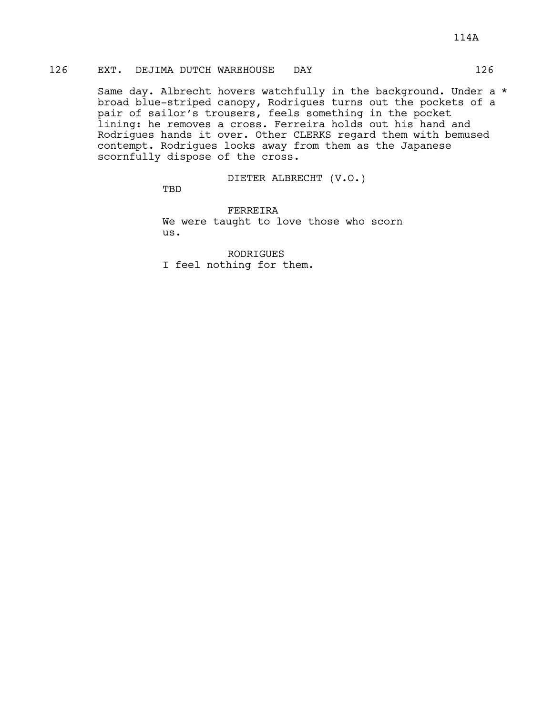# 126 EXT. DEJIMA DUTCH WAREHOUSE DAY 126

Same day. Albrecht hovers watchfully in the background. Under a \* broad blue-striped canopy, Rodrigues turns out the pockets of a pair of sailor's trousers, feels something in the pocket lining: he removes a cross. Ferreira holds out his hand and Rodrigues hands it over. Other CLERKS regard them with bemused contempt. Rodrigues looks away from them as the Japanese scornfully dispose of the cross.

DIETER ALBRECHT (V.O.)

TBD

FERREIRA We were taught to love those who scorn us.

RODRIGUES I feel nothing for them.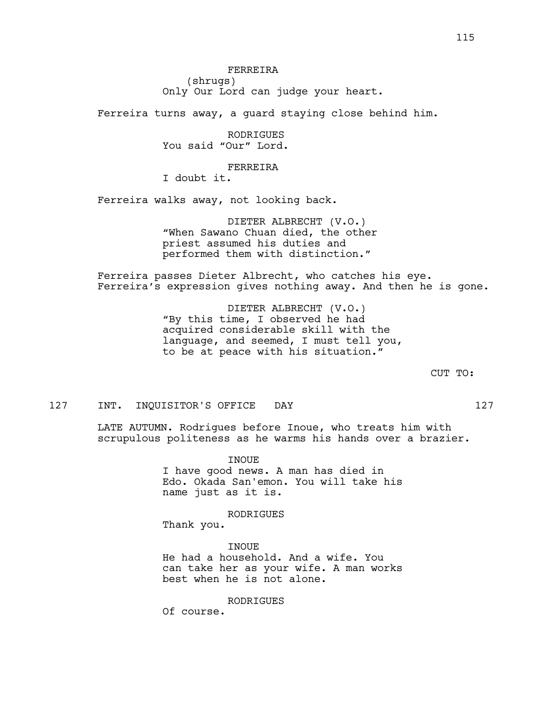FERREIRA (shrugs) Only Our Lord can judge your heart.

Ferreira turns away, a guard staying close behind him.

RODRIGUES You said "Our" Lord.

# FERREIRA

I doubt it.

Ferreira walks away, not looking back.

DIETER ALBRECHT (V.O.) "When Sawano Chuan died, the other priest assumed his duties and performed them with distinction."

Ferreira passes Dieter Albrecht, who catches his eye. Ferreira's expression gives nothing away. And then he is gone.

> DIETER ALBRECHT (V.O.) "By this time, I observed he had acquired considerable skill with the language, and seemed, I must tell you, to be at peace with his situation."

> > CUT TO:

### 127 INT. INQUISITOR'S OFFICE DAY 127

LATE AUTUMN. Rodrigues before Inoue, who treats him with scrupulous politeness as he warms his hands over a brazier.

> INOUE I have good news. A man has died in Edo. Okada San'emon. You will take his name just as it is.

> > RODRIGUES

Thank you.

**TNOUE** He had a household. And a wife. You can take her as your wife. A man works best when he is not alone.

RODRIGUES

Of course.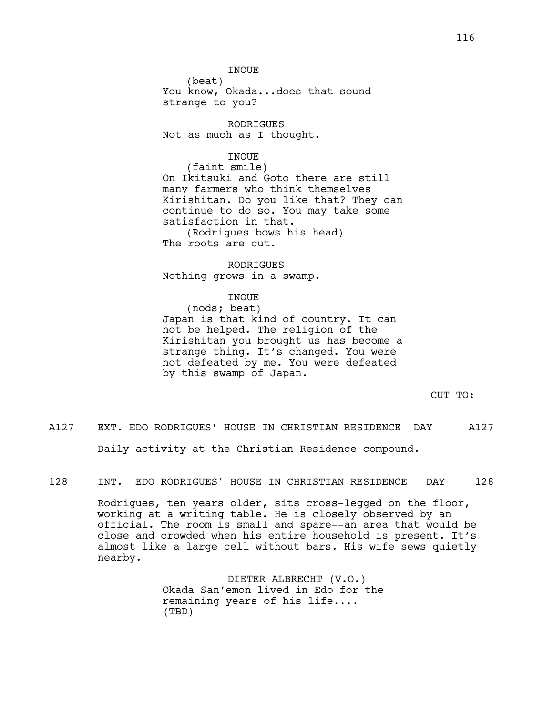INOUE

(beat) You know, Okada...does that sound strange to you?

RODRIGUES Not as much as I thought.

#### INOUE

(faint smile) On Ikitsuki and Goto there are still many farmers who think themselves Kirishitan. Do you like that? They can continue to do so. You may take some satisfaction in that.

(Rodrigues bows his head) The roots are cut.

RODRIGUES Nothing grows in a swamp.

### INOUE

# (nods; beat) Japan is that kind of country. It can not be helped. The religion of the Kirishitan you brought us has become a strange thing. It's changed. You were not defeated by me. You were defeated by this swamp of Japan.

CUT TO:

A127 EXT. EDO RODRIGUES' HOUSE IN CHRISTIAN RESIDENCE DAY A127 Daily activity at the Christian Residence compound.

128 INT. EDO RODRIGUES' HOUSE IN CHRISTIAN RESIDENCE DAY 128

Rodrigues, ten years older, sits cross-legged on the floor, working at a writing table. He is closely observed by an official. The room is small and spare--an area that would be close and crowded when his entire household is present. It's almost like a large cell without bars. His wife sews quietly nearby.

> DIETER ALBRECHT (V.O.) Okada San'emon lived in Edo for the remaining years of his life.... (TBD)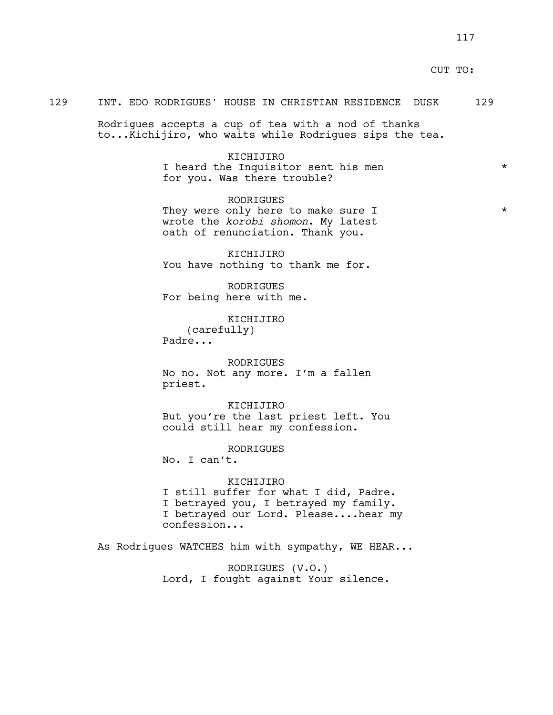# CUT TO:

# 129 INT. EDO RODRIGUES' HOUSE IN CHRISTIAN RESIDENCE DUSK 129

Rodrigues accepts a cup of tea with a nod of thanks to...Kichijiro, who waits while Rodrigues sips the tea.

> KICHIJIRO I heard the Inquisitor sent his men  $*$ for you. Was there trouble?

> RODRIGUES They were only here to make sure I  $*$ wrote the *korobi shomon*. My latest oath of renunciation. Thank you.

KICHIJIRO You have nothing to thank me for.

RODRIGUES For being here with me.

KICHIJIRO (carefully) Padre...

RODRIGUES No no. Not any more. I'm a fallen priest.

KICHIJIRO But you're the last priest left. You could still hear my confession.

RODRIGUES

No. I can't.

#### KICHIJIRO

I still suffer for what I did, Padre. I betrayed you, I betrayed my family. I betrayed our Lord. Please....hear my confession...

As Rodrigues WATCHES him with sympathy, WE HEAR...

RODRIGUES (V.O.) Lord, I fought against Your silence.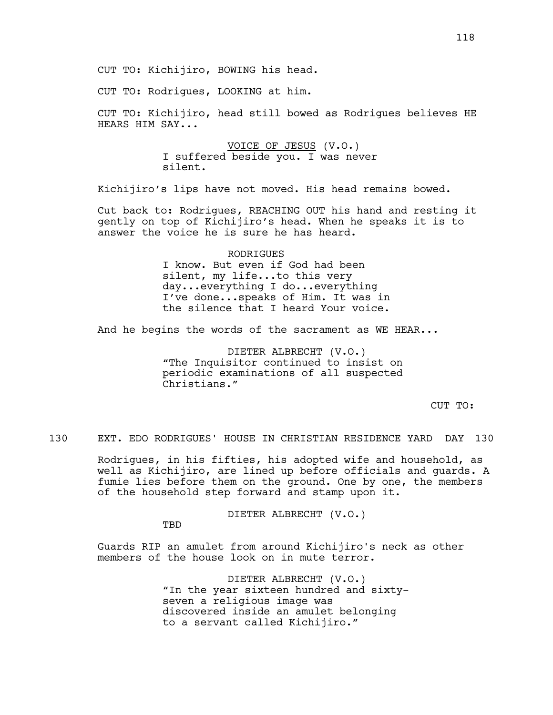CUT TO: Rodrigues, LOOKING at him.

CUT TO: Kichijiro, head still bowed as Rodrigues believes HE HEARS HIM SAY...

> VOICE OF JESUS (V.O.) I suffered beside you. I was never silent.

Kichijiro's lips have not moved. His head remains bowed.

Cut back to: Rodrigues, REACHING OUT his hand and resting it gently on top of Kichijiro's head. When he speaks it is to answer the voice he is sure he has heard.

> RODRIGUES I know. But even if God had been silent, my life...to this very day...everything I do...everything I've done...speaks of Him. It was in the silence that I heard Your voice.

And he begins the words of the sacrament as WE HEAR...

DIETER ALBRECHT (V.O.) "The Inquisitor continued to insist on periodic examinations of all suspected Christians."

CUT TO:

130 EXT. EDO RODRIGUES' HOUSE IN CHRISTIAN RESIDENCE YARD DAY 130

Rodrigues, in his fifties, his adopted wife and household, as well as Kichijiro, are lined up before officials and guards. A fumie lies before them on the ground. One by one, the members of the household step forward and stamp upon it.

DIETER ALBRECHT (V.O.)

TBD

Guards RIP an amulet from around Kichijiro's neck as other members of the house look on in mute terror.

> DIETER ALBRECHT (V.O.) "In the year sixteen hundred and sixtyseven a religious image was discovered inside an amulet belonging to a servant called Kichijiro."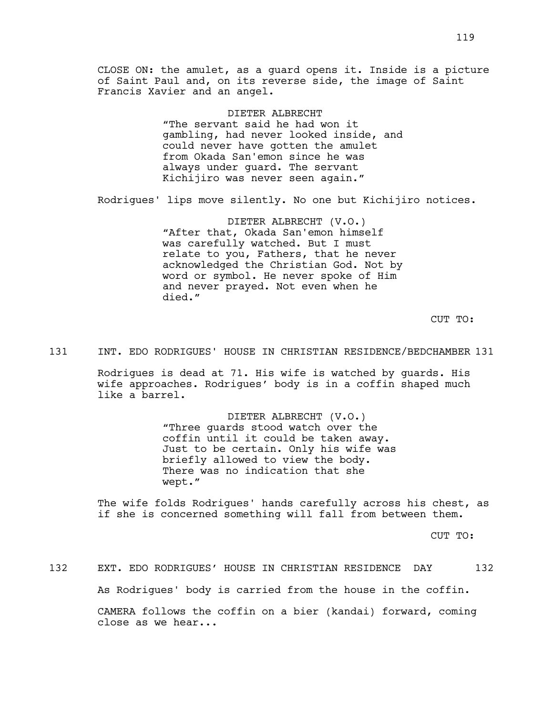CLOSE ON: the amulet, as a guard opens it. Inside is a picture of Saint Paul and, on its reverse side, the image of Saint Francis Xavier and an angel.

DIETER ALBRECHT

"The servant said he had won it gambling, had never looked inside, and could never have gotten the amulet from Okada San'emon since he was always under guard. The servant Kichijiro was never seen again."

Rodrigues' lips move silently. No one but Kichijiro notices.

DIETER ALBRECHT (V.O.) "After that, Okada San'emon himself was carefully watched. But I must relate to you, Fathers, that he never acknowledged the Christian God. Not by word or symbol. He never spoke of Him and never prayed. Not even when he died."

CUT TO:

### 131 INT. EDO RODRIGUES' HOUSE IN CHRISTIAN RESIDENCE/BEDCHAMBER 131

Rodrigues is dead at 71. His wife is watched by guards. His wife approaches. Rodrigues' body is in a coffin shaped much like a barrel.

> DIETER ALBRECHT (V.O.) "Three guards stood watch over the coffin until it could be taken away. Just to be certain. Only his wife was briefly allowed to view the body. There was no indication that she wept."

The wife folds Rodrigues' hands carefully across his chest, as if she is concerned something will fall from between them.

CUT TO:

132 EXT. EDO RODRIGUES' HOUSE IN CHRISTIAN RESIDENCE DAY 132 As Rodrigues' body is carried from the house in the coffin. CAMERA follows the coffin on a bier (kandai) forward, coming close as we hear...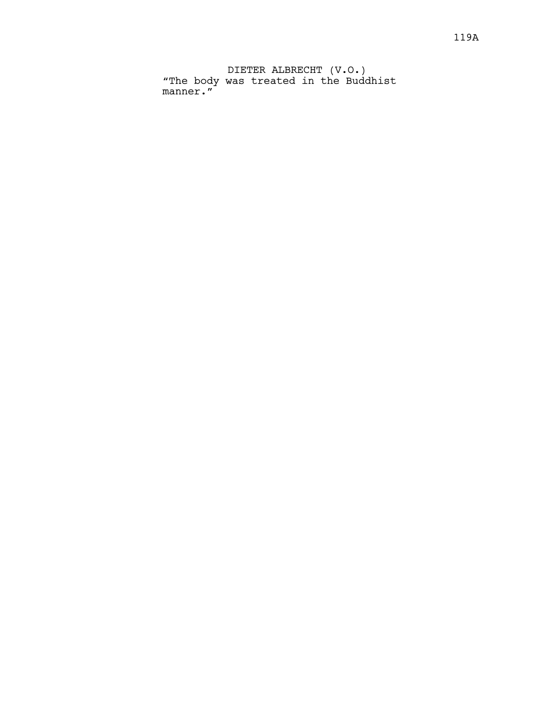DIETER ALBRECHT (V.O.) "The body was treated in the Buddhist manner."